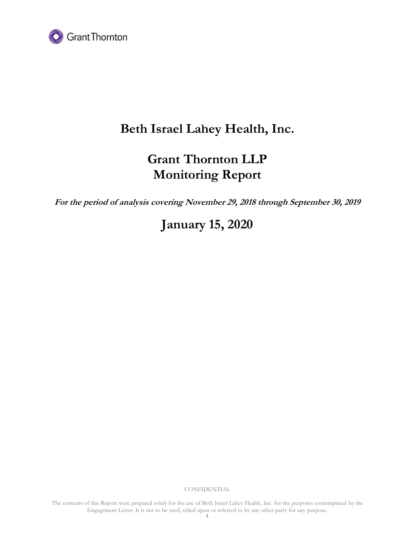

# **Beth Israel Lahey Health, Inc.**

# **Grant Thornton LLP Monitoring Report**

**For the period of analysis covering November 29, 2018 through September 30, 2019** 

**January 15, 2020**

**CONFIDENTIAL**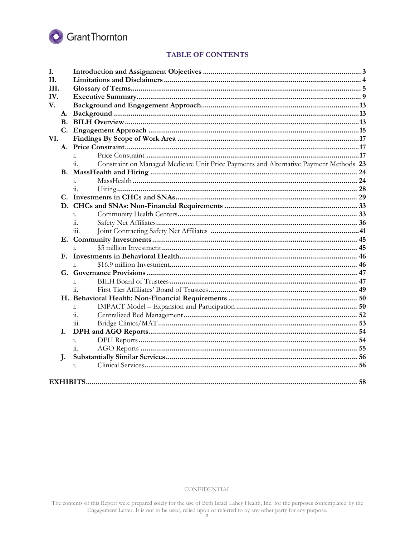

# **TABLE OF CONTENTS**

| I.   |                      |                                                                                              |     |  |
|------|----------------------|----------------------------------------------------------------------------------------------|-----|--|
| II.  |                      |                                                                                              |     |  |
| III. |                      |                                                                                              |     |  |
| IV.  |                      |                                                                                              |     |  |
| V.   |                      |                                                                                              |     |  |
|      | A.                   |                                                                                              |     |  |
|      |                      |                                                                                              |     |  |
|      |                      |                                                                                              |     |  |
| VI.  |                      |                                                                                              |     |  |
|      |                      |                                                                                              |     |  |
|      |                      | 1.                                                                                           |     |  |
|      |                      | Constraint on Managed Medicare Unit Price Payments and Alternative Payment Methods 23<br>11. |     |  |
|      |                      |                                                                                              |     |  |
|      |                      | $\mathbf{1}$ .                                                                               |     |  |
|      |                      | $\dddot{\mathbf{u}}$ .                                                                       |     |  |
|      |                      |                                                                                              |     |  |
|      |                      |                                                                                              |     |  |
|      |                      | i.                                                                                           |     |  |
|      |                      | $\overline{11}$ .                                                                            |     |  |
|      |                      | $\dddot{m}$ .                                                                                |     |  |
|      |                      |                                                                                              |     |  |
|      |                      | $\mathbf{i}$ .                                                                               |     |  |
|      | $\mathbf{F}_{\cdot}$ |                                                                                              |     |  |
|      |                      |                                                                                              |     |  |
|      |                      |                                                                                              |     |  |
|      |                      | i.                                                                                           |     |  |
|      |                      | ii.                                                                                          |     |  |
|      |                      |                                                                                              |     |  |
|      |                      | i.                                                                                           |     |  |
|      |                      | $\overline{\mathbf{11}}$ .                                                                   |     |  |
|      |                      | 111.                                                                                         |     |  |
| L.   |                      |                                                                                              |     |  |
|      |                      | $\mathbf{i}$ .                                                                               |     |  |
|      |                      | 11.                                                                                          |     |  |
| J.   |                      |                                                                                              |     |  |
|      |                      | i.                                                                                           |     |  |
|      |                      |                                                                                              |     |  |
|      |                      |                                                                                              | .58 |  |

CONFIDENTIAL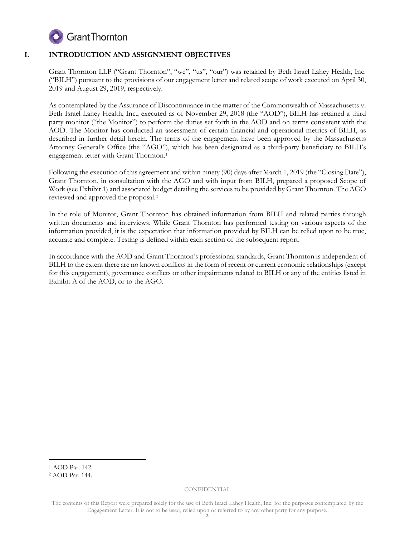

# **I. INTRODUCTION AND ASSIGNMENT OBJECTIVES**

Grant Thornton LLP ("Grant Thornton", "we", "us", "our") was retained by Beth Israel Lahey Health, Inc. ("BILH") pursuant to the provisions of our engagement letter and related scope of work executed on April 30, 2019 and August 29, 2019, respectively.

As contemplated by the Assurance of Discontinuance in the matter of the Commonwealth of Massachusetts v. Beth Israel Lahey Health, Inc., executed as of November 29, 2018 (the "AOD"), BILH has retained a third party monitor ("the Monitor") to perform the duties set forth in the AOD and on terms consistent with the AOD. The Monitor has conducted an assessment of certain financial and operational metrics of BILH, as described in further detail herein. The terms of the engagement have been approved by the Massachusetts Attorney General's Office (the "AGO"), which has been designated as a third-party beneficiary to BILH's engagement letter with Grant Thornton.<sup>1</sup>

Following the execution of this agreement and within ninety (90) days after March 1, 2019 (the "Closing Date"), Grant Thornton, in consultation with the AGO and with input from BILH, prepared a proposed Scope of Work (see Exhibit 1) and associated budget detailing the services to be provided by Grant Thornton. The AGO reviewed and approved the proposal.<sup>2</sup>

In the role of Monitor, Grant Thornton has obtained information from BILH and related parties through written documents and interviews. While Grant Thornton has performed testing on various aspects of the information provided, it is the expectation that information provided by BILH can be relied upon to be true, accurate and complete. Testing is defined within each section of the subsequent report.

In accordance with the AOD and Grant Thornton's professional standards, Grant Thornton is independent of BILH to the extent there are no known conflicts in the form of recent or current economic relationships (except for this engagement), governance conflicts or other impairments related to BILH or any of the entities listed in Exhibit A of the AOD, or to the AGO.

-

<sup>1</sup> AOD Par. 142.

<sup>2</sup> AOD Par. 144.

The contents of this Report were prepared solely for the use of Beth Israel Lahey Health, Inc. for the purposes contemplated by the Engagement Letter. It is not to be used, relied upon or referred to by any other party for any purpose.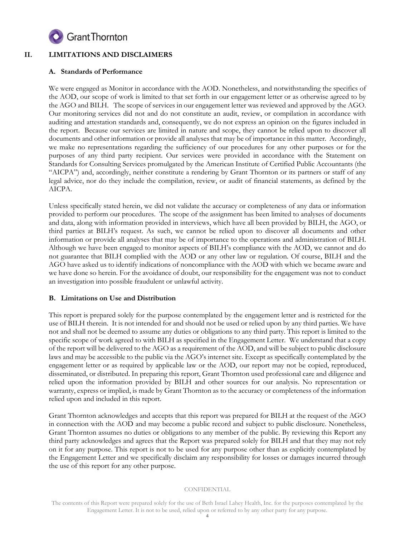

# **II. LIMITATIONS AND DISCLAIMERS**

# **A. Standards of Performance**

We were engaged as Monitor in accordance with the AOD. Nonetheless, and notwithstanding the specifics of the AOD, our scope of work is limited to that set forth in our engagement letter or as otherwise agreed to by the AGO and BILH. The scope of services in our engagement letter was reviewed and approved by the AGO. Our monitoring services did not and do not constitute an audit, review, or compilation in accordance with auditing and attestation standards and, consequently, we do not express an opinion on the figures included in the report. Because our services are limited in nature and scope, they cannot be relied upon to discover all documents and other information or provide all analyses that may be of importance in this matter. Accordingly, we make no representations regarding the sufficiency of our procedures for any other purposes or for the purposes of any third party recipient. Our services were provided in accordance with the Statement on Standards for Consulting Services promulgated by the American Institute of Certified Public Accountants (the "AICPA") and, accordingly, neither constitute a rendering by Grant Thornton or its partners or staff of any legal advice, nor do they include the compilation, review, or audit of financial statements, as defined by the AICPA.

Unless specifically stated herein, we did not validate the accuracy or completeness of any data or information provided to perform our procedures. The scope of the assignment has been limited to analyses of documents and data, along with information provided in interviews, which have all been provided by BILH, the AGO, or third parties at BILH's request. As such, we cannot be relied upon to discover all documents and other information or provide all analyses that may be of importance to the operations and administration of BILH. Although we have been engaged to monitor aspects of BILH's compliance with the AOD, we cannot and do not guarantee that BILH complied with the AOD or any other law or regulation. Of course, BILH and the AGO have asked us to identify indications of noncompliance with the AOD with which we became aware and we have done so herein. For the avoidance of doubt, our responsibility for the engagement was not to conduct an investigation into possible fraudulent or unlawful activity.

# **B. Limitations on Use and Distribution**

This report is prepared solely for the purpose contemplated by the engagement letter and is restricted for the use of BILH therein. It is not intended for and should not be used or relied upon by any third parties. We have not and shall not be deemed to assume any duties or obligations to any third party. This report is limited to the specific scope of work agreed to with BILH as specified in the Engagement Letter. We understand that a copy of the report will be delivered to the AGO as a requirement of the AOD, and will be subject to public disclosure laws and may be accessible to the public via the AGO's internet site. Except as specifically contemplated by the engagement letter or as required by applicable law or the AOD, our report may not be copied, reproduced, disseminated, or distributed. In preparing this report, Grant Thornton used professional care and diligence and relied upon the information provided by BILH and other sources for our analysis. No representation or warranty, express or implied, is made by Grant Thornton as to the accuracy or completeness of the information relied upon and included in this report.

Grant Thornton acknowledges and accepts that this report was prepared for BILH at the request of the AGO in connection with the AOD and may become a public record and subject to public disclosure. Nonetheless, Grant Thornton assumes no duties or obligations to any member of the public. By reviewing this Report any third party acknowledges and agrees that the Report was prepared solely for BILH and that they may not rely on it for any purpose. This report is not to be used for any purpose other than as explicitly contemplated by the Engagement Letter and we specifically disclaim any responsibility for losses or damages incurred through the use of this report for any other purpose.

The contents of this Report were prepared solely for the use of Beth Israel Lahey Health, Inc. for the purposes contemplated by the Engagement Letter. It is not to be used, relied upon or referred to by any other party for any purpose.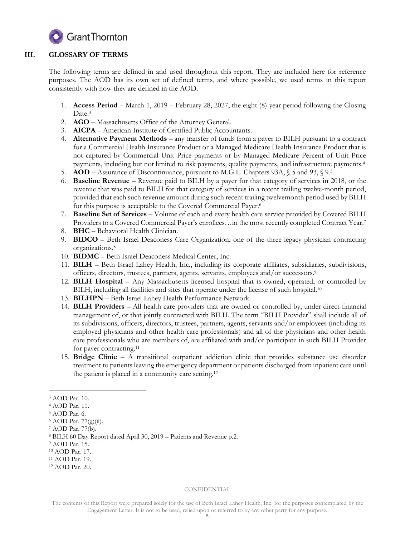

# **III. GLOSSARY OF TERMS**

The following terms are defined in and used throughout this report. They are included here for reference purposes. The AOD has its own set of defined terms, and where possible, we used terms in this report consistently with how they are defined in the AOD.

- 1. **Access Period** March 1, 2019 February 28, 2027, the eight (8) year period following the Closing Date.<sup>3</sup>
- 2. **AGO**  Massachusetts Office of the Attorney General.
- 3. **AICPA** American Institute of Certified Public Accountants.
- 4. **Alternative Payment Methods** any transfer of funds from a payer to BILH pursuant to a contract for a Commercial Health Insurance Product or a Managed Medicare Health Insurance Product that is not captured by Commercial Unit Price payments or by Managed Medicare Percent of Unit Price payments, including but not limited to risk payments, quality payments, and infrastructure payments.<sup>4</sup>
- 5. **AOD** Assurance of Discontinuance, pursuant to M.G.L. Chapters 93A, § 5 and 93, § 9.<sup>5</sup>
- 6. **Baseline Revenue** Revenue paid to BILH by a payer for that category of services in 2018, or the revenue that was paid to BILH for that category of services in a recent trailing twelve-month period, provided that each such revenue amount during such recent trailing twelvemonth period used by BILH for this purpose is acceptable to the Covered Commercial Payer.<sup>6</sup>
- 7. **Baseline Set of Services** Volume of each and every health care service provided by Covered BILH Providers to a Covered Commercial Payer's enrollees…in the most recently completed Contract Year. 7
- 8. **BHC** Behavioral Health Clinician.
- 9. **BIDCO** Beth Israel Deaconess Care Organization, one of the three legacy physician contracting organizations.<sup>8</sup>
- 10. **BIDMC** Beth Israel Deaconess Medical Center, Inc.
- 11. **BILH** Beth Israel Lahey Health, Inc., including its corporate affiliates, subsidiaries, subdivisions, officers, directors, trustees, partners, agents, servants, employees and/or successors. 9
- 12. **BILH Hospital** Any Massachusetts licensed hospital that is owned, operated, or controlled by BILH, including all facilities and sites that operate under the license of such hospital.<sup>10</sup>
- 13. **BILHPN** Beth Israel Lahey Health Performance Network.
- 14. **BILH Providers** All health care providers that are owned or controlled by, under direct financial management of, or that jointly contracted with BILH. The term "BILH Provider" shall include all of its subdivisions, officers, directors, trustees, partners, agents, servants and/or employees (including its employed physicians and other health care professionals) and all of the physicians and other health care professionals who are members of, are affiliated with and/or participate in such BILH Provider for payer contracting.<sup>11</sup>
- 15. **Bridge Clinic** A transitional outpatient addiction clinic that provides substance use disorder treatment to patients leaving the emergency department or patients discharged from inpatient care until the patient is placed in a community care setting. 12

#### CONFIDENTIAL

<sup>-</sup><sup>3</sup> AOD Par. 10.

<sup>4</sup> AOD Par. 11.

<sup>5</sup> AOD Par. 6.

<sup>6</sup> AOD Par. 77(g)(ii).

<sup>7</sup> AOD Par. 77(b).

<sup>8</sup> BILH 60 Day Report dated April 30, 2019 – Patients and Revenue p.2.

<sup>9</sup> AOD Par. 15.

<sup>10</sup> AOD Par. 17.

<sup>11</sup> AOD Par. 19.

<sup>12</sup> AOD Par. 20.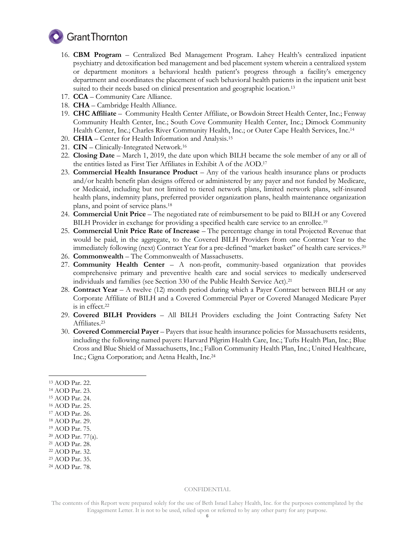

- 16. **CBM Program** Centralized Bed Management Program. Lahey Health's centralized inpatient psychiatry and detoxification bed management and bed placement system wherein a centralized system or department monitors a behavioral health patient's progress through a facility's emergency department and coordinates the placement of such behavioral health patients in the inpatient unit best suited to their needs based on clinical presentation and geographic location.<sup>13</sup>
- 17. **CCA**  Community Care Alliance.
- 18. **CHA** Cambridge Health Alliance.
- 19. **CHC Affiliate** Community Health Center Affiliate, or Bowdoin Street Health Center, Inc.; Fenway Community Health Center, Inc.; South Cove Community Health Center, Inc.; Dimock Community Health Center, Inc.; Charles River Community Health, Inc.; or Outer Cape Health Services, Inc.<sup>14</sup>
- 20. **CHIA** Center for Health Information and Analysis. 15
- 21. **CIN**  Clinically-Integrated Network. 16
- 22. **Closing Date**  March 1, 2019, the date upon which BILH became the sole member of any or all of the entities listed as First Tier Affiliates in Exhibit A of the AOD. 17
- 23. **Commercial Health Insurance Product** Any of the various health insurance plans or products and/or health benefit plan designs offered or administered by any payer and not funded by Medicare, or Medicaid, including but not limited to tiered network plans, limited network plans, self-insured health plans, indemnity plans, preferred provider organization plans, health maintenance organization plans, and point of service plans.<sup>18</sup>
- 24. **Commercial Unit Price** The negotiated rate of reimbursement to be paid to BILH or any Covered BILH Provider in exchange for providing a specified health care service to an enrollee.<sup>19</sup>
- 25. **Commercial Unit Price Rate of Increase**  The percentage change in total Projected Revenue that would be paid, in the aggregate, to the Covered BILH Providers from one Contract Year to the immediately following (next) Contract Year for a pre-defined "market basket" of health care services.<sup>20</sup>
- 26. **Commonwealth** The Commonwealth of Massachusetts.
- 27. **Community Health Center** A non-profit, community-based organization that provides comprehensive primary and preventive health care and social services to medically underserved individuals and families (see Section 330 of the Public Health Service Act).<sup>21</sup>
- 28. **Contract Year** A twelve (12) month period during which a Payer Contract between BILH or any Corporate Affiliate of BILH and a Covered Commercial Payer or Covered Managed Medicare Payer is in effect.<sup>22</sup>
- 29. **Covered BILH Providers** All BILH Providers excluding the Joint Contracting Safety Net Affiliates.<sup>23</sup>
- 30. **Covered Commercial Payer** Payers that issue health insurance policies for Massachusetts residents, including the following named payers: Harvard Pilgrim Health Care, Inc.; Tufts Health Plan, Inc.; Blue Cross and Blue Shield of Massachusetts, Inc.; Fallon Community Health Plan, Inc.; United Healthcare, Inc.; Cigna Corporation; and Aetna Health, Inc. 24
- <sup>13</sup> AOD Par. 22.

-

<sup>14</sup> AOD Par. 23.

- <sup>16</sup> AOD Par. 25.
- <sup>17</sup> AOD Par. 26.
- <sup>18</sup> AOD Par. 29.
- <sup>19</sup> AOD Par. 75.
- <sup>20</sup> AOD Par. 77(a). <sup>21</sup> AOD Par. 28.
- <sup>22</sup> AOD Par. 32.
- <sup>23</sup> AOD Par. 35.
- <sup>24</sup> AOD Par. 78.

#### CONFIDENTIAL

<sup>15</sup> AOD Par. 24.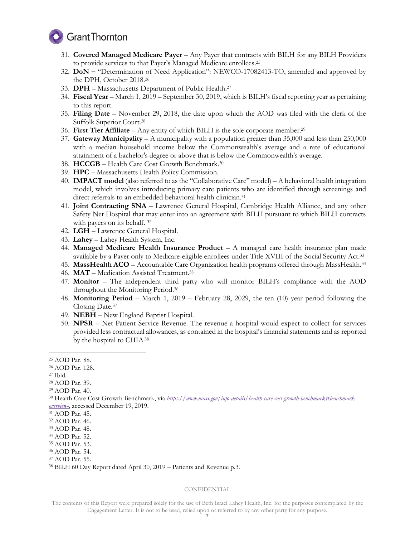

- 31. **Covered Managed Medicare Payer** Any Payer that contracts with BILH for any BILH Providers to provide services to that Payer's Managed Medicare enrollees. 25
- 32. **DoN –** "Determination of Need Application": NEWCO-17082413-TO, amended and approved by the DPH, October 2018.<sup>26</sup>
- 33. **DPH**  Massachusetts Department of Public Health. 27
- 34. **Fiscal Year** March 1, 2019 September 30, 2019, which is BILH's fiscal reporting year as pertaining to this report.
- 35. **Filing Date** November 29, 2018, the date upon which the AOD was filed with the clerk of the Suffolk Superior Court.<sup>28</sup>
- 36. **First Tier Affiliate** Any entity of which BILH is the sole corporate member.<sup>29</sup>
- 37. **Gateway Municipality** A municipality with a population greater than 35,000 and less than 250,000 with a median household income below the Commonwealth's average and a rate of educational attainment of a bachelor's degree or above that is below the Commonwealth's average.
- 38. **HCCGB** Health Care Cost Growth Benchmark.<sup>30</sup>
- 39. **HPC** Massachusetts Health Policy Commission.
- 40. **IMPACT model** (also referred to as the "Collaborative Care" model) A behavioral health integration model, which involves introducing primary care patients who are identified through screenings and direct referrals to an embedded behavioral health clinician.<sup>31</sup>
- 41. **Joint Contracting SNA** Lawrence General Hospital, Cambridge Health Alliance, and any other Safety Net Hospital that may enter into an agreement with BILH pursuant to which BILH contracts with payers on its behalf.<sup>32</sup>
- 42. **LGH** Lawrence General Hospital.
- 43. **Lahey** Lahey Health System, Inc.
- 44. **Managed Medicare Health Insurance Product** A managed care health insurance plan made available by a Payer only to Medicare-eligible enrollees under Title XVIII of the Social Security Act.<sup>33</sup>
- 45. MassHealth ACO Accountable Care Organization health programs offered through MassHealth.<sup>34</sup>
- 46. **MAT** Medication Assisted Treatment.<sup>35</sup>
- 47. **Monitor** The independent third party who will monitor BILH's compliance with the AOD throughout the Monitoring Period.<sup>36</sup>
- 48. **Monitoring Period** March 1, 2019 February 28, 2029, the ten (10) year period following the Closing Date. 37
- 49. **NEBH** New England Baptist Hospital.
- 50. **NPSR**  Net Patient Service Revenue. The revenue a hospital would expect to collect for services provided less contractual allowances, as contained in the hospital's financial statements and as reported by the hospital to CHIA.38

-

<sup>25</sup> AOD Par. 88.

<sup>26</sup> AOD Par. 128.

<sup>27</sup> Ibid.

<sup>28</sup> AOD Par. 39.

<sup>29</sup> AOD Par. 40.

<sup>&</sup>lt;sup>30</sup> Health Care Cost Growth Benchmark, via *[https://www.mass.gov/info-details/health-care-cost-growth-benchmark#benchmark](https://www.mass.gov/info-details/health-care-cost-growth-benchmark#benchmark-overview-)[overview-](https://www.mass.gov/info-details/health-care-cost-growth-benchmark#benchmark-overview-)*, accessed December 19, 2019.

<sup>31</sup> AOD Par. 45.

<sup>32</sup> AOD Par. 46.

<sup>33</sup> AOD Par. 48.

<sup>34</sup> AOD Par. 52.

<sup>35</sup> AOD Par. 53.

<sup>36</sup> AOD Par. 54.

<sup>37</sup> AOD Par. 55.

<sup>38</sup> BILH 60 Day Report dated April 30, 2019 – Patients and Revenue p.3.

The contents of this Report were prepared solely for the use of Beth Israel Lahey Health, Inc. for the purposes contemplated by the Engagement Letter. It is not to be used, relied upon or referred to by any other party for any purpose.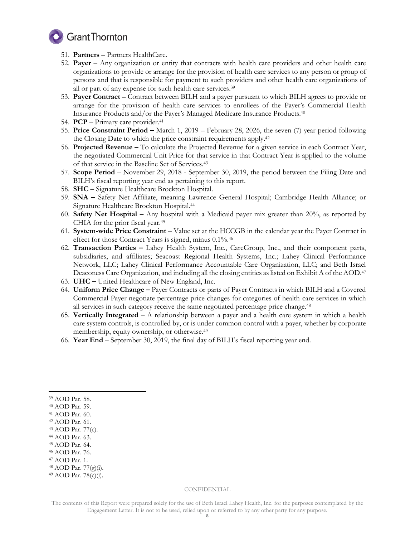

- 51. **Partners** Partners HealthCare.
- 52. **Payer** Any organization or entity that contracts with health care providers and other health care organizations to provide or arrange for the provision of health care services to any person or group of persons and that is responsible for payment to such providers and other health care organizations of all or part of any expense for such health care services. 39
- 53. **Payer Contract** Contract between BILH and a payer pursuant to which BILH agrees to provide or arrange for the provision of health care services to enrollees of the Payer's Commercial Health Insurance Products and/or the Payer's Managed Medicare Insurance Products.<sup>40</sup>
- 54. **PCP** Primary care provider.<sup>41</sup>
- 55. **Price Constraint Period –** March 1, 2019 February 28, 2026, the seven (7) year period following the Closing Date to which the price constraint requirements apply.<sup>42</sup>
- 56. **Projected Revenue –** To calculate the Projected Revenue for a given service in each Contract Year, the negotiated Commercial Unit Price for that service in that Contract Year is applied to the volume of that service in the Baseline Set of Services.<sup>43</sup>
- 57. **Scope Period**  November 29, 2018 September 30, 2019, the period between the Filing Date and BILH's fiscal reporting year end as pertaining to this report.
- 58. **SHC –** Signature Healthcare Brockton Hospital.
- 59. **SNA –** Safety Net Affiliate, meaning Lawrence General Hospital; Cambridge Health Alliance; or Signature Healthcare Brockton Hospital. 44
- 60. **Safety Net Hospital –** Any hospital with a Medicaid payer mix greater than 20%, as reported by CHIA for the prior fiscal year.<sup>45</sup>
- 61. **System-wide Price Constraint** Value set at the HCCGB in the calendar year the Payer Contract in effect for those Contract Years is signed, minus 0.1%.<sup>46</sup>
- 62. **Transaction Parties –** Lahey Health System, Inc., CareGroup, Inc., and their component parts, subsidiaries, and affiliates; Seacoast Regional Health Systems, Inc.; Lahey Clinical Performance Network, LLC; Lahey Clinical Performance Accountable Care Organization, LLC; and Beth Israel Deaconess Care Organization, and including all the closing entities as listed on Exhibit A of the AOD.<sup>47</sup>
- 63. **UHC –** United Healthcare of New England, Inc.
- 64. **Uniform Price Change –** Payer Contracts or parts of Payer Contracts in which BILH and a Covered Commercial Payer negotiate percentage price changes for categories of health care services in which all services in such category receive the same negotiated percentage price change.<sup>48</sup>
- 65. **Vertically Integrated** A relationship between a payer and a health care system in which a health care system controls, is controlled by, or is under common control with a payer, whether by corporate membership, equity ownership, or otherwise.<sup>49</sup>
- 66. **Year End**  September 30, 2019, the final day of BILH's fiscal reporting year end.

-

<sup>45</sup> AOD Par. 64.

<sup>47</sup> AOD Par. 1.

<sup>39</sup> AOD Par. 58.

<sup>40</sup> AOD Par. 59.

<sup>41</sup> AOD Par. 60. <sup>42</sup> AOD Par. 61.

<sup>43</sup> AOD Par. 77(c).

<sup>44</sup> AOD Par. 63.

<sup>46</sup> AOD Par. 76.

<sup>48</sup> AOD Par. 77(g)(i).

<sup>49</sup> AOD Par. 78(c)(i).

The contents of this Report were prepared solely for the use of Beth Israel Lahey Health, Inc. for the purposes contemplated by the Engagement Letter. It is not to be used, relied upon or referred to by any other party for any purpose.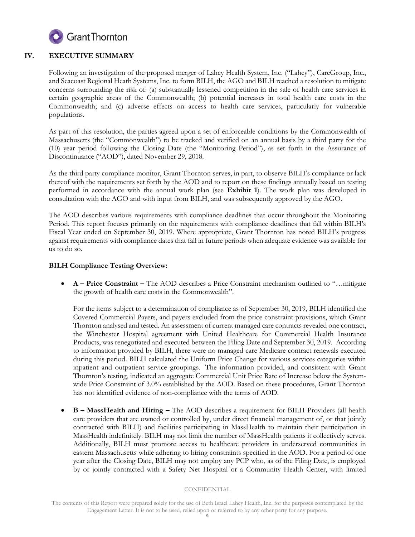

# **IV. EXECUTIVE SUMMARY**

Following an investigation of the proposed merger of Lahey Health System, Inc. ("Lahey"), CareGroup, Inc., and Seacoast Regional Heath Systems, Inc. to form BILH, the AGO and BILH reached a resolution to mitigate concerns surrounding the risk of: (a) substantially lessened competition in the sale of health care services in certain geographic areas of the Commonwealth; (b) potential increases in total health care costs in the Commonwealth; and (c) adverse effects on access to health care services, particularly for vulnerable populations.

As part of this resolution, the parties agreed upon a set of enforceable conditions by the Commonwealth of Massachusetts (the "Commonwealth") to be tracked and verified on an annual basis by a third party for the (10) year period following the Closing Date (the "Monitoring Period"), as set forth in the Assurance of Discontinuance ("AOD"), dated November 29, 2018.

As the third party compliance monitor, Grant Thornton serves, in part, to observe BILH's compliance or lack thereof with the requirements set forth by the AOD and to report on these findings annually based on testing performed in accordance with the annual work plan (see **Exhibit 1**). The work plan was developed in consultation with the AGO and with input from BILH, and was subsequently approved by the AGO.

The AOD describes various requirements with compliance deadlines that occur throughout the Monitoring Period. This report focuses primarily on the requirements with compliance deadlines that fall within BILH's Fiscal Year ended on September 30, 2019. Where appropriate, Grant Thornton has noted BILH's progress against requirements with compliance dates that fall in future periods when adequate evidence was available for us to do so.

# **BILH Compliance Testing Overview:**

 **A – Price Constraint –** The AOD describes a Price Constraint mechanism outlined to "…mitigate the growth of health care costs in the Commonwealth".

For the items subject to a determination of compliance as of September 30, 2019, BILH identified the Covered Commercial Payers, and payers excluded from the price constraint provisions, which Grant Thornton analysed and tested. An assessment of current managed care contracts revealed one contract, the Winchester Hospital agreement with United Healthcare for Commercial Health Insurance Products, was renegotiated and executed between the Filing Date and September 30, 2019. According to information provided by BILH, there were no managed care Medicare contract renewals executed during this period. BILH calculated the Uniform Price Change for various services categories within inpatient and outpatient service groupings. The information provided, and consistent with Grant Thornton's testing, indicated an aggregate Commercial Unit Price Rate of Increase below the Systemwide Price Constraint of 3.0% established by the AOD. Based on these procedures, Grant Thornton has not identified evidence of non-compliance with the terms of AOD.

 **B – MassHealth and Hiring –** The AOD describes a requirement for BILH Providers (all health care providers that are owned or controlled by, under direct financial management of, or that jointly contracted with BILH) and facilities participating in MassHealth to maintain their participation in MassHealth indefinitely. BILH may not limit the number of MassHealth patients it collectively serves. Additionally, BILH must promote access to healthcare providers in underserved communities in eastern Massachusetts while adhering to hiring constraints specified in the AOD. For a period of one year after the Closing Date, BILH may not employ any PCP who, as of the Filing Date, is employed by or jointly contracted with a Safety Net Hospital or a Community Health Center, with limited

The contents of this Report were prepared solely for the use of Beth Israel Lahey Health, Inc. for the purposes contemplated by the Engagement Letter. It is not to be used, relied upon or referred to by any other party for any purpose.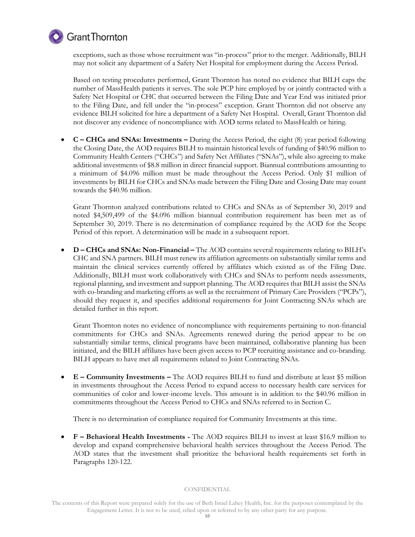

# **C** Grant Thornton

exceptions, such as those whose recruitment was "in-process" prior to the merger. Additionally, BILH may not solicit any department of a Safety Net Hospital for employment during the Access Period.

Based on testing procedures performed, Grant Thornton has noted no evidence that BILH caps the number of MassHealth patients it serves. The sole PCP hire employed by or jointly contracted with a Safety Net Hospital or CHC that occurred between the Filing Date and Year End was initiated prior to the Filing Date, and fell under the "in-process" exception. Grant Thornton did not observe any evidence BILH solicited for hire a department of a Safety Net Hospital. Overall, Grant Thornton did not discover any evidence of noncompliance with AOD terms related to MassHealth or hiring.

 **C – CHCs and SNAs: Investments –** During the Access Period, the eight (8) year period following the Closing Date, the AOD requires BILH to maintain historical levels of funding of \$40.96 million to Community Health Centers ("CHCs") and Safety Net Affiliates ("SNAs"), while also agreeing to make additional investments of \$8.8 million in direct financial support. Biannual contributions amounting to a minimum of \$4.096 million must be made throughout the Access Period. Only \$1 million of investments by BILH for CHCs and SNAs made between the Filing Date and Closing Date may count towards the \$40.96 million.

Grant Thornton analyzed contributions related to CHCs and SNAs as of September 30, 2019 and noted \$4,509,499 of the \$4.096 million biannual contribution requirement has been met as of September 30, 2019. There is no determination of compliance required by the AOD for the Scope Period of this report. A determination will be made in a subsequent report.

 **D – CHCs and SNAs: Non-Financial –** The AOD contains several requirements relating to BILH's CHC and SNA partners. BILH must renew its affiliation agreements on substantially similar terms and maintain the clinical services currently offered by affiliates which existed as of the Filing Date. Additionally, BILH must work collaboratively with CHCs and SNAs to perform needs assessments, regional planning, and investment and support planning. The AOD requires that BILH assist the SNAs with co-branding and marketing efforts as well as the recruitment of Primary Care Providers ("PCPs"), should they request it, and specifies additional requirements for Joint Contracting SNAs which are detailed further in this report.

Grant Thornton notes no evidence of noncompliance with requirements pertaining to non-financial commitments for CHCs and SNAs. Agreements renewed during the period appear to be on substantially similar terms, clinical programs have been maintained, collaborative planning has been initiated, and the BILH affiliates have been given access to PCP recruiting assistance and co-branding. BILH appears to have met all requirements related to Joint Contracting SNAs.

 **E – Community Investments –** The AOD requires BILH to fund and distribute at least \$5 million in investments throughout the Access Period to expand access to necessary health care services for communities of color and lower-income levels. This amount is in addition to the \$40.96 million in commitments throughout the Access Period to CHCs and SNAs referred to in Section C.

There is no determination of compliance required for Community Investments at this time.

 **F – Behavioral Health Investments -** The AOD requires BILH to invest at least \$16.9 million to develop and expand comprehensive behavioral health services throughout the Access Period. The AOD states that the investment shall prioritize the behavioral health requirements set forth in Paragraphs 120-122.

The contents of this Report were prepared solely for the use of Beth Israel Lahey Health, Inc. for the purposes contemplated by the Engagement Letter. It is not to be used, relied upon or referred to by any other party for any purpose.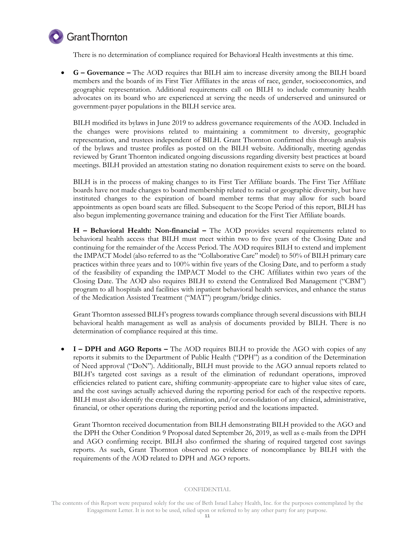

There is no determination of compliance required for Behavioral Health investments at this time.

 **G – Governance –** The AOD requires that BILH aim to increase diversity among the BILH board members and the boards of its First Tier Affiliates in the areas of race, gender, socioeconomics, and geographic representation. Additional requirements call on BILH to include community health advocates on its board who are experienced at serving the needs of underserved and uninsured or government-payer populations in the BILH service area.

BILH modified its bylaws in June 2019 to address governance requirements of the AOD. Included in the changes were provisions related to maintaining a commitment to diversity, geographic representation, and trustees independent of BILH. Grant Thornton confirmed this through analysis of the bylaws and trustee profiles as posted on the BILH website. Additionally, meeting agendas reviewed by Grant Thornton indicated ongoing discussions regarding diversity best practices at board meetings. BILH provided an attestation stating no donation requirement exists to serve on the board.

BILH is in the process of making changes to its First Tier Affiliate boards. The First Tier Affiliate boards have not made changes to board membership related to racial or geographic diversity, but have instituted changes to the expiration of board member terms that may allow for such board appointments as open board seats are filled. Subsequent to the Scope Period of this report, BILH has also begun implementing governance training and education for the First Tier Affiliate boards.

**H – Behavioral Health: Non-financial –** The AOD provides several requirements related to behavioral health access that BILH must meet within two to five years of the Closing Date and continuing for the remainder of the Access Period. The AOD requires BILH to extend and implement the IMPACT Model (also referred to as the "Collaborative Care" model) to 50% of BILH primary care practices within three years and to 100% within five years of the Closing Date, and to perform a study of the feasibility of expanding the IMPACT Model to the CHC Affiliates within two years of the Closing Date. The AOD also requires BILH to extend the Centralized Bed Management ("CBM") program to all hospitals and facilities with inpatient behavioral health services, and enhance the status of the Medication Assisted Treatment ("MAT") program/bridge clinics.

Grant Thornton assessed BILH's progress towards compliance through several discussions with BILH behavioral health management as well as analysis of documents provided by BILH. There is no determination of compliance required at this time.

 **I – DPH and AGO Reports –** The AOD requires BILH to provide the AGO with copies of any reports it submits to the Department of Public Health ("DPH") as a condition of the Determination of Need approval ("DoN"). Additionally, BILH must provide to the AGO annual reports related to BILH's targeted cost savings as a result of the elimination of redundant operations, improved efficiencies related to patient care, shifting community-appropriate care to higher value sites of care, and the cost savings actually achieved during the reporting period for each of the respective reports. BILH must also identify the creation, elimination, and/or consolidation of any clinical, administrative, financial, or other operations during the reporting period and the locations impacted.

Grant Thornton received documentation from BILH demonstrating BILH provided to the AGO and the DPH the Other Condition 9 Proposal dated September 26, 2019, as well as e-mails from the DPH and AGO confirming receipt. BILH also confirmed the sharing of required targeted cost savings reports. As such, Grant Thornton observed no evidence of noncompliance by BILH with the requirements of the AOD related to DPH and AGO reports.

The contents of this Report were prepared solely for the use of Beth Israel Lahey Health, Inc. for the purposes contemplated by the Engagement Letter. It is not to be used, relied upon or referred to by any other party for any purpose.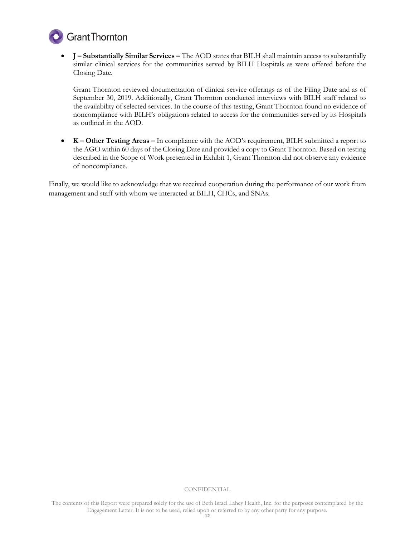

 **J – Substantially Similar Services –** The AOD states that BILH shall maintain access to substantially similar clinical services for the communities served by BILH Hospitals as were offered before the Closing Date.

Grant Thornton reviewed documentation of clinical service offerings as of the Filing Date and as of September 30, 2019. Additionally, Grant Thornton conducted interviews with BILH staff related to the availability of selected services. In the course of this testing, Grant Thornton found no evidence of noncompliance with BILH's obligations related to access for the communities served by its Hospitals as outlined in the AOD.

 **K – Other Testing Areas –** In compliance with the AOD's requirement, BILH submitted a report to the AGO within 60 days of the Closing Date and provided a copy to Grant Thornton. Based on testing described in the Scope of Work presented in Exhibit 1, Grant Thornton did not observe any evidence of noncompliance.

Finally, we would like to acknowledge that we received cooperation during the performance of our work from management and staff with whom we interacted at BILH, CHCs, and SNAs.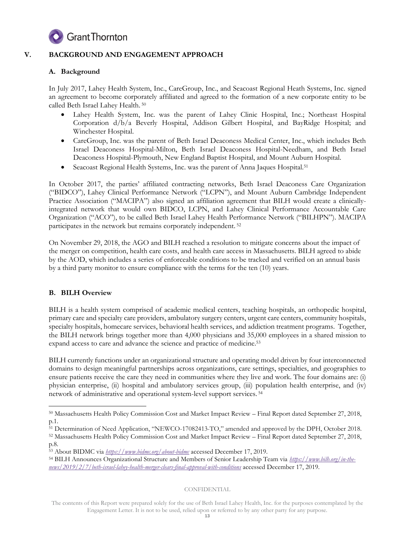

# **V. BACKGROUND AND ENGAGEMENT APPROACH**

# **A. Background**

In July 2017, Lahey Health System, Inc., CareGroup, Inc., and Seacoast Regional Heath Systems, Inc. signed an agreement to become corporately affiliated and agreed to the formation of a new corporate entity to be called Beth Israel Lahey Health. 50

- Lahey Health System, Inc. was the parent of Lahey Clinic Hospital, Inc.; Northeast Hospital Corporation d/b/a Beverly Hospital, Addison Gilbert Hospital, and BayRidge Hospital; and Winchester Hospital.
- CareGroup, Inc. was the parent of Beth Israel Deaconess Medical Center, Inc., which includes Beth Israel Deaconess Hospital-Milton, Beth Israel Deaconess Hospital-Needham, and Beth Israel Deaconess Hospital-Plymouth, New England Baptist Hospital, and Mount Auburn Hospital.
- Seacoast Regional Health Systems, Inc. was the parent of Anna Jaques Hospital.<sup>51</sup>

In October 2017, the parties' affiliated contracting networks, Beth Israel Deaconess Care Organization ("BIDCO"), Lahey Clinical Performance Network ("LCPN"), and Mount Auburn Cambridge Independent Practice Association ("MACIPA") also signed an affiliation agreement that BILH would create a clinicallyintegrated network that would own BIDCO, LCPN, and Lahey Clinical Performance Accountable Care Organization ("ACO"), to be called Beth Israel Lahey Health Performance Network ("BILHPN"). MACIPA participates in the network but remains corporately independent. <sup>52</sup>

On November 29, 2018, the AGO and BILH reached a resolution to mitigate concerns about the impact of the merger on competition, health care costs, and health care access in Massachusetts. BILH agreed to abide by the AOD, which includes a series of enforceable conditions to be tracked and verified on an annual basis by a third party monitor to ensure compliance with the terms for the ten (10) years.

# **B. BILH Overview**

BILH is a health system comprised of academic medical centers, teaching hospitals, an orthopedic hospital, primary care and specialty care providers, ambulatory surgery centers, urgent care centers, community hospitals, specialty hospitals, homecare services, behavioral health services, and addiction treatment programs. Together, the BILH network brings together more than 4,000 physicians and 35,000 employees in a shared mission to expand access to care and advance the science and practice of medicine. 53

BILH currently functions under an organizational structure and operating model driven by four interconnected domains to design meaningful partnerships across organizations, care settings, specialties, and geographies to ensure patients receive the care they need in communities where they live and work. The four domains are: (i) physician enterprise, (ii) hospital and ambulatory services group, (iii) population health enterprise, and (iv) network of administrative and operational system-level support services. 54

**CONFIDENTIAL** 

<sup>-</sup><sup>50</sup> Massachusetts Health Policy Commission Cost and Market Impact Review – Final Report dated September 27, 2018, p.1.

<sup>51</sup> Determination of Need Application, "NEWCO-17082413-TO," amended and approved by the DPH, October 2018.

<sup>52</sup> Massachusetts Health Policy Commission Cost and Market Impact Review – Final Report dated September 27, 2018, p.8.

<sup>53</sup> About BIDMC via *<https://www.bidmc.org/about-bidmc>* accessed December 17, 2019.

<sup>54</sup> BILH Announces Organizational Structure and Members of Senior Leadership Team via *[https://www.bilh.org/in-the](https://www.bilh.org/in-the-news/2019/2/7/beth-israel-lahey-health-merger-clears-final-approval-with-conditions)[news/2019/2/7/beth-israel-lahey-health-merger-clears-final-approval-with-conditions](https://www.bilh.org/in-the-news/2019/2/7/beth-israel-lahey-health-merger-clears-final-approval-with-conditions)* accessed December 17, 2019.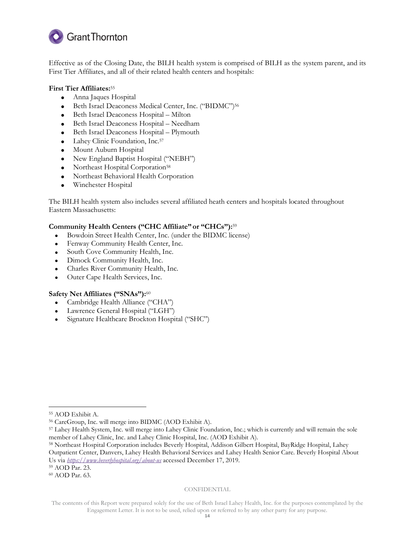

Effective as of the Closing Date, the BILH health system is comprised of BILH as the system parent, and its First Tier Affiliates, and all of their related health centers and hospitals:

# **First Tier Affiliates:**<sup>55</sup>

- Anna Jaques Hospital
- Beth Israel Deaconess Medical Center, Inc. ("BIDMC")<sup>56</sup>
- Beth Israel Deaconess Hospital Milton
- Beth Israel Deaconess Hospital Needham
- Beth Israel Deaconess Hospital Plymouth
- Lahey Clinic Foundation, Inc.<sup>57</sup>
- Mount Auburn Hospital
- New England Baptist Hospital ("NEBH")
- Northeast Hospital Corporation<sup>58</sup>
- Northeast Behavioral Health Corporation
- Winchester Hospital

The BILH health system also includes several affiliated heath centers and hospitals located throughout Eastern Massachusetts:

# **Community Health Centers ("CHC Affiliate" or "CHCs"):**<sup>59</sup>

- Bowdoin Street Health Center, Inc. (under the BIDMC license)
- Fenway Community Health Center, Inc.
- South Cove Community Health, Inc.
- Dimock Community Health, Inc.
- Charles River Community Health, Inc.
- Outer Cape Health Services, Inc.

# **Safety Net Affiliates ("SNAs"):**<sup>60</sup>

- Cambridge Health Alliance ("CHA")
- Lawrence General Hospital ("LGH")
- Signature Healthcare Brockton Hospital ("SHC")

-

<sup>58</sup> Northeast Hospital Corporation includes Beverly Hospital, Addison Gilbert Hospital, BayRidge Hospital, Lahey Outpatient Center, Danvers, Lahey Health Behavioral Services and Lahey Health Senior Care. Beverly Hospital About Us via *<https://www.beverlyhospital.org/about-us>* accessed December 17, 2019.

<sup>59</sup> AOD Par. 23.

<sup>60</sup> AOD Par. 63.

#### **CONFIDENTIAL**

<sup>55</sup> AOD Exhibit A.

<sup>56</sup> CareGroup, Inc. will merge into BIDMC (AOD Exhibit A).

<sup>57</sup> Lahey Health System, Inc. will merge into Lahey Clinic Foundation, Inc.; which is currently and will remain the sole member of Lahey Clinic, Inc. and Lahey Clinic Hospital, Inc. (AOD Exhibit A).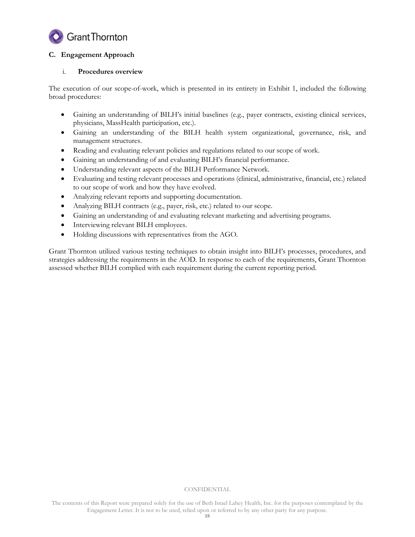

# **C. Engagement Approach**

# i. **Procedures overview**

The execution of our scope-of-work, which is presented in its entirety in Exhibit 1, included the following broad procedures:

- Gaining an understanding of BILH's initial baselines (e.g., payer contracts, existing clinical services, physicians, MassHealth participation, etc.).
- Gaining an understanding of the BILH health system organizational, governance, risk, and management structures.
- Reading and evaluating relevant policies and regulations related to our scope of work.
- Gaining an understanding of and evaluating BILH's financial performance.
- Understanding relevant aspects of the BILH Performance Network.
- Evaluating and testing relevant processes and operations (clinical, administrative, financial, etc.) related to our scope of work and how they have evolved.
- Analyzing relevant reports and supporting documentation.
- Analyzing BILH contracts (e.g., payer, risk, etc.) related to our scope.
- Gaining an understanding of and evaluating relevant marketing and advertising programs.
- Interviewing relevant BILH employees.
- Holding discussions with representatives from the AGO.

Grant Thornton utilized various testing techniques to obtain insight into BILH's processes, procedures, and strategies addressing the requirements in the AOD. In response to each of the requirements, Grant Thornton assessed whether BILH complied with each requirement during the current reporting period.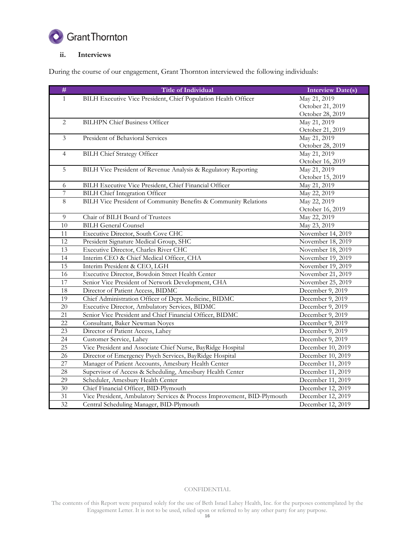

# **ii. Interviews**

During the course of our engagement, Grant Thornton interviewed the following individuals:

| $\#$            | <b>Title of Individual</b>                                              | <b>Interview Date(s)</b> |
|-----------------|-------------------------------------------------------------------------|--------------------------|
| 1               | BILH Executive Vice President, Chief Population Health Officer          | May 21, 2019             |
|                 |                                                                         | October 21, 2019         |
|                 |                                                                         | October 28, 2019         |
| 2               | <b>BILHPN Chief Business Officer</b>                                    | May 21, 2019             |
|                 |                                                                         | October 21, 2019         |
| 3               | President of Behavioral Services                                        | May 21, 2019             |
|                 |                                                                         | October 28, 2019         |
| $\overline{4}$  | <b>BILH Chief Strategy Officer</b>                                      | May 21, 2019             |
|                 |                                                                         | October 16, 2019         |
| 5               | BILH Vice President of Revenue Analysis & Regulatory Reporting          | May 21, 2019             |
|                 |                                                                         | October 15, 2019         |
| 6               | BILH Executive Vice President, Chief Financial Officer                  | May 21, 2019             |
| $\overline{7}$  | <b>BILH Chief Integration Officer</b>                                   | May 22, 2019             |
| $\overline{8}$  | BILH Vice President of Community Benefits & Community Relations         | May 22, 2019             |
|                 |                                                                         | October 16, 2019         |
| 9               | Chair of BILH Board of Trustees                                         | May 22, 2019             |
| 10              | <b>BILH General Counsel</b>                                             | May 23, 2019             |
| 11              | Executive Director, South Cove CHC                                      | November 14, 2019        |
| 12              | President Signature Medical Group, SHC                                  | November 18, 2019        |
| 13              | Executive Director, Charles River CHC                                   | November 18, 2019        |
| 14              | Interim CEO & Chief Medical Officer, CHA                                | November 19, 2019        |
| 15              | Interim President & CEO, LGH                                            | November 19, 2019        |
| 16              | Executive Director, Bowdoin Street Health Center                        | November 21, 2019        |
| 17              | Senior Vice President of Network Development, CHA                       | November 25, 2019        |
| $18\,$          | Director of Patient Access, BIDMC                                       | December 9, 2019         |
| 19              | Chief Administration Officer of Dept. Medicine, BIDMC                   | December 9, 2019         |
| 20              | Executive Director, Ambulatory Services, BIDMC                          | December 9, 2019         |
| 21              | Senior Vice President and Chief Financial Officer, BIDMC                | December 9, 2019         |
| 22              | Consultant, Baker Newman Noyes                                          | December 9, 2019         |
| 23              | Director of Patient Access, Lahey                                       | December 9, 2019         |
| 24              | Customer Service, Lahey                                                 | December 9, 2019         |
| 25              | Vice President and Associate Chief Nurse, BayRidge Hospital             | December 10, 2019        |
| 26              | Director of Emergency Psych Services, BayRidge Hospital                 | December 10, 2019        |
| 27              | Manager of Patient Accounts, Amesbury Health Center                     | December 11, 2019        |
| 28              | Supervisor of Access & Scheduling, Amesbury Health Center               | December 11, 2019        |
| 29              | Scheduler, Amesbury Health Center                                       | December 11, 2019        |
| $\overline{30}$ | Chief Financial Officer, BID-Plymouth                                   | December 12, 2019        |
| 31              | Vice President, Ambulatory Services & Process Improvement, BID-Plymouth | December 12, 2019        |
| 32              | Central Scheduling Manager, BID-Plymouth                                | December 12, 2019        |

#### CONFIDENTIAL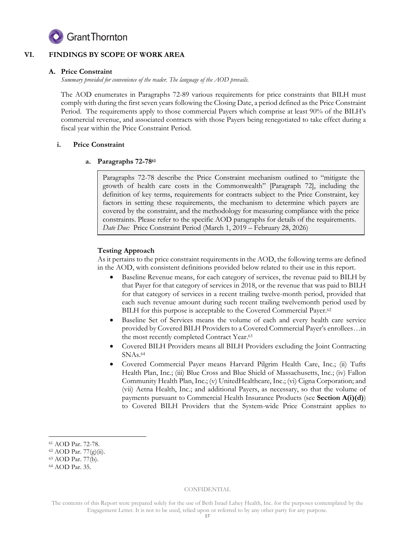

# **VI. FINDINGS BY SCOPE OF WORK AREA**

# **A. Price Constraint**

*Summary provided for convenience of the reader. The language of the AOD prevails.* 

The AOD enumerates in Paragraphs 72-89 various requirements for price constraints that BILH must comply with during the first seven years following the Closing Date, a period defined as the Price Constraint Period. The requirements apply to those commercial Payers which comprise at least 90% of the BILH's commercial revenue, and associated contracts with those Payers being renegotiated to take effect during a fiscal year within the Price Constraint Period.

# **i. Price Constraint**

# **a. Paragraphs 72-78<sup>61</sup>**

Paragraphs 72-78 describe the Price Constraint mechanism outlined to "mitigate the growth of health care costs in the Commonwealth" [Paragraph 72], including the definition of key terms, requirements for contracts subject to the Price Constraint, key factors in setting these requirements, the mechanism to determine which payers are covered by the constraint, and the methodology for measuring compliance with the price constraints. Please refer to the specific AOD paragraphs for details of the requirements. *Date Due:* Price Constraint Period (March 1, 2019 – February 28, 2026)

# **Testing Approach**

As it pertains to the price constraint requirements in the AOD, the following terms are defined in the AOD, with consistent definitions provided below related to their use in this report.

- Baseline Revenue means, for each category of services, the revenue paid to BILH by that Payer for that category of services in 2018, or the revenue that was paid to BILH for that category of services in a recent trailing twelve-month period, provided that each such revenue amount during such recent trailing twelvemonth period used by BILH for this purpose is acceptable to the Covered Commercial Payer.<sup>62</sup>
- Baseline Set of Services means the volume of each and every health care service provided by Covered BILH Providers to a Covered Commercial Payer's enrollees…in the most recently completed Contract Year. 63
- Covered BILH Providers means all BILH Providers excluding the Joint Contracting SNAs. 64
- Covered Commercial Payer means Harvard Pilgrim Health Care, Inc.; (ii) Tufts Health Plan, Inc.; (iii) Blue Cross and Blue Shield of Massachusetts, Inc.; (iv) Fallon Community Health Plan, Inc.; (v) UnitedHealthcare, Inc.; (vi) Cigna Corporation; and (vii) Aetna Health, Inc.; and additional Payers, as necessary, so that the volume of payments pursuant to Commercial Health Insurance Products (see **Section A(i)(d)**) to Covered BILH Providers that the System-wide Price Constraint applies to

-

<sup>61</sup> AOD Par. 72-78.

<sup>62</sup> AOD Par. 77(g)(ii).

<sup>63</sup> AOD Par. 77(b).

<sup>64</sup> AOD Par. 35.

The contents of this Report were prepared solely for the use of Beth Israel Lahey Health, Inc. for the purposes contemplated by the Engagement Letter. It is not to be used, relied upon or referred to by any other party for any purpose.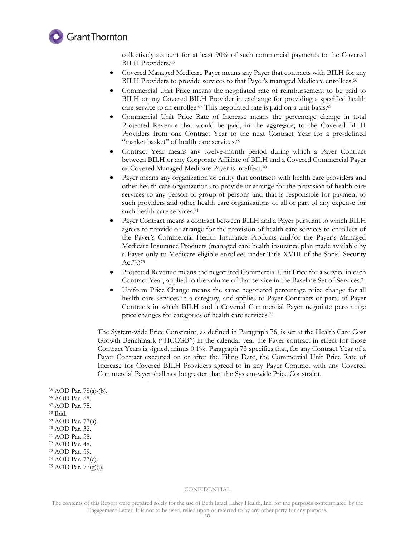

collectively account for at least 90% of such commercial payments to the Covered BILH Providers. 65

- Covered Managed Medicare Payer means any Payer that contracts with BILH for any BILH Providers to provide services to that Payer's managed Medicare enrollees.<sup>66</sup>
- Commercial Unit Price means the negotiated rate of reimbursement to be paid to BILH or any Covered BILH Provider in exchange for providing a specified health care service to an enrollee.<sup>67</sup> This negotiated rate is paid on a unit basis.<sup>68</sup>
- Commercial Unit Price Rate of Increase means the percentage change in total Projected Revenue that would be paid, in the aggregate, to the Covered BILH Providers from one Contract Year to the next Contract Year for a pre-defined "market basket" of health care services.<sup>69</sup>
- Contract Year means any twelve-month period during which a Payer Contract between BILH or any Corporate Affiliate of BILH and a Covered Commercial Payer or Covered Managed Medicare Payer is in effect.<sup>70</sup>
- Payer means any organization or entity that contracts with health care providers and other health care organizations to provide or arrange for the provision of health care services to any person or group of persons and that is responsible for payment to such providers and other health care organizations of all or part of any expense for such health care services. 71
- Payer Contract means a contract between BILH and a Payer pursuant to which BILH agrees to provide or arrange for the provision of health care services to enrollees of the Payer's Commercial Health Insurance Products and/or the Payer's Managed Medicare Insurance Products (managed care health insurance plan made available by a Payer only to Medicare-eligible enrollees under Title XVIII of the Social Security  $\rm Act^{72.})^{73}$
- Projected Revenue means the negotiated Commercial Unit Price for a service in each Contract Year, applied to the volume of that service in the Baseline Set of Services.<sup>74</sup>
- Uniform Price Change means the same negotiated percentage price change for all health care services in a category, and applies to Payer Contracts or parts of Payer Contracts in which BILH and a Covered Commercial Payer negotiate percentage price changes for categories of health care services.<sup>75</sup>

The System-wide Price Constraint, as defined in Paragraph 76, is set at the Health Care Cost Growth Benchmark ("HCCGB") in the calendar year the Payer contract in effect for those Contract Years is signed, minus 0.1%. Paragraph 73 specifies that, for any Contract Year of a Payer Contract executed on or after the Filing Date, the Commercial Unit Price Rate of Increase for Covered BILH Providers agreed to in any Payer Contract with any Covered Commercial Payer shall not be greater than the System-wide Price Constraint.

<sup>66</sup> AOD Par. 88.

<sup>68</sup> Ibid.

-

<sup>70</sup> AOD Par. 32.

<sup>72</sup> AOD Par. 48.

#### CONFIDENTIAL

<sup>65</sup> AOD Par. 78(a)-(b).

<sup>67</sup> AOD Par. 75.

<sup>69</sup> AOD Par. 77(a).

<sup>71</sup> AOD Par. 58.

<sup>73</sup> AOD Par. 59. <sup>74</sup> AOD Par. 77(c).

<sup>75</sup> AOD Par. 77(g)(i).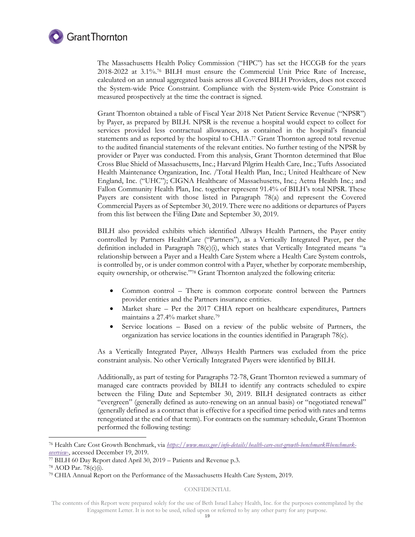

The Massachusetts Health Policy Commission ("HPC") has set the HCCGB for the years 2018-2022 at 3.1%.<sup>76</sup> BILH must ensure the Commercial Unit Price Rate of Increase, calculated on an annual aggregated basis across all Covered BILH Providers, does not exceed the System-wide Price Constraint. Compliance with the System-wide Price Constraint is measured prospectively at the time the contract is signed.

Grant Thornton obtained a table of Fiscal Year 2018 Net Patient Service Revenue ("NPSR") by Payer, as prepared by BILH. NPSR is the revenue a hospital would expect to collect for services provided less contractual allowances, as contained in the hospital's financial statements and as reported by the hospital to CHIA:<sup>77</sup> Grant Thornton agreed total revenue to the audited financial statements of the relevant entities. No further testing of the NPSR by provider or Payer was conducted. From this analysis, Grant Thornton determined that Blue Cross Blue Shield of Massachusetts, Inc.; Harvard Pilgrim Health Care, Inc.; Tufts Associated Health Maintenance Organization, Inc. /Total Health Plan, Inc.; United Healthcare of New England, Inc. ("UHC"); CIGNA Healthcare of Massachusetts, Inc.; Aetna Health Inc.; and Fallon Community Health Plan, Inc. together represent 91.4% of BILH's total NPSR. These Payers are consistent with those listed in Paragraph 78(a) and represent the Covered Commercial Payers as of September 30, 2019. There were no additions or departures of Payers from this list between the Filing Date and September 30, 2019.

BILH also provided exhibits which identified Allways Health Partners, the Payer entity controlled by Partners HealthCare ("Partners"), as a Vertically Integrated Payer, per the definition included in Paragraph 78(c)(i), which states that Vertically Integrated means "a relationship between a Payer and a Health Care System where a Health Care System controls, is controlled by, or is under common control with a Payer, whether by corporate membership, equity ownership, or otherwise." <sup>78</sup> Grant Thornton analyzed the following criteria:

- Common control There is common corporate control between the Partners provider entities and the Partners insurance entities.
- Market share Per the 2017 CHIA report on healthcare expenditures, Partners maintains a 27.4% market share. 79
- Service locations Based on a review of the public website of Partners, the organization has service locations in the counties identified in Paragraph 78(c).

As a Vertically Integrated Payer, Allways Health Partners was excluded from the price constraint analysis. No other Vertically Integrated Payers were identified by BILH.

Additionally, as part of testing for Paragraphs 72-78, Grant Thornton reviewed a summary of managed care contracts provided by BILH to identify any contracts scheduled to expire between the Filing Date and September 30, 2019. BILH designated contracts as either "evergreen" (generally defined as auto-renewing on an annual basis) or "negotiated renewal" (generally defined as a contract that is effective for a specified time period with rates and terms renegotiated at the end of that term). For contracts on the summary schedule, Grant Thornton performed the following testing:

-

<sup>76</sup> Health Care Cost Growth Benchmark, via *[https://www.mass.gov/info-details/health-care-cost-growth-benchmark#benchmark](https://www.mass.gov/info-details/health-care-cost-growth-benchmark#benchmark-overview-)[overview-](https://www.mass.gov/info-details/health-care-cost-growth-benchmark#benchmark-overview-)*, accessed December 19, 2019.

<sup>77</sup> BILH 60 Day Report dated April 30, 2019 – Patients and Revenue p.3.

<sup>78</sup> AOD Par. 78(c)(i).

<sup>79</sup> CHIA Annual Report on the Performance of the Massachusetts Health Care System, 2019.

The contents of this Report were prepared solely for the use of Beth Israel Lahey Health, Inc. for the purposes contemplated by the Engagement Letter. It is not to be used, relied upon or referred to by any other party for any purpose.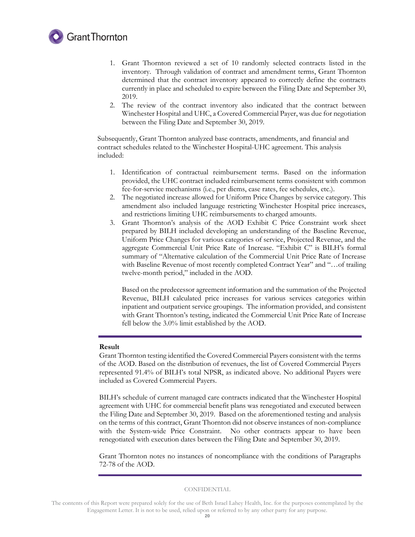

- 1. Grant Thornton reviewed a set of 10 randomly selected contracts listed in the inventory. Through validation of contract and amendment terms, Grant Thornton determined that the contract inventory appeared to correctly define the contracts currently in place and scheduled to expire between the Filing Date and September 30, 2019.
- 2. The review of the contract inventory also indicated that the contract between Winchester Hospital and UHC, a Covered Commercial Payer, was due for negotiation between the Filing Date and September 30, 2019.

Subsequently, Grant Thornton analyzed base contracts, amendments, and financial and contract schedules related to the Winchester Hospital-UHC agreement. This analysis included:

- 1. Identification of contractual reimbursement terms. Based on the information provided, the UHC contract included reimbursement terms consistent with common fee-for-service mechanisms (i.e., per diems, case rates, fee schedules, etc.).
- 2. The negotiated increase allowed for Uniform Price Changes by service category. This amendment also included language restricting Winchester Hospital price increases, and restrictions limiting UHC reimbursements to charged amounts.
- 3. Grant Thornton's analysis of the AOD Exhibit C Price Constraint work sheet prepared by BILH included developing an understanding of the Baseline Revenue, Uniform Price Changes for various categories of service, Projected Revenue, and the aggregate Commercial Unit Price Rate of Increase. "Exhibit C" is BILH's formal summary of "Alternative calculation of the Commercial Unit Price Rate of Increase with Baseline Revenue of most recently completed Contract Year" and "...of trailing twelve-month period," included in the AOD.

Based on the predecessor agreement information and the summation of the Projected Revenue, BILH calculated price increases for various services categories within inpatient and outpatient service groupings. The information provided, and consistent with Grant Thornton's testing, indicated the Commercial Unit Price Rate of Increase fell below the 3.0% limit established by the AOD.

### **Result**

Grant Thornton testing identified the Covered Commercial Payers consistent with the terms of the AOD. Based on the distribution of revenues, the list of Covered Commercial Payers represented 91.4% of BILH's total NPSR, as indicated above. No additional Payers were included as Covered Commercial Payers.

BILH's schedule of current managed care contracts indicated that the Winchester Hospital agreement with UHC for commercial benefit plans was renegotiated and executed between the Filing Date and September 30, 2019. Based on the aforementioned testing and analysis on the terms of this contract, Grant Thornton did not observe instances of non-compliance with the System-wide Price Constraint. No other contracts appear to have been renegotiated with execution dates between the Filing Date and September 30, 2019.

Grant Thornton notes no instances of noncompliance with the conditions of Paragraphs 72-78 of the AOD.

The contents of this Report were prepared solely for the use of Beth Israel Lahey Health, Inc. for the purposes contemplated by the Engagement Letter. It is not to be used, relied upon or referred to by any other party for any purpose.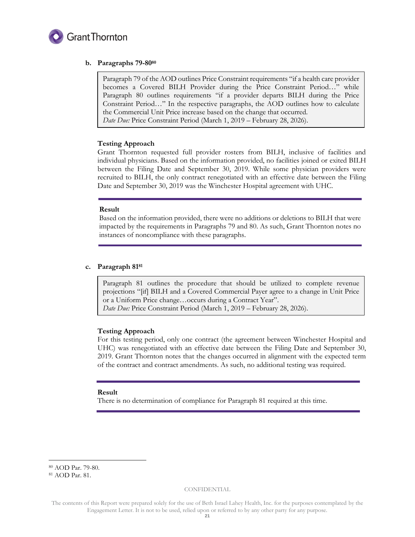

# **b. Paragraphs 79-80<sup>80</sup>**

Paragraph 79 of the AOD outlines Price Constraint requirements "if a health care provider becomes a Covered BILH Provider during the Price Constraint Period…" while Paragraph 80 outlines requirements "if a provider departs BILH during the Price Constraint Period…" In the respective paragraphs, the AOD outlines how to calculate the Commercial Unit Price increase based on the change that occurred. *Date Due:* Price Constraint Period (March 1, 2019 – February 28, 2026).

# **Testing Approach**

Grant Thornton requested full provider rosters from BILH, inclusive of facilities and individual physicians. Based on the information provided, no facilities joined or exited BILH between the Filing Date and September 30, 2019. While some physician providers were recruited to BILH, the only contract renegotiated with an effective date between the Filing Date and September 30, 2019 was the Winchester Hospital agreement with UHC.

#### **Result**

Based on the information provided, there were no additions or deletions to BILH that were impacted by the requirements in Paragraphs 79 and 80. As such, Grant Thornton notes no instances of noncompliance with these paragraphs.

# **c. Paragraph 81<sup>81</sup>**

Paragraph 81 outlines the procedure that should be utilized to complete revenue projections "[if] BILH and a Covered Commercial Payer agree to a change in Unit Price or a Uniform Price change…occurs during a Contract Year". *Date Due:* Price Constraint Period (March 1, 2019 – February 28, 2026).

# **Testing Approach**

For this testing period, only one contract (the agreement between Winchester Hospital and UHC) was renegotiated with an effective date between the Filing Date and September 30, 2019. Grant Thornton notes that the changes occurred in alignment with the expected term of the contract and contract amendments. As such, no additional testing was required.

#### **Result**

There is no determination of compliance for Paragraph 81 required at this time.

-

<sup>80</sup> AOD Par. 79-80.

<sup>81</sup> AOD Par. 81.

The contents of this Report were prepared solely for the use of Beth Israel Lahey Health, Inc. for the purposes contemplated by the Engagement Letter. It is not to be used, relied upon or referred to by any other party for any purpose.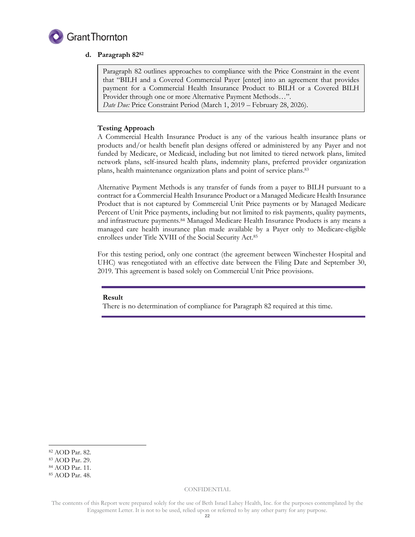

# **d. Paragraph 82<sup>82</sup>**

Paragraph 82 outlines approaches to compliance with the Price Constraint in the event that "BILH and a Covered Commercial Payer [enter] into an agreement that provides payment for a Commercial Health Insurance Product to BILH or a Covered BILH Provider through one or more Alternative Payment Methods…". *Date Due:* Price Constraint Period (March 1, 2019 – February 28, 2026).

# **Testing Approach**

A Commercial Health Insurance Product is any of the various health insurance plans or products and/or health benefit plan designs offered or administered by any Payer and not funded by Medicare, or Medicaid, including but not limited to tiered network plans, limited network plans, self-insured health plans, indemnity plans, preferred provider organization plans, health maintenance organization plans and point of service plans. 83

Alternative Payment Methods is any transfer of funds from a payer to BILH pursuant to a contract for a Commercial Health Insurance Product or a Managed Medicare Health Insurance Product that is not captured by Commercial Unit Price payments or by Managed Medicare Percent of Unit Price payments, including but not limited to risk payments, quality payments, and infrastructure payments.<sup>84</sup> Managed Medicare Health Insurance Products is any means a managed care health insurance plan made available by a Payer only to Medicare-eligible enrollees under Title XVIII of the Social Security Act.<sup>85</sup>

For this testing period, only one contract (the agreement between Winchester Hospital and UHC) was renegotiated with an effective date between the Filing Date and September 30, 2019. This agreement is based solely on Commercial Unit Price provisions.

# **Result**

There is no determination of compliance for Paragraph 82 required at this time.

-

<sup>82</sup> AOD Par. 82.

<sup>83</sup> AOD Par. 29.

<sup>84</sup> AOD Par. 11.

<sup>85</sup> AOD Par. 48.

The contents of this Report were prepared solely for the use of Beth Israel Lahey Health, Inc. for the purposes contemplated by the Engagement Letter. It is not to be used, relied upon or referred to by any other party for any purpose.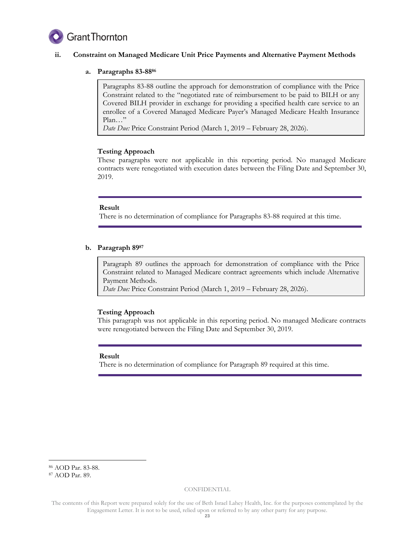

# **ii. Constraint on Managed Medicare Unit Price Payments and Alternative Payment Methods**

# **a. Paragraphs 83-88<sup>86</sup>**

Paragraphs 83-88 outline the approach for demonstration of compliance with the Price Constraint related to the "negotiated rate of reimbursement to be paid to BILH or any Covered BILH provider in exchange for providing a specified health care service to an enrollee of a Covered Managed Medicare Payer's Managed Medicare Health Insurance Plan…"

*Date Due:* Price Constraint Period (March 1, 2019 – February 28, 2026).

# **Testing Approach**

These paragraphs were not applicable in this reporting period. No managed Medicare contracts were renegotiated with execution dates between the Filing Date and September 30, 2019.

#### **Result**

There is no determination of compliance for Paragraphs 83-88 required at this time.

# **b. Paragraph 89<sup>87</sup>**

Paragraph 89 outlines the approach for demonstration of compliance with the Price Constraint related to Managed Medicare contract agreements which include Alternative Payment Methods.

*Date Due:* Price Constraint Period (March 1, 2019 – February 28, 2026).

# **Testing Approach**

This paragraph was not applicable in this reporting period. No managed Medicare contracts were renegotiated between the Filing Date and September 30, 2019.

#### **Result**

There is no determination of compliance for Paragraph 89 required at this time.

-

<sup>86</sup> AOD Par. 83-88.

<sup>87</sup> AOD Par. 89.

The contents of this Report were prepared solely for the use of Beth Israel Lahey Health, Inc. for the purposes contemplated by the Engagement Letter. It is not to be used, relied upon or referred to by any other party for any purpose.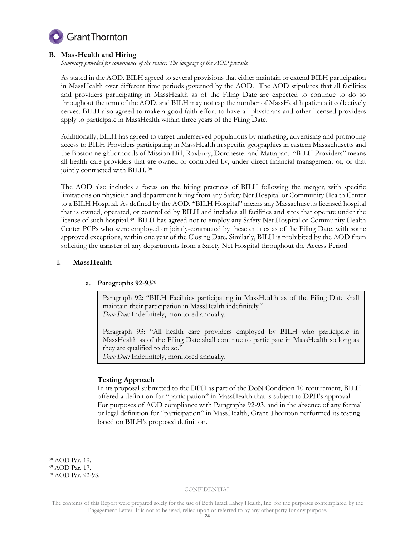

# **B. MassHealth and Hiring**

*Summary provided for convenience of the reader. The language of the AOD prevails.* 

As stated in the AOD, BILH agreed to several provisions that either maintain or extend BILH participation in MassHealth over different time periods governed by the AOD. The AOD stipulates that all facilities and providers participating in MassHealth as of the Filing Date are expected to continue to do so throughout the term of the AOD, and BILH may not cap the number of MassHealth patients it collectively serves. BILH also agreed to make a good faith effort to have all physicians and other licensed providers apply to participate in MassHealth within three years of the Filing Date.

Additionally, BILH has agreed to target underserved populations by marketing, advertising and promoting access to BILH Providers participating in MassHealth in specific geographies in eastern Massachusetts and the Boston neighborhoods of Mission Hill, Roxbury, Dorchester and Mattapan. "BILH Providers" means all health care providers that are owned or controlled by, under direct financial management of, or that jointly contracted with BILH. <sup>88</sup>

The AOD also includes a focus on the hiring practices of BILH following the merger, with specific limitations on physician and department hiring from any Safety Net Hospital or Community Health Center to a BILH Hospital. As defined by the AOD, "BILH Hospital" means any Massachusetts licensed hospital that is owned, operated, or controlled by BILH and includes all facilities and sites that operate under the license of such hospital.<sup>89</sup> BILH has agreed not to employ any Safety Net Hospital or Community Health Center PCPs who were employed or jointly-contracted by these entities as of the Filing Date, with some approved exceptions, within one year of the Closing Date. Similarly, BILH is prohibited by the AOD from soliciting the transfer of any departments from a Safety Net Hospital throughout the Access Period.

# **i. MassHealth**

# **a. Paragraphs 92-93**<sup>90</sup>

Paragraph 92: "BILH Facilities participating in MassHealth as of the Filing Date shall maintain their participation in MassHealth indefinitely." *Date Due:* Indefinitely, monitored annually.

Paragraph 93: "All health care providers employed by BILH who participate in MassHealth as of the Filing Date shall continue to participate in MassHealth so long as they are qualified to do so."

*Date Due:* Indefinitely, monitored annually.

# **Testing Approach**

In its proposal submitted to the DPH as part of the DoN Condition 10 requirement, BILH offered a definition for "participation" in MassHealth that is subject to DPH's approval. For purposes of AOD compliance with Paragraphs 92-93, and in the absence of any formal or legal definition for "participation" in MassHealth, Grant Thornton performed its testing based on BILH's proposed definition.

<sup>-</sup><sup>88</sup> AOD Par. 19.

<sup>89</sup> AOD Par. 17.

<sup>90</sup> AOD Par. 92-93.

The contents of this Report were prepared solely for the use of Beth Israel Lahey Health, Inc. for the purposes contemplated by the Engagement Letter. It is not to be used, relied upon or referred to by any other party for any purpose.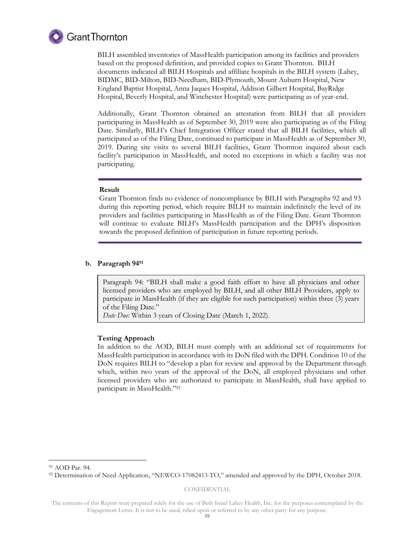

BILH assembled inventories of MassHealth participation among its facilities and providers based on the proposed definition, and provided copies to Grant Thornton. BILH documents indicated all BILH Hospitals and affiliate hospitals in the BILH system (Lahey, BIDMC, BID-Milton, BID-Needham, BID-Plymouth, Mount Auburn Hospital, New England Baptist Hospital, Anna Jaques Hospital, Addison Gilbert Hospital, BayRidge Hospital, Beverly Hospital, and Winchester Hospital) were participating as of year-end.

Additionally, Grant Thornton obtained an attestation from BILH that all providers participating in MassHealth as of September 30, 2019 were also participating as of the Filing Date. Similarly, BILH's Chief Integration Officer stated that all BILH facilities, which all participated as of the Filing Date, continued to participate in MassHealth as of September 30, 2019. During site visits to several BILH facilities, Grant Thornton inquired about each facility's participation in MassHealth, and noted no exceptions in which a facility was not participating.

# **Result**

Grant Thornton finds no evidence of noncompliance by BILH with Paragraphs 92 and 93 during this reporting period, which require BILH to maintain indefinitely the level of its providers and facilities participating in MassHealth as of the Filing Date. Grant Thornton will continue to evaluate BILH's MassHealth participation and the DPH's disposition towards the proposed definition of participation in future reporting periods.

# **b. Paragraph 94<sup>91</sup>**

Paragraph 94: "BILH shall make a good faith effort to have all physicians and other licensed providers who are employed by BILH, and all other BILH Providers, apply to participate in MassHealth (if they are eligible for such participation) within three (3) years of the Filing Date."

*Date Due:* Within 3 years of Closing Date (March 1, 2022).

#### **Testing Approach**

In addition to the AOD, BILH must comply with an additional set of requirements for MassHealth participation in accordance with its DoN filed with the DPH. Condition 10 of the DoN requires BILH to "develop a plan for review and approval by the Department through which, within two years of the approval of the DoN, all employed physicians and other licensed providers who are authorized to participate in MassHealth, shall have applied to participate in MassHealth."<sup>92</sup>

-

CONFIDENTIAL

<sup>91</sup> AOD Par. 94.

<sup>92</sup> Determination of Need Application, "NEWCO-17082413-TO," amended and approved by the DPH, October 2018.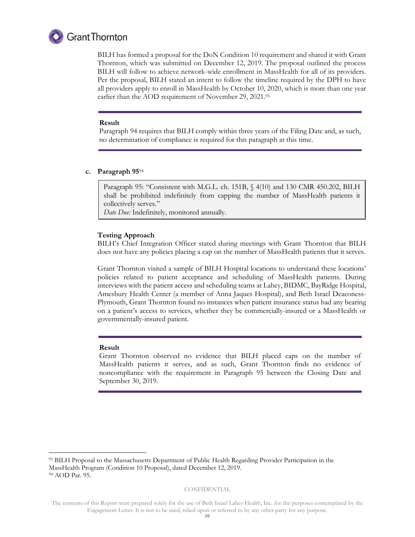

BILH has formed a proposal for the DoN Condition 10 requirement and shared it with Grant Thornton, which was submitted on December 12, 2019. The proposal outlined the process BILH will follow to achieve network-wide enrollment in MassHealth for all of its providers. Per the proposal, BILH stated an intent to follow the timeline required by the DPH to have all providers apply to enroll in MassHealth by October 10, 2020, which is more than one year earlier than the AOD requirement of November 29, 2021.93

#### **Result**

Paragraph 94 requires that BILH comply within three years of the Filing Date and, as such, no determination of compliance is required for this paragraph at this time.

#### **c. Paragraph 95**<sup>94</sup>

Paragraph 95: "Consistent with M.G.L. ch. 151B, § 4(10) and 130 CMR 450.202, BILH shall be prohibited indefinitely from capping the number of MassHealth patients it collectively serves."

*Date Due:* Indefinitely, monitored annually.

#### **Testing Approach**

BILH's Chief Integration Officer stated during meetings with Grant Thornton that BILH does not have any policies placing a cap on the number of MassHealth patients that it serves.

Grant Thornton visited a sample of BILH Hospital locations to understand these locations' policies related to patient acceptance and scheduling of MassHealth patients. During interviews with the patient access and scheduling teams at Lahey, BIDMC, BayRidge Hospital, Amesbury Health Center (a member of Anna Jaques Hospital), and Beth Israel Deaconess-Plymouth, Grant Thornton found no instances when patient insurance status had any bearing on a patient's access to services, whether they be commercially-insured or a MassHealth or governmentally-insured patient.

#### **Result**

-

Grant Thornton observed no evidence that BILH placed caps on the number of MassHealth patients it serves, and as such, Grant Thornton finds no evidence of noncompliance with the requirement in Paragraph 95 between the Closing Date and September 30, 2019.

<sup>93</sup> BILH Proposal to the Massachusetts Department of Public Health Regarding Provider Participation in the MassHealth Program (Condition 10 Proposal), dated December 12, 2019. <sup>94</sup> AOD Par. 95.

The contents of this Report were prepared solely for the use of Beth Israel Lahey Health, Inc. for the purposes contemplated by the Engagement Letter. It is not to be used, relied upon or referred to by any other party for any purpose.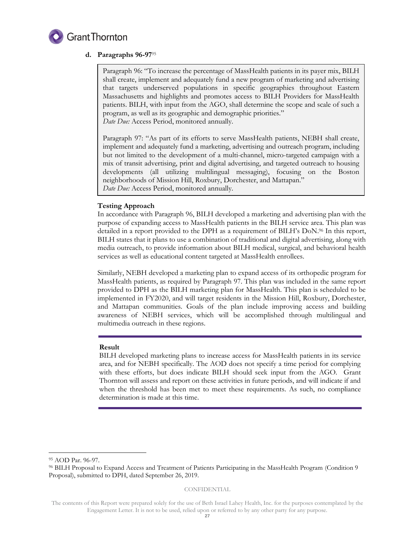

# **d. Paragraphs 96-97**<sup>95</sup>

Paragraph 96: "To increase the percentage of MassHealth patients in its payer mix, BILH shall create, implement and adequately fund a new program of marketing and advertising that targets underserved populations in specific geographies throughout Eastern Massachusetts and highlights and promotes access to BILH Providers for MassHealth patients. BILH, with input from the AGO, shall determine the scope and scale of such a program, as well as its geographic and demographic priorities." *Date Due:* Access Period, monitored annually.

Paragraph 97: "As part of its efforts to serve MassHealth patients, NEBH shall create, implement and adequately fund a marketing, advertising and outreach program, including but not limited to the development of a multi-channel, micro-targeted campaign with a mix of transit advertising, print and digital advertising, and targeted outreach to housing developments (all utilizing multilingual messaging), focusing on the Boston neighborhoods of Mission Hill, Roxbury, Dorchester, and Mattapan." *Date Due:* Access Period, monitored annually.

# **Testing Approach**

In accordance with Paragraph 96, BILH developed a marketing and advertising plan with the purpose of expanding access to MassHealth patients in the BILH service area. This plan was detailed in a report provided to the DPH as a requirement of BILH's DoN. <sup>96</sup> In this report, BILH states that it plans to use a combination of traditional and digital advertising, along with media outreach, to provide information about BILH medical, surgical, and behavioral health services as well as educational content targeted at MassHealth enrollees.

Similarly, NEBH developed a marketing plan to expand access of its orthopedic program for MassHealth patients, as required by Paragraph 97. This plan was included in the same report provided to DPH as the BILH marketing plan for MassHealth. This plan is scheduled to be implemented in FY2020, and will target residents in the Mission Hill, Roxbury, Dorchester, and Mattapan communities. Goals of the plan include improving access and building awareness of NEBH services, which will be accomplished through multilingual and multimedia outreach in these regions.

# **Result**

BILH developed marketing plans to increase access for MassHealth patients in its service area, and for NEBH specifically. The AOD does not specify a time period for complying with these efforts, but does indicate BILH should seek input from the AGO. Grant Thornton will assess and report on these activities in future periods, and will indicate if and when the threshold has been met to meet these requirements. As such, no compliance determination is made at this time.

-

<sup>95</sup> AOD Par. 96-97.

<sup>96</sup> BILH Proposal to Expand Access and Treatment of Patients Participating in the MassHealth Program (Condition 9 Proposal), submitted to DPH, dated September 26, 2019.

The contents of this Report were prepared solely for the use of Beth Israel Lahey Health, Inc. for the purposes contemplated by the Engagement Letter. It is not to be used, relied upon or referred to by any other party for any purpose.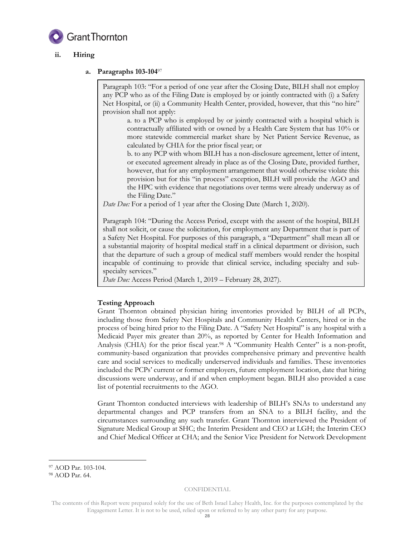

# **ii. Hiring**

# **a. Paragraphs 103-104**<sup>97</sup>

Paragraph 103: "For a period of one year after the Closing Date, BILH shall not employ any PCP who as of the Filing Date is employed by or jointly contracted with (i) a Safety Net Hospital, or (ii) a Community Health Center, provided, however, that this "no hire" provision shall not apply:

a. to a PCP who is employed by or jointly contracted with a hospital which is contractually affiliated with or owned by a Health Care System that has 10% or more statewide commercial market share by Net Patient Service Revenue, as calculated by CHIA for the prior fiscal year; or

b. to any PCP with whom BILH has a non-disclosure agreement, letter of intent, or executed agreement already in place as of the Closing Date, provided further, however, that for any employment arrangement that would otherwise violate this provision but for this "in process" exception, BILH will provide the AGO and the HPC with evidence that negotiations over terms were already underway as of the Filing Date."

*Date Due:* For a period of 1 year after the Closing Date (March 1, 2020).

Paragraph 104: "During the Access Period, except with the assent of the hospital, BILH shall not solicit, or cause the solicitation, for employment any Department that is part of a Safety Net Hospital. For purposes of this paragraph, a "Department" shall mean all or a substantial majority of hospital medical staff in a clinical department or division, such that the departure of such a group of medical staff members would render the hospital incapable of continuing to provide that clinical service, including specialty and subspecialty services."

*Date Due:* Access Period (March 1, 2019 – February 28, 2027).

# **Testing Approach**

Grant Thornton obtained physician hiring inventories provided by BILH of all PCPs, including those from Safety Net Hospitals and Community Health Centers, hired or in the process of being hired prior to the Filing Date. A "Safety Net Hospital" is any hospital with a Medicaid Payer mix greater than 20%, as reported by Center for Health Information and Analysis (CHIA) for the prior fiscal year.<sup>98</sup> A "Community Health Center" is a non-profit, community-based organization that provides comprehensive primary and preventive health care and social services to medically underserved individuals and families. These inventories included the PCPs' current or former employers, future employment location, date that hiring discussions were underway, and if and when employment began. BILH also provided a case list of potential recruitments to the AGO.

Grant Thornton conducted interviews with leadership of BILH's SNAs to understand any departmental changes and PCP transfers from an SNA to a BILH facility, and the circumstances surrounding any such transfer. Grant Thornton interviewed the President of Signature Medical Group at SHC; the Interim President and CEO at LGH; the Interim CEO and Chief Medical Officer at CHA; and the Senior Vice President for Network Development

-

<sup>97</sup> AOD Par. 103-104.

<sup>98</sup> AOD Par. 64.

The contents of this Report were prepared solely for the use of Beth Israel Lahey Health, Inc. for the purposes contemplated by the Engagement Letter. It is not to be used, relied upon or referred to by any other party for any purpose.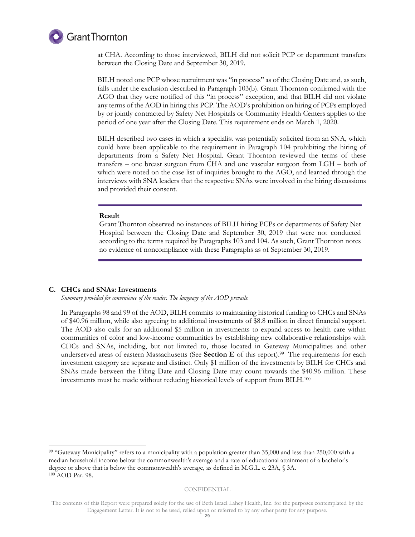

at CHA. According to those interviewed, BILH did not solicit PCP or department transfers between the Closing Date and September 30, 2019.

BILH noted one PCP whose recruitment was "in process" as of the Closing Date and, as such, falls under the exclusion described in Paragraph 103(b). Grant Thornton confirmed with the AGO that they were notified of this "in process" exception, and that BILH did not violate any terms of the AOD in hiring this PCP. The AOD's prohibition on hiring of PCPs employed by or jointly contracted by Safety Net Hospitals or Community Health Centers applies to the period of one year after the Closing Date. This requirement ends on March 1, 2020.

BILH described two cases in which a specialist was potentially solicited from an SNA, which could have been applicable to the requirement in Paragraph 104 prohibiting the hiring of departments from a Safety Net Hospital. Grant Thornton reviewed the terms of these transfers – one breast surgeon from CHA and one vascular surgeon from LGH – both of which were noted on the case list of inquiries brought to the AGO, and learned through the interviews with SNA leaders that the respective SNAs were involved in the hiring discussions and provided their consent.

#### **Result**

Grant Thornton observed no instances of BILH hiring PCPs or departments of Safety Net Hospital between the Closing Date and September 30, 2019 that were not conducted according to the terms required by Paragraphs 103 and 104. As such, Grant Thornton notes no evidence of noncompliance with these Paragraphs as of September 30, 2019.

#### **C. CHCs and SNAs: Investments**

-

*Summary provided for convenience of the reader. The language of the AOD prevails.* 

In Paragraphs 98 and 99 of the AOD, BILH commits to maintaining historical funding to CHCs and SNAs of \$40.96 million, while also agreeing to additional investments of \$8.8 million in direct financial support. The AOD also calls for an additional \$5 million in investments to expand access to health care within communities of color and low-income communities by establishing new collaborative relationships with CHCs and SNAs, including, but not limited to, those located in Gateway Municipalities and other underserved areas of eastern Massachusetts (See **Section E** of this report). 99 The requirements for each investment category are separate and distinct. Only \$1 million of the investments by BILH for CHCs and SNAs made between the Filing Date and Closing Date may count towards the \$40.96 million. These investments must be made without reducing historical levels of support from BILH.<sup>100</sup>

<sup>99 &</sup>quot;Gateway Municipality" refers to a municipality with a population greater than 35,000 and less than 250,000 with a median household income below the commonwealth's average and a rate of educational attainment of a bachelor's degree or above that is below the commonwealth's average, as defined in M.G.L. c. 23A, § 3A. <sup>100</sup> AOD Par. 98.

The contents of this Report were prepared solely for the use of Beth Israel Lahey Health, Inc. for the purposes contemplated by the Engagement Letter. It is not to be used, relied upon or referred to by any other party for any purpose.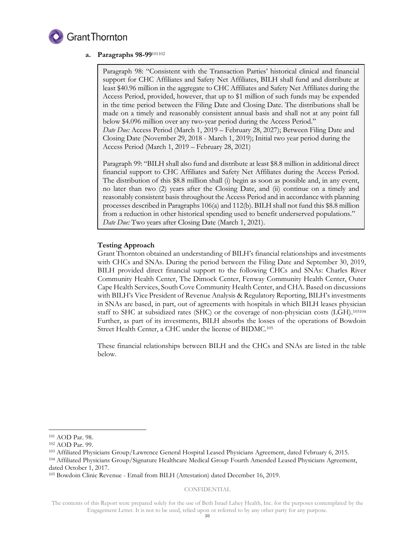

# **a. Paragraphs 98-99**<sup>101102</sup>

Paragraph 98: "Consistent with the Transaction Parties' historical clinical and financial support for CHC Affiliates and Safety Net Affiliates, BILH shall fund and distribute at least \$40.96 million in the aggregate to CHC Affiliates and Safety Net Affiliates during the Access Period, provided, however, that up to \$1 million of such funds may be expended in the time period between the Filing Date and Closing Date. The distributions shall be made on a timely and reasonably consistent annual basis and shall not at any point fall below \$4.096 million over any two-year period during the Access Period." *Date Due:* Access Period (March 1, 2019 – February 28, 2027); Between Filing Date and Closing Date (November 29, 2018 - March 1, 2019); Initial two year period during the Access Period (March 1, 2019 – February 28, 2021)

Paragraph 99: "BILH shall also fund and distribute at least \$8.8 million in additional direct financial support to CHC Affiliates and Safety Net Affiliates during the Access Period. The distribution of this \$8.8 million shall (i) begin as soon as possible and, in any event, no later than two (2) years after the Closing Date, and (ii) continue on a timely and reasonably consistent basis throughout the Access Period and in accordance with planning processes described in Paragraphs 106(a) and 112(b). BILH shall not fund this \$8.8 million from a reduction in other historical spending used to benefit underserved populations." *Date Due:* Two years after Closing Date (March 1, 2021).

# **Testing Approach**

Grant Thornton obtained an understanding of BILH's financial relationships and investments with CHCs and SNAs. During the period between the Filing Date and September 30, 2019, BILH provided direct financial support to the following CHCs and SNAs: Charles River Community Health Center, The Dimock Center, Fenway Community Health Center, Outer Cape Health Services, South Cove Community Health Center, and CHA. Based on discussions with BILH's Vice President of Revenue Analysis & Regulatory Reporting, BILH's investments in SNAs are based, in part, out of agreements with hospitals in which BILH leases physician staff to SHC at subsidized rates (SHC) or the coverage of non-physician costs (LGH).<sup>103104</sup> Further, as part of its investments, BILH absorbs the losses of the operations of Bowdoin Street Health Center, a CHC under the license of BIDMC. 105

These financial relationships between BILH and the CHCs and SNAs are listed in the table below.

-

#### CONFIDENTIAL

<sup>101</sup> AOD Par. 98.

<sup>102</sup> AOD Par. 99.

<sup>103</sup> Affiliated Physicians Group/Lawrence General Hospital Leased Physicians Agreement, dated February 6, 2015. <sup>104</sup> Affiliated Physicians Group/Signature Healthcare Medical Group Fourth Amended Leased Physicians Agreement, dated October 1, 2017.

<sup>105</sup> Bowdoin Clinic Revenue - Email from BILH (Attestation) dated December 16, 2019.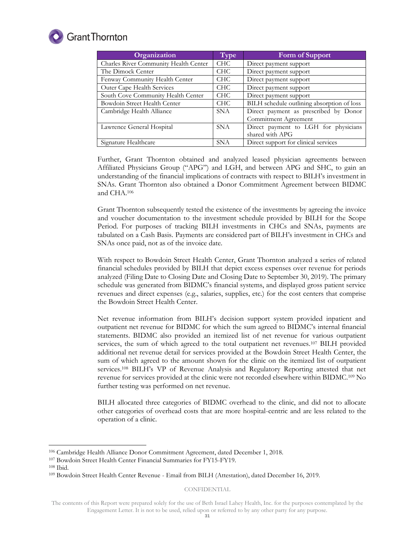

# **Grant Thornton**

| Organization                          | <b>Type</b> | Form of Support                            |  |
|---------------------------------------|-------------|--------------------------------------------|--|
| Charles River Community Health Center | <b>CHC</b>  | Direct payment support                     |  |
| The Dimock Center                     | CHC.        | Direct payment support                     |  |
| Fenway Community Health Center        | <b>CHC</b>  | Direct payment support                     |  |
| Outer Cape Health Services            | CHC         | Direct payment support                     |  |
| South Cove Community Health Center    | CHC         | Direct payment support                     |  |
| Bowdoin Street Health Center          | CHC         | BILH schedule outlining absorption of loss |  |
| Cambridge Health Alliance             | SNA         | Direct payment as prescribed by Donor      |  |
|                                       |             | Commitment Agreement                       |  |
| Lawrence General Hospital             | <b>SNA</b>  | Direct payment to LGH for physicians       |  |
|                                       |             | shared with APG                            |  |
| Signature Healthcare                  | <b>SNA</b>  | Direct support for clinical services       |  |

Further, Grant Thornton obtained and analyzed leased physician agreements between Affiliated Physicians Group ("APG") and LGH, and between APG and SHC, to gain an understanding of the financial implications of contracts with respect to BILH's investment in SNAs. Grant Thornton also obtained a Donor Commitment Agreement between BIDMC and CHA.<sup>106</sup>

Grant Thornton subsequently tested the existence of the investments by agreeing the invoice and voucher documentation to the investment schedule provided by BILH for the Scope Period. For purposes of tracking BILH investments in CHCs and SNAs, payments are tabulated on a Cash Basis. Payments are considered part of BILH's investment in CHCs and SNAs once paid, not as of the invoice date.

With respect to Bowdoin Street Health Center, Grant Thornton analyzed a series of related financial schedules provided by BILH that depict excess expenses over revenue for periods analyzed (Filing Date to Closing Date and Closing Date to September 30, 2019). The primary schedule was generated from BIDMC's financial systems, and displayed gross patient service revenues and direct expenses (e.g., salaries, supplies, etc.) for the cost centers that comprise the Bowdoin Street Health Center.

Net revenue information from BILH's decision support system provided inpatient and outpatient net revenue for BIDMC for which the sum agreed to BIDMC's internal financial statements. BIDMC also provided an itemized list of net revenue for various outpatient services, the sum of which agreed to the total outpatient net revenues.<sup>107</sup> BILH provided additional net revenue detail for services provided at the Bowdoin Street Health Center, the sum of which agreed to the amount shown for the clinic on the itemized list of outpatient services.<sup>108</sup> BILH's VP of Revenue Analysis and Regulatory Reporting attested that net revenue for services provided at the clinic were not recorded elsewhere within BIDMC.<sup>109</sup> No further testing was performed on net revenue.

BILH allocated three categories of BIDMC overhead to the clinic, and did not to allocate other categories of overhead costs that are more hospital-centric and are less related to the operation of a clinic.

-

<sup>106</sup> Cambridge Health Alliance Donor Commitment Agreement, dated December 1, 2018.

<sup>107</sup> Bowdoin Street Health Center Financial Summaries for FY15-FY19.

 $108$  Ibid.

<sup>109</sup> Bowdoin Street Health Center Revenue - Email from BILH (Attestation), dated December 16, 2019.

The contents of this Report were prepared solely for the use of Beth Israel Lahey Health, Inc. for the purposes contemplated by the Engagement Letter. It is not to be used, relied upon or referred to by any other party for any purpose.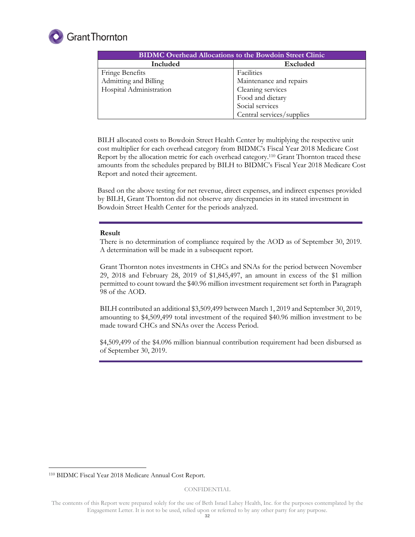

| <b>BIDMC Overhead Allocations to the Bowdoin Street Clinic</b> |                           |  |  |
|----------------------------------------------------------------|---------------------------|--|--|
| Included                                                       | Excluded                  |  |  |
| <b>Fringe Benefits</b>                                         | Facilities                |  |  |
| Admitting and Billing                                          | Maintenance and repairs   |  |  |
| Hospital Administration                                        | Cleaning services         |  |  |
|                                                                | Food and dietary          |  |  |
|                                                                | Social services           |  |  |
|                                                                | Central services/supplies |  |  |

BILH allocated costs to Bowdoin Street Health Center by multiplying the respective unit cost multiplier for each overhead category from BIDMC's Fiscal Year 2018 Medicare Cost Report by the allocation metric for each overhead category. <sup>110</sup> Grant Thornton traced these amounts from the schedules prepared by BILH to BIDMC's Fiscal Year 2018 Medicare Cost Report and noted their agreement.

Based on the above testing for net revenue, direct expenses, and indirect expenses provided by BILH, Grant Thornton did not observe any discrepancies in its stated investment in Bowdoin Street Health Center for the periods analyzed.

#### **Result**

There is no determination of compliance required by the AOD as of September 30, 2019. A determination will be made in a subsequent report.

Grant Thornton notes investments in CHCs and SNAs for the period between November 29, 2018 and February 28, 2019 of \$1,845,497, an amount in excess of the \$1 million permitted to count toward the \$40.96 million investment requirement set forth in Paragraph 98 of the AOD.

BILH contributed an additional \$3,509,499 between March 1, 2019 and September 30, 2019, amounting to \$4,509,499 total investment of the required \$40.96 million investment to be made toward CHCs and SNAs over the Access Period.

\$4,509,499 of the \$4.096 million biannual contribution requirement had been disbursed as of September 30, 2019.

-

<sup>110</sup> BIDMC Fiscal Year 2018 Medicare Annual Cost Report.

The contents of this Report were prepared solely for the use of Beth Israel Lahey Health, Inc. for the purposes contemplated by the Engagement Letter. It is not to be used, relied upon or referred to by any other party for any purpose.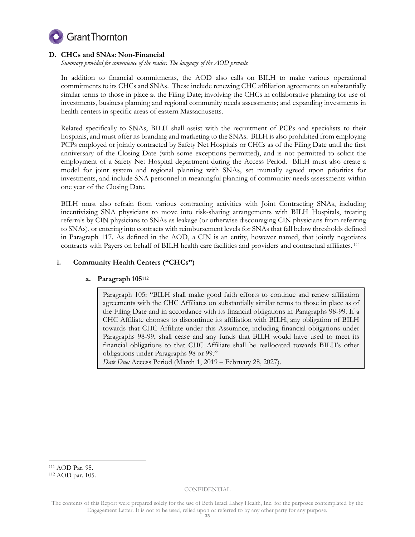

# **D. CHCs and SNAs: Non-Financial**

*Summary provided for convenience of the reader. The language of the AOD prevails.* 

In addition to financial commitments, the AOD also calls on BILH to make various operational commitments to its CHCs and SNAs. These include renewing CHC affiliation agreements on substantially similar terms to those in place at the Filing Date; involving the CHCs in collaborative planning for use of investments, business planning and regional community needs assessments; and expanding investments in health centers in specific areas of eastern Massachusetts.

Related specifically to SNAs, BILH shall assist with the recruitment of PCPs and specialists to their hospitals, and must offer its branding and marketing to the SNAs. BILH is also prohibited from employing PCPs employed or jointly contracted by Safety Net Hospitals or CHCs as of the Filing Date until the first anniversary of the Closing Date (with some exceptions permitted), and is not permitted to solicit the employment of a Safety Net Hospital department during the Access Period. BILH must also create a model for joint system and regional planning with SNAs, set mutually agreed upon priorities for investments, and include SNA personnel in meaningful planning of community needs assessments within one year of the Closing Date.

BILH must also refrain from various contracting activities with Joint Contracting SNAs, including incentivizing SNA physicians to move into risk-sharing arrangements with BILH Hospitals, treating referrals by CIN physicians to SNAs as leakage (or otherwise discouraging CIN physicians from referring to SNAs), or entering into contracts with reimbursement levels for SNAs that fall below thresholds defined in Paragraph 117. As defined in the AOD, a CIN is an entity, however named, that jointly negotiates contracts with Payers on behalf of BILH health care facilities and providers and contractual affiliates. 111

# **i. Community Health Centers ("CHCs")**

# **a. Paragraph 105**<sup>112</sup>

Paragraph 105: "BILH shall make good faith efforts to continue and renew affiliation agreements with the CHC Affiliates on substantially similar terms to those in place as of the Filing Date and in accordance with its financial obligations in Paragraphs 98-99. If a CHC Affiliate chooses to discontinue its affiliation with BILH, any obligation of BILH towards that CHC Affiliate under this Assurance, including financial obligations under Paragraphs 98-99, shall cease and any funds that BILH would have used to meet its financial obligations to that CHC Affiliate shall be reallocated towards BILH's other obligations under Paragraphs 98 or 99."

*Date Due:* Access Period (March 1, 2019 – February 28, 2027).

-

<sup>111</sup> AOD Par. 95.

<sup>112</sup> AOD par. 105.

The contents of this Report were prepared solely for the use of Beth Israel Lahey Health, Inc. for the purposes contemplated by the Engagement Letter. It is not to be used, relied upon or referred to by any other party for any purpose.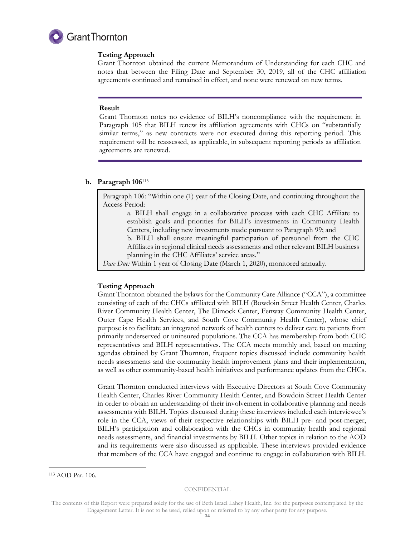

# **Testing Approach**

Grant Thornton obtained the current Memorandum of Understanding for each CHC and notes that between the Filing Date and September 30, 2019, all of the CHC affiliation agreements continued and remained in effect, and none were renewed on new terms.

# **Result**

Grant Thornton notes no evidence of BILH's noncompliance with the requirement in Paragraph 105 that BILH renew its affiliation agreements with CHCs on "substantially similar terms," as new contracts were not executed during this reporting period. This requirement will be reassessed, as applicable, in subsequent reporting periods as affiliation agreements are renewed.

# **b. Paragraph 106**<sup>113</sup>

Paragraph 106: "Within one (1) year of the Closing Date, and continuing throughout the Access Period:

a. BILH shall engage in a collaborative process with each CHC Affiliate to establish goals and priorities for BILH's investments in Community Health Centers, including new investments made pursuant to Paragraph 99; and

b. BILH shall ensure meaningful participation of personnel from the CHC Affiliates in regional clinical needs assessments and other relevant BILH business planning in the CHC Affiliates' service areas."

*Date Due:* Within 1 year of Closing Date (March 1, 2020), monitored annually.

# **Testing Approach**

Grant Thornton obtained the bylaws for the Community Care Alliance ("CCA"), a committee consisting of each of the CHCs affiliated with BILH (Bowdoin Street Health Center, Charles River Community Health Center, The Dimock Center, Fenway Community Health Center, Outer Cape Health Services, and South Cove Community Health Center), whose chief purpose is to facilitate an integrated network of health centers to deliver care to patients from primarily underserved or uninsured populations. The CCA has membership from both CHC representatives and BILH representatives. The CCA meets monthly and, based on meeting agendas obtained by Grant Thornton, frequent topics discussed include community health needs assessments and the community health improvement plans and their implementation, as well as other community-based health initiatives and performance updates from the CHCs.

Grant Thornton conducted interviews with Executive Directors at South Cove Community Health Center, Charles River Community Health Center, and Bowdoin Street Health Center in order to obtain an understanding of their involvement in collaborative planning and needs assessments with BILH. Topics discussed during these interviews included each interviewee's role in the CCA, views of their respective relationships with BILH pre- and post-merger, BILH's participation and collaboration with the CHCs in community health and regional needs assessments, and financial investments by BILH. Other topics in relation to the AOD and its requirements were also discussed as applicable. These interviews provided evidence that members of the CCA have engaged and continue to engage in collaboration with BILH.

-

<sup>113</sup> AOD Par. 106.

The contents of this Report were prepared solely for the use of Beth Israel Lahey Health, Inc. for the purposes contemplated by the Engagement Letter. It is not to be used, relied upon or referred to by any other party for any purpose.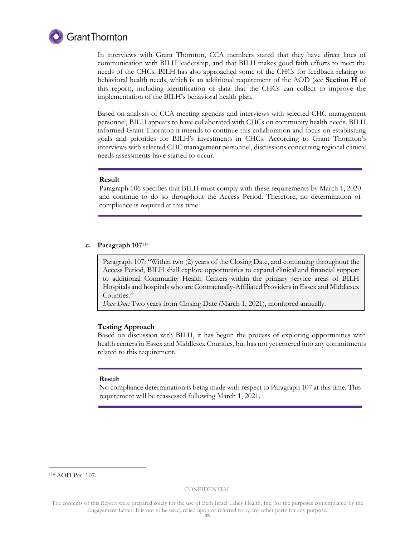

In interviews with Grant Thornton, CCA members stated that they have direct lines of communication with BILH leadership, and that BILH makes good faith efforts to meet the needs of the CHCs. BILH has also approached some of the CHCs for feedback relating to behavioral health needs, which is an additional requirement of the AOD (see **Section H** of this report), including identification of data that the CHCs can collect to improve the implementation of the BILH's behavioral health plan.

Based on analysis of CCA meeting agendas and interviews with selected CHC management personnel, BILH appears to have collaborated with CHCs on community health needs. BILH informed Grant Thornton it intends to continue this collaboration and focus on establishing goals and priorities for BILH's investments in CHCs. According to Grant Thornton's interviews with selected CHC management personnel, discussions concerning regional clinical needs assessments have started to occur.

# **Result**

Paragraph 106 specifies that BILH must comply with these requirements by March 1, 2020 and continue to do so throughout the Access Period. Therefore, no determination of compliance is required at this time.

#### **c. Paragraph 107**<sup>114</sup>

Paragraph 107: "Within two (2) years of the Closing Date, and continuing throughout the Access Period, BILH shall explore opportunities to expand clinical and financial support to additional Community Health Centers within the primary service areas of BILH Hospitals and hospitals who are Contractually-Affiliated Providers in Essex and Middlesex Counties."

*Date Due:* Two years from Closing Date (March 1, 2021), monitored annually.

#### **Testing Approach**

Based on discussion with BILH, it has begun the process of exploring opportunities with health centers in Essex and Middlesex Counties, but has not yet entered into any commitments related to this requirement.

#### **Result**

No compliance determination is being made with respect to Paragraph 107 at this time. This requirement will be reassessed following March 1, 2021.

<sup>114</sup> AOD Par. 107.

-

The contents of this Report were prepared solely for the use of Beth Israel Lahey Health, Inc. for the purposes contemplated by the Engagement Letter. It is not to be used, relied upon or referred to by any other party for any purpose.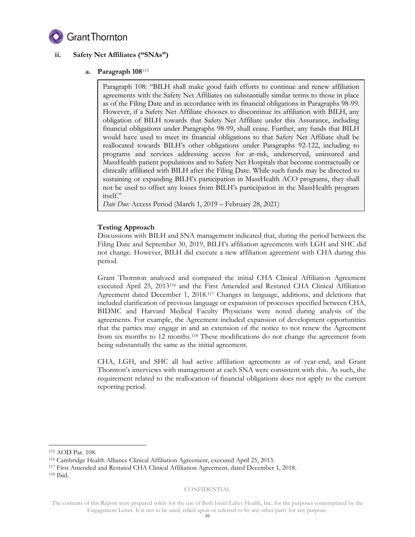

# **ii. Safety Net Affiliates ("SNAs")**

# **a. Paragraph 108**<sup>115</sup>

Paragraph 108: "BILH shall make good faith efforts to continue and renew affiliation agreements with the Safety Net Affiliates on substantially similar terms to those in place as of the Filing Date and in accordance with its financial obligations in Paragraphs 98-99. However, if a Safety Net Affiliate chooses to discontinue its affiliation with BILH, any obligation of BILH towards that Safety Net Affiliate under this Assurance, including financial obligations under Paragraphs 98-99, shall cease. Further, any funds that BILH would have used to meet its financial obligations to that Safety Net Affiliate shall be reallocated towards BILH's other obligations under Paragraphs 92-122, including to programs and services addressing access for at-risk, underserved, uninsured and MassHealth patient populations and to Safety Net Hospitals that become contractually or clinically affiliated with BILH after the Filing Date. While such funds may be directed to sustaining or expanding BILH's participation in MassHealth ACO programs, they shall not be used to offset any losses from BILH's participation in the MassHealth program itself."

*Date Due:* Access Period (March 1, 2019 – February 28, 2021)

# **Testing Approach**

Discussions with BILH and SNA management indicated that, during the period between the Filing Date and September 30, 2019, BILH's affiliation agreements with LGH and SHC did not change. However, BILH did execute a new affiliation agreement with CHA during this period.

Grant Thornton analyzed and compared the initial CHA Clinical Affiliation Agreement executed April 25, 2013<sup>116</sup> and the First Amended and Restated CHA Clinical Affiliation Agreement dated December 1, 2018. <sup>117</sup> Changes in language, additions, and deletions that included clarification of previous language or expansion of processes specified between CHA, BIDMC and Harvard Medical Faculty Physicians were noted during analysis of the agreements. For example, the Agreement included expansion of development opportunities that the parties may engage in and an extension of the notice to not renew the Agreement from six months to 12 months.<sup>118</sup> These modifications do not change the agreement from being substantially the same as the initial agreement.

CHA, LGH, and SHC all had active affiliation agreements as of year-end, and Grant Thornton's interviews with management at each SNA were consistent with this. As such, the requirement related to the reallocation of financial obligations does not apply to the current reporting period.

-

<sup>115</sup> AOD Par. 108.

<sup>116</sup> Cambridge Health Alliance Clinical Affiliation Agreement, executed April 25, 2013.

<sup>117</sup> First Amended and Restated CHA Clinical Affiliation Agreement, dated December 1, 2018. <sup>118</sup> Ibid.

The contents of this Report were prepared solely for the use of Beth Israel Lahey Health, Inc. for the purposes contemplated by the Engagement Letter. It is not to be used, relied upon or referred to by any other party for any purpose.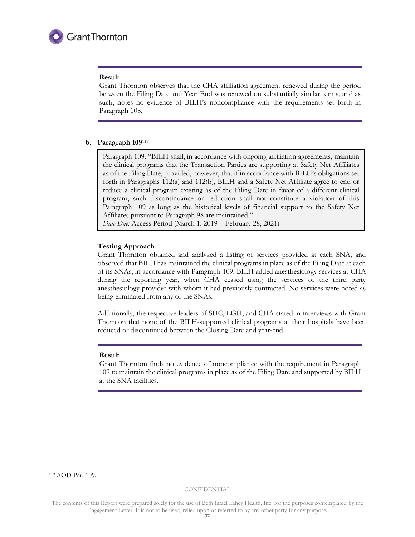

#### **Result**

Grant Thornton observes that the CHA affiliation agreement renewed during the period between the Filing Date and Year End was renewed on substantially similar terms, and as such, notes no evidence of BILH's noncompliance with the requirements set forth in Paragraph 108.

# **b. Paragraph 109**<sup>119</sup>

Paragraph 109: "BILH shall, in accordance with ongoing affiliation agreements, maintain the clinical programs that the Transaction Parties are supporting at Safety Net Affiliates as of the Filing Date, provided, however, that if in accordance with BILH's obligations set forth in Paragraphs 112(a) and 112(b), BILH and a Safety Net Affiliate agree to end or reduce a clinical program existing as of the Filing Date in favor of a different clinical program, such discontinuance or reduction shall not constitute a violation of this Paragraph 109 as long as the historical levels of financial support to the Safety Net Affiliates pursuant to Paragraph 98 are maintained."

*Date Due:* Access Period (March 1, 2019 – February 28, 2021)

#### **Testing Approach**

Grant Thornton obtained and analyzed a listing of services provided at each SNA, and observed that BILH has maintained the clinical programs in place as of the Filing Date at each of its SNAs, in accordance with Paragraph 109. BILH added anesthesiology services at CHA during the reporting year, when CHA ceased using the services of the third party anesthesiology provider with whom it had previously contracted. No services were noted as being eliminated from any of the SNAs.

Additionally, the respective leaders of SHC, LGH, and CHA stated in interviews with Grant Thornton that none of the BILH-supported clinical programs at their hospitals have been reduced or discontinued between the Closing Date and year-end.

#### **Result**

Grant Thornton finds no evidence of noncompliance with the requirement in Paragraph 109 to maintain the clinical programs in place as of the Filing Date and supported by BILH at the SNA facilities.

-

<sup>119</sup> AOD Par. 109.

The contents of this Report were prepared solely for the use of Beth Israel Lahey Health, Inc. for the purposes contemplated by the Engagement Letter. It is not to be used, relied upon or referred to by any other party for any purpose.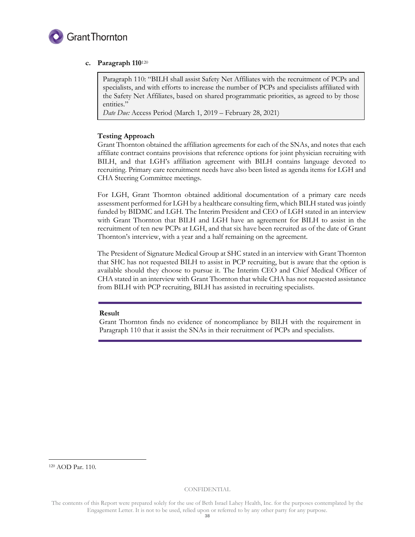

# **c. Paragraph 110**<sup>120</sup>

Paragraph 110: "BILH shall assist Safety Net Affiliates with the recruitment of PCPs and specialists, and with efforts to increase the number of PCPs and specialists affiliated with the Safety Net Affiliates, based on shared programmatic priorities, as agreed to by those entities."

*Date Due:* Access Period (March 1, 2019 – February 28, 2021)

# **Testing Approach**

Grant Thornton obtained the affiliation agreements for each of the SNAs, and notes that each affiliate contract contains provisions that reference options for joint physician recruiting with BILH, and that LGH's affiliation agreement with BILH contains language devoted to recruiting. Primary care recruitment needs have also been listed as agenda items for LGH and CHA Steering Committee meetings.

For LGH, Grant Thornton obtained additional documentation of a primary care needs assessment performed for LGH by a healthcare consulting firm, which BILH stated was jointly funded by BIDMC and LGH. The Interim President and CEO of LGH stated in an interview with Grant Thornton that BILH and LGH have an agreement for BILH to assist in the recruitment of ten new PCPs at LGH, and that six have been recruited as of the date of Grant Thornton's interview, with a year and a half remaining on the agreement.

The President of Signature Medical Group at SHC stated in an interview with Grant Thornton that SHC has not requested BILH to assist in PCP recruiting, but is aware that the option is available should they choose to pursue it. The Interim CEO and Chief Medical Officer of CHA stated in an interview with Grant Thornton that while CHA has not requested assistance from BILH with PCP recruiting, BILH has assisted in recruiting specialists.

# **Result**

Grant Thornton finds no evidence of noncompliance by BILH with the requirement in Paragraph 110 that it assist the SNAs in their recruitment of PCPs and specialists.

<sup>120</sup> AOD Par. 110.

-

The contents of this Report were prepared solely for the use of Beth Israel Lahey Health, Inc. for the purposes contemplated by the Engagement Letter. It is not to be used, relied upon or referred to by any other party for any purpose.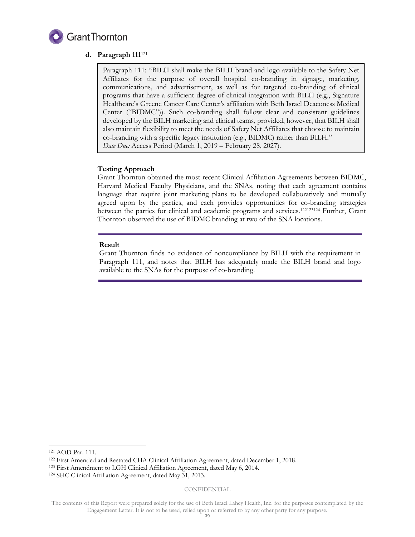

# **d. Paragraph 111**<sup>121</sup>

Paragraph 111: "BILH shall make the BILH brand and logo available to the Safety Net Affiliates for the purpose of overall hospital co-branding in signage, marketing, communications, and advertisement, as well as for targeted co-branding of clinical programs that have a sufficient degree of clinical integration with BILH (e.g., Signature Healthcare's Greene Cancer Care Center's affiliation with Beth Israel Deaconess Medical Center ("BIDMC")). Such co-branding shall follow clear and consistent guidelines developed by the BILH marketing and clinical teams, provided, however, that BILH shall also maintain flexibility to meet the needs of Safety Net Affiliates that choose to maintain co-branding with a specific legacy institution (e.g., BIDMC) rather than BILH." *Date Due:* Access Period (March 1, 2019 – February 28, 2027).

# **Testing Approach**

Grant Thornton obtained the most recent Clinical Affiliation Agreements between BIDMC, Harvard Medical Faculty Physicians, and the SNAs, noting that each agreement contains language that require joint marketing plans to be developed collaboratively and mutually agreed upon by the parties, and each provides opportunities for co-branding strategies between the parties for clinical and academic programs and services.<sup>122123124</sup> Further, Grant Thornton observed the use of BIDMC branding at two of the SNA locations.

#### **Result**

Grant Thornton finds no evidence of noncompliance by BILH with the requirement in Paragraph 111, and notes that BILH has adequately made the BILH brand and logo available to the SNAs for the purpose of co-branding.

-

<sup>121</sup> AOD Par. 111.

<sup>122</sup> First Amended and Restated CHA Clinical Affiliation Agreement, dated December 1, 2018.

<sup>123</sup> First Amendment to LGH Clinical Affiliation Agreement, dated May 6, 2014.

<sup>124</sup> SHC Clinical Affiliation Agreement, dated May 31, 2013.

The contents of this Report were prepared solely for the use of Beth Israel Lahey Health, Inc. for the purposes contemplated by the Engagement Letter. It is not to be used, relied upon or referred to by any other party for any purpose.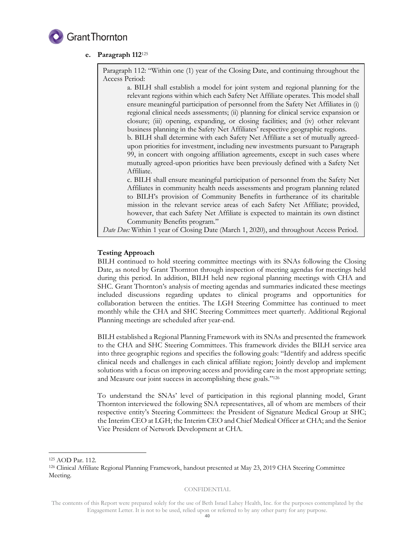

# **e. Paragraph 112**<sup>125</sup>

Paragraph 112: "Within one (1) year of the Closing Date, and continuing throughout the Access Period:

a. BILH shall establish a model for joint system and regional planning for the relevant regions within which each Safety Net Affiliate operates. This model shall ensure meaningful participation of personnel from the Safety Net Affiliates in (i) regional clinical needs assessments; (ii) planning for clinical service expansion or closure; (iii) opening, expanding, or closing facilities; and (iv) other relevant business planning in the Safety Net Affiliates' respective geographic regions. b. BILH shall determine with each Safety Net Affiliate a set of mutually agreedupon priorities for investment, including new investments pursuant to Paragraph 99, in concert with ongoing affiliation agreements, except in such cases where mutually agreed-upon priorities have been previously defined with a Safety Net Affiliate. c. BILH shall ensure meaningful participation of personnel from the Safety Net Affiliates in community health needs assessments and program planning related to BILH's provision of Community Benefits in furtherance of its charitable mission in the relevant service areas of each Safety Net Affiliate; provided, however, that each Safety Net Affiliate is expected to maintain its own distinct Community Benefits program."

*Date Due:* Within 1 year of Closing Date (March 1, 2020), and throughout Access Period.

# **Testing Approach**

BILH continued to hold steering committee meetings with its SNAs following the Closing Date, as noted by Grant Thornton through inspection of meeting agendas for meetings held during this period. In addition, BILH held new regional planning meetings with CHA and SHC. Grant Thornton's analysis of meeting agendas and summaries indicated these meetings included discussions regarding updates to clinical programs and opportunities for collaboration between the entities. The LGH Steering Committee has continued to meet monthly while the CHA and SHC Steering Committees meet quarterly. Additional Regional Planning meetings are scheduled after year-end.

BILH established a Regional Planning Framework with its SNAs and presented the framework to the CHA and SHC Steering Committees. This framework divides the BILH service area into three geographic regions and specifies the following goals: "Identify and address specific clinical needs and challenges in each clinical affiliate region; Jointly develop and implement solutions with a focus on improving access and providing care in the most appropriate setting; and Measure our joint success in accomplishing these goals."<sup>126</sup>

To understand the SNAs' level of participation in this regional planning model, Grant Thornton interviewed the following SNA representatives, all of whom are members of their respective entity's Steering Committees: the President of Signature Medical Group at SHC; the Interim CEO at LGH; the Interim CEO and Chief Medical Officer at CHA; and the Senior Vice President of Network Development at CHA.

-

<sup>125</sup> AOD Par. 112.

<sup>126</sup> Clinical Affiliate Regional Planning Framework, handout presented at May 23, 2019 CHA Steering Committee Meeting.

The contents of this Report were prepared solely for the use of Beth Israel Lahey Health, Inc. for the purposes contemplated by the Engagement Letter. It is not to be used, relied upon or referred to by any other party for any purpose.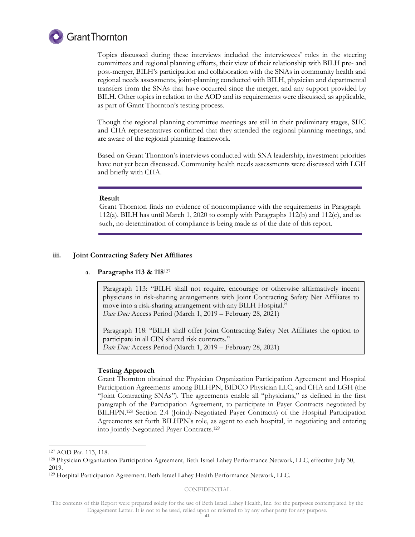

Topics discussed during these interviews included the interviewees' roles in the steering committees and regional planning efforts, their view of their relationship with BILH pre- and post-merger, BILH's participation and collaboration with the SNAs in community health and regional needs assessments, joint-planning conducted with BILH, physician and departmental transfers from the SNAs that have occurred since the merger, and any support provided by BILH. Other topics in relation to the AOD and its requirements were discussed, as applicable, as part of Grant Thornton's testing process.

Though the regional planning committee meetings are still in their preliminary stages, SHC and CHA representatives confirmed that they attended the regional planning meetings, and are aware of the regional planning framework.

Based on Grant Thornton's interviews conducted with SNA leadership, investment priorities have not yet been discussed. Community health needs assessments were discussed with LGH and briefly with CHA.

#### **Result**

Grant Thornton finds no evidence of noncompliance with the requirements in Paragraph 112(a). BILH has until March 1, 2020 to comply with Paragraphs 112(b) and 112(c), and as such, no determination of compliance is being made as of the date of this report.

#### **iii. Joint Contracting Safety Net Affiliates**

#### a. **Paragraphs 113 & 118**<sup>127</sup>

Paragraph 113: "BILH shall not require, encourage or otherwise affirmatively incent physicians in risk-sharing arrangements with Joint Contracting Safety Net Affiliates to move into a risk-sharing arrangement with any BILH Hospital." *Date Due:* Access Period (March 1, 2019 – February 28, 2021)

Paragraph 118: "BILH shall offer Joint Contracting Safety Net Affiliates the option to participate in all CIN shared risk contracts." *Date Due:* Access Period (March 1, 2019 – February 28, 2021)

#### **Testing Approach**

Grant Thornton obtained the Physician Organization Participation Agreement and Hospital Participation Agreements among BILHPN, BIDCO Physician LLC, and CHA and LGH (the "Joint Contracting SNAs"). The agreements enable all "physicians," as defined in the first paragraph of the Participation Agreement, to participate in Payer Contracts negotiated by BILHPN.<sup>128</sup> Section 2.4 (Jointly-Negotiated Payer Contracts) of the Hospital Participation Agreements set forth BILHPN's role, as agent to each hospital, in negotiating and entering into Jointly-Negotiated Payer Contracts. 129

-

CONFIDENTIAL

<sup>127</sup> AOD Par. 113, 118.

<sup>128</sup> Physician Organization Participation Agreement, Beth Israel Lahey Performance Network, LLC, effective July 30, 2019.

<sup>129</sup> Hospital Participation Agreement. Beth Israel Lahey Health Performance Network, LLC.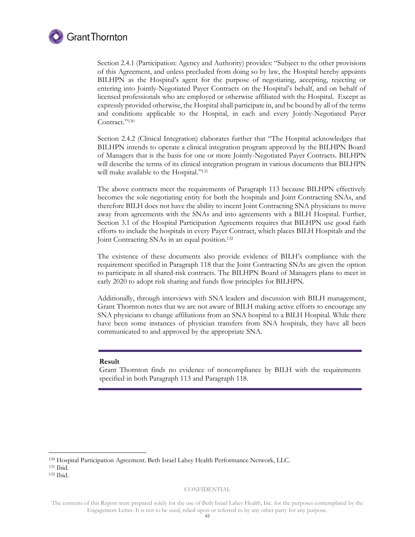

Section 2.4.1 (Participation: Agency and Authority) provides: "Subject to the other provisions of this Agreement, and unless precluded from doing so by law, the Hospital hereby appoints BILHPN as the Hospital's agent for the purpose of negotiating, accepting, rejecting or entering into Jointly-Negotiated Payer Contracts on the Hospital's behalf, and on behalf of licensed professionals who are employed or otherwise affiliated with the Hospital. Except as expressly provided otherwise, the Hospital shall participate in, and be bound by all of the terms and conditions applicable to the Hospital, in each and every Jointly-Negotiated Payer Contract."<sup>130</sup>

Section 2.4.2 (Clinical Integration) elaborates further that "The Hospital acknowledges that BILHPN intends to operate a clinical integration program approved by the BILHPN Board of Managers that is the basis for one or more Jointly-Negotiated Payer Contracts. BILHPN will describe the terms of its clinical integration program in various documents that BILHPN will make available to the Hospital." 131

The above contracts meet the requirements of Paragraph 113 because BILHPN effectively becomes the sole negotiating entity for both the hospitals and Joint Contracting SNAs, and therefore BILH does not have the ability to incent Joint Contracting SNA physicians to move away from agreements with the SNAs and into agreements with a BILH Hospital. Further, Section 3.1 of the Hospital Participation Agreements requires that BILHPN use good faith efforts to include the hospitals in every Payer Contract, which places BILH Hospitals and the Joint Contracting SNAs in an equal position.<sup>132</sup>

The existence of these documents also provide evidence of BILH's compliance with the requirement specified in Paragraph 118 that the Joint Contracting SNAs are given the option to participate in all shared-risk contracts. The BILHPN Board of Managers plans to meet in early 2020 to adopt risk sharing and funds flow principles for BILHPN.

Additionally, through interviews with SNA leaders and discussion with BILH management, Grant Thornton notes that we are not aware of BILH making active efforts to encourage any SNA physicians to change affiliations from an SNA hospital to a BILH Hospital. While there have been some instances of physician transfers from SNA hospitals, they have all been communicated to and approved by the appropriate SNA.

#### **Result**

Grant Thornton finds no evidence of noncompliance by BILH with the requirements specified in both Paragraph 113 and Paragraph 118.

<sup>131</sup> Ibid.

-

<sup>132</sup> Ibid.

<sup>130</sup> Hospital Participation Agreement. Beth Israel Lahey Health Performance Network, LLC.

The contents of this Report were prepared solely for the use of Beth Israel Lahey Health, Inc. for the purposes contemplated by the Engagement Letter. It is not to be used, relied upon or referred to by any other party for any purpose.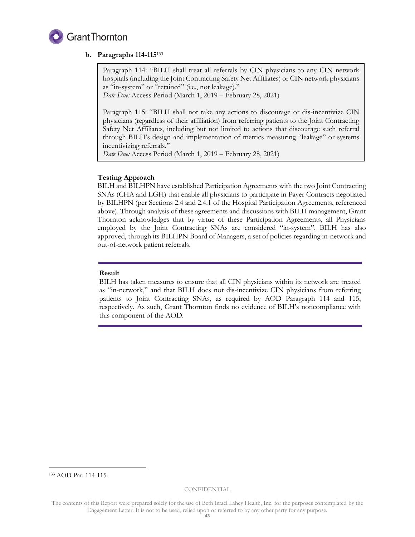

# **b. Paragraphs 114-115**<sup>133</sup>

Paragraph 114: "BILH shall treat all referrals by CIN physicians to any CIN network hospitals (including the Joint Contracting Safety Net Affiliates) or CIN network physicians as "in-system" or "retained" (i.e., not leakage)."

*Date Due:* Access Period (March 1, 2019 – February 28, 2021)

Paragraph 115: "BILH shall not take any actions to discourage or dis-incentivize CIN physicians (regardless of their affiliation) from referring patients to the Joint Contracting Safety Net Affiliates, including but not limited to actions that discourage such referral through BILH's design and implementation of metrics measuring "leakage" or systems incentivizing referrals."

*Date Due:* Access Period (March 1, 2019 – February 28, 2021)

# **Testing Approach**

BILH and BILHPN have established Participation Agreements with the two Joint Contracting SNAs (CHA and LGH) that enable all physicians to participate in Payer Contracts negotiated by BILHPN (per Sections 2.4 and 2.4.1 of the Hospital Participation Agreements, referenced above). Through analysis of these agreements and discussions with BILH management, Grant Thornton acknowledges that by virtue of these Participation Agreements, all Physicians employed by the Joint Contracting SNAs are considered "in-system". BILH has also approved, through its BILHPN Board of Managers, a set of policies regarding in-network and out-of-network patient referrals.

# **Result**

BILH has taken measures to ensure that all CIN physicians within its network are treated as "in-network," and that BILH does not dis-incentivize CIN physicians from referring patients to Joint Contracting SNAs, as required by AOD Paragraph 114 and 115, respectively. As such, Grant Thornton finds no evidence of BILH's noncompliance with this component of the AOD.

<sup>133</sup> AOD Par. 114-115.

-

The contents of this Report were prepared solely for the use of Beth Israel Lahey Health, Inc. for the purposes contemplated by the Engagement Letter. It is not to be used, relied upon or referred to by any other party for any purpose.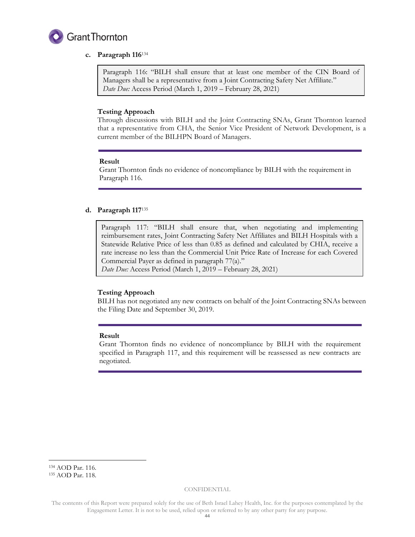

# **c. Paragraph 116**<sup>134</sup>

Paragraph 116: "BILH shall ensure that at least one member of the CIN Board of Managers shall be a representative from a Joint Contracting Safety Net Affiliate." *Date Due:* Access Period (March 1, 2019 – February 28, 2021)

# **Testing Approach**

Through discussions with BILH and the Joint Contracting SNAs, Grant Thornton learned that a representative from CHA, the Senior Vice President of Network Development, is a current member of the BILHPN Board of Managers.

# **Result**

Grant Thornton finds no evidence of noncompliance by BILH with the requirement in Paragraph 116.

# **d. Paragraph 117**<sup>135</sup>

Paragraph 117: "BILH shall ensure that, when negotiating and implementing reimbursement rates, Joint Contracting Safety Net Affiliates and BILH Hospitals with a Statewide Relative Price of less than 0.85 as defined and calculated by CHIA, receive a rate increase no less than the Commercial Unit Price Rate of Increase for each Covered Commercial Payer as defined in paragraph 77(a)."

*Date Due:* Access Period (March 1, 2019 – February 28, 2021)

# **Testing Approach**

BILH has not negotiated any new contracts on behalf of the Joint Contracting SNAs between the Filing Date and September 30, 2019.

# **Result**

Grant Thornton finds no evidence of noncompliance by BILH with the requirement specified in Paragraph 117, and this requirement will be reassessed as new contracts are negotiated.

-

<sup>134</sup> AOD Par. 116.

<sup>135</sup> AOD Par. 118.

The contents of this Report were prepared solely for the use of Beth Israel Lahey Health, Inc. for the purposes contemplated by the Engagement Letter. It is not to be used, relied upon or referred to by any other party for any purpose.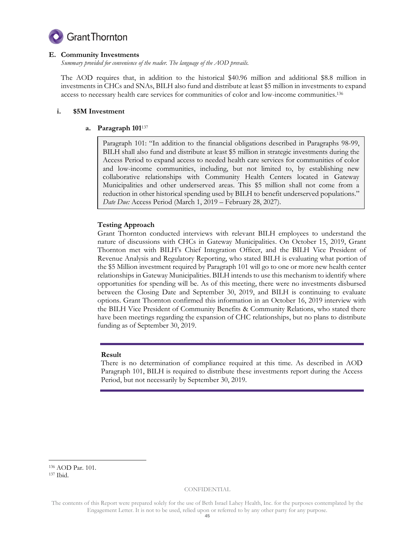

# **E. Community Investments**

*Summary provided for convenience of the reader. The language of the AOD prevails.* 

The AOD requires that, in addition to the historical \$40.96 million and additional \$8.8 million in investments in CHCs and SNAs, BILH also fund and distribute at least \$5 million in investments to expand access to necessary health care services for communities of color and low-income communities.<sup>136</sup>

# **i. \$5M Investment**

# **a. Paragraph 101**<sup>137</sup>

Paragraph 101: "In addition to the financial obligations described in Paragraphs 98-99, BILH shall also fund and distribute at least \$5 million in strategic investments during the Access Period to expand access to needed health care services for communities of color and low-income communities, including, but not limited to, by establishing new collaborative relationships with Community Health Centers located in Gateway Municipalities and other underserved areas. This \$5 million shall not come from a reduction in other historical spending used by BILH to benefit underserved populations." *Date Due:* Access Period (March 1, 2019 – February 28, 2027).

# **Testing Approach**

Grant Thornton conducted interviews with relevant BILH employees to understand the nature of discussions with CHCs in Gateway Municipalities. On October 15, 2019, Grant Thornton met with BILH's Chief Integration Officer, and the BILH Vice President of Revenue Analysis and Regulatory Reporting, who stated BILH is evaluating what portion of the \$5 Million investment required by Paragraph 101 will go to one or more new health center relationships in Gateway Municipalities. BILH intends to use this mechanism to identify where opportunities for spending will be. As of this meeting, there were no investments disbursed between the Closing Date and September 30, 2019, and BILH is continuing to evaluate options. Grant Thornton confirmed this information in an October 16, 2019 interview with the BILH Vice President of Community Benefits & Community Relations, who stated there have been meetings regarding the expansion of CHC relationships, but no plans to distribute funding as of September 30, 2019.

# **Result**

There is no determination of compliance required at this time. As described in AOD Paragraph 101, BILH is required to distribute these investments report during the Access Period, but not necessarily by September 30, 2019.

#### <sup>136</sup> AOD Par. 101. <sup>137</sup> Ibid.

-

The contents of this Report were prepared solely for the use of Beth Israel Lahey Health, Inc. for the purposes contemplated by the Engagement Letter. It is not to be used, relied upon or referred to by any other party for any purpose.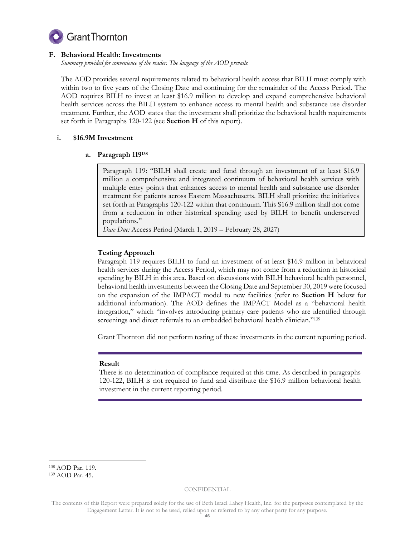

# **F. Behavioral Health: Investments**

*Summary provided for convenience of the reader. The language of the AOD prevails.* 

The AOD provides several requirements related to behavioral health access that BILH must comply with within two to five years of the Closing Date and continuing for the remainder of the Access Period. The AOD requires BILH to invest at least \$16.9 million to develop and expand comprehensive behavioral health services across the BILH system to enhance access to mental health and substance use disorder treatment. Further, the AOD states that the investment shall prioritize the behavioral health requirements set forth in Paragraphs 120-122 (see **Section H** of this report).

# **i. \$16.9M Investment**

# **a. Paragraph 119<sup>138</sup>**

Paragraph 119: "BILH shall create and fund through an investment of at least \$16.9 million a comprehensive and integrated continuum of behavioral health services with multiple entry points that enhances access to mental health and substance use disorder treatment for patients across Eastern Massachusetts. BILH shall prioritize the initiatives set forth in Paragraphs 120-122 within that continuum. This \$16.9 million shall not come from a reduction in other historical spending used by BILH to benefit underserved populations."

*Date Due:* Access Period (March 1, 2019 – February 28, 2027)

# **Testing Approach**

Paragraph 119 requires BILH to fund an investment of at least \$16.9 million in behavioral health services during the Access Period, which may not come from a reduction in historical spending by BILH in this area. Based on discussions with BILH behavioral health personnel, behavioral health investments between the Closing Date and September 30, 2019 were focused on the expansion of the IMPACT model to new facilities (refer to **Section H** below for additional information). The AOD defines the IMPACT Model as a "behavioral health integration," which "involves introducing primary care patients who are identified through screenings and direct referrals to an embedded behavioral health clinician."<sup>139</sup>

Grant Thornton did not perform testing of these investments in the current reporting period.

# **Result**

There is no determination of compliance required at this time. As described in paragraphs 120-122, BILH is not required to fund and distribute the \$16.9 million behavioral health investment in the current reporting period.

-

<sup>138</sup> AOD Par. 119.

<sup>139</sup> AOD Par. 45.

The contents of this Report were prepared solely for the use of Beth Israel Lahey Health, Inc. for the purposes contemplated by the Engagement Letter. It is not to be used, relied upon or referred to by any other party for any purpose.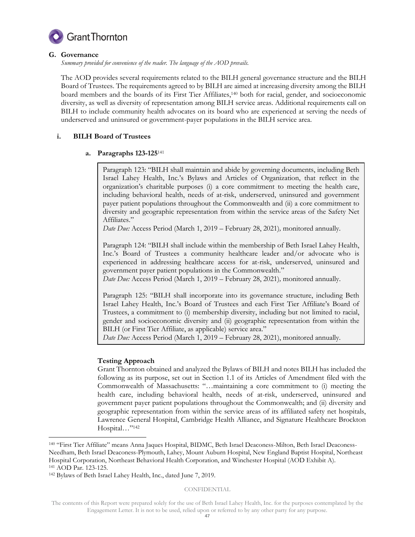

# **G. Governance**

*Summary provided for convenience of the reader. The language of the AOD prevails.* 

The AOD provides several requirements related to the BILH general governance structure and the BILH Board of Trustees. The requirements agreed to by BILH are aimed at increasing diversity among the BILH board members and the boards of its First Tier Affiliates,<sup>140</sup> both for racial, gender, and socioeconomic diversity, as well as diversity of representation among BILH service areas. Additional requirements call on BILH to include community health advocates on its board who are experienced at serving the needs of underserved and uninsured or government-payer populations in the BILH service area.

# **i. BILH Board of Trustees**

# **a. Paragraphs 123-125**<sup>141</sup>

Paragraph 123: "BILH shall maintain and abide by governing documents, including Beth Israel Lahey Health, Inc.'s Bylaws and Articles of Organization, that reflect in the organization's charitable purposes (i) a core commitment to meeting the health care, including behavioral health, needs of at-risk, underserved, uninsured and government payer patient populations throughout the Commonwealth and (ii) a core commitment to diversity and geographic representation from within the service areas of the Safety Net Affiliates."

*Date Due:* Access Period (March 1, 2019 – February 28, 2021)*,* monitored annually.

Paragraph 124: "BILH shall include within the membership of Beth Israel Lahey Health, Inc.'s Board of Trustees a community healthcare leader and/or advocate who is experienced in addressing healthcare access for at-risk, underserved, uninsured and government payer patient populations in the Commonwealth."

*Date Due:* Access Period (March 1, 2019 – February 28, 2021)*,* monitored annually.

Paragraph 125: "BILH shall incorporate into its governance structure, including Beth Israel Lahey Health, Inc.'s Board of Trustees and each First Tier Affiliate's Board of Trustees, a commitment to (i) membership diversity, including but not limited to racial, gender and socioeconomic diversity and (ii) geographic representation from within the BILH (or First Tier Affiliate, as applicable) service area."

*Date Due:* Access Period (March 1, 2019 – February 28, 2021), monitored annually.

# **Testing Approach**

Grant Thornton obtained and analyzed the Bylaws of BILH and notes BILH has included the following as its purpose, set out in Section 1.1 of its Articles of Amendment filed with the Commonwealth of Massachusetts: "…maintaining a core commitment to (i) meeting the health care, including behavioral health, needs of at-risk, underserved, uninsured and government payer patient populations throughout the Commonwealth; and (ii) diversity and geographic representation from within the service areas of its affiliated safety net hospitals, Lawrence General Hospital, Cambridge Health Alliance, and Signature Healthcare Brockton Hospital…"<sup>142</sup>

-

<sup>140</sup> "First Tier Affiliate" means Anna Jaques Hospital, BIDMC, Beth Israel Deaconess-Milton, Beth Israel Deaconess-Needham, Beth Israel Deaconess-Plymouth, Lahey, Mount Auburn Hospital, New England Baptist Hospital, Northeast Hospital Corporation, Northeast Behavioral Health Corporation, and Winchester Hospital (AOD Exhibit A). <sup>141</sup> AOD Par. 123-125.

<sup>142</sup> Bylaws of Beth Israel Lahey Health, Inc., dated June 7, 2019.

The contents of this Report were prepared solely for the use of Beth Israel Lahey Health, Inc. for the purposes contemplated by the Engagement Letter. It is not to be used, relied upon or referred to by any other party for any purpose.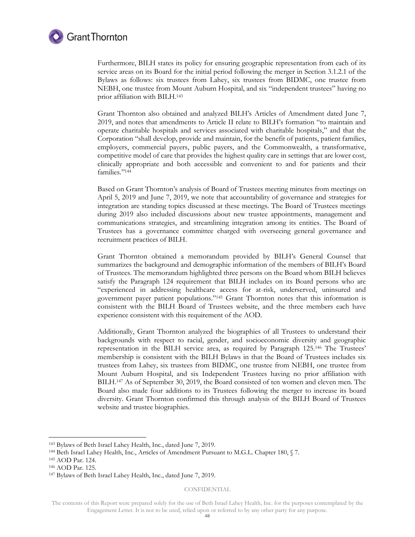

Furthermore, BILH states its policy for ensuring geographic representation from each of its service areas on its Board for the initial period following the merger in Section 3.1.2.1 of the Bylaws as follows: six trustees from Lahey, six trustees from BIDMC, one trustee from NEBH, one trustee from Mount Auburn Hospital, and six "independent trustees" having no prior affiliation with BILH.<sup>143</sup>

Grant Thornton also obtained and analyzed BILH's Articles of Amendment dated June 7, 2019, and notes that amendments to Article II relate to BILH's formation "to maintain and operate charitable hospitals and services associated with charitable hospitals," and that the Corporation "shall develop, provide and maintain, for the benefit of patients, patient families, employers, commercial payers, public payers, and the Commonwealth, a transformative, competitive model of care that provides the highest quality care in settings that are lower cost, clinically appropriate and both accessible and convenient to and for patients and their families."<sup>144</sup>

Based on Grant Thornton's analysis of Board of Trustees meeting minutes from meetings on April 5, 2019 and June 7, 2019, we note that accountability of governance and strategies for integration are standing topics discussed at these meetings. The Board of Trustees meetings during 2019 also included discussions about new trustee appointments, management and communications strategies, and streamlining integration among its entities. The Board of Trustees has a governance committee charged with overseeing general governance and recruitment practices of BILH.

Grant Thornton obtained a memorandum provided by BILH's General Counsel that summarizes the background and demographic information of the members of BILH's Board of Trustees. The memorandum highlighted three persons on the Board whom BILH believes satisfy the Paragraph 124 requirement that BILH includes on its Board persons who are "experienced in addressing healthcare access for at-risk, underserved, uninsured and government payer patient populations."<sup>145</sup> Grant Thornton notes that this information is consistent with the BILH Board of Trustees website, and the three members each have experience consistent with this requirement of the AOD.

Additionally, Grant Thornton analyzed the biographies of all Trustees to understand their backgrounds with respect to racial, gender, and socioeconomic diversity and geographic representation in the BILH service area, as required by Paragraph 125.<sup>146</sup> The Trustees' membership is consistent with the BILH Bylaws in that the Board of Trustees includes six trustees from Lahey, six trustees from BIDMC, one trustee from NEBH, one trustee from Mount Auburn Hospital, and six Independent Trustees having no prior affiliation with BILH.<sup>147</sup> As of September 30, 2019, the Board consisted of ten women and eleven men. The Board also made four additions to its Trustees following the merger to increase its board diversity. Grant Thornton confirmed this through analysis of the BILH Board of Trustees website and trustee biographies.

-

CONFIDENTIAL

<sup>143</sup> Bylaws of Beth Israel Lahey Health, Inc., dated June 7, 2019.

<sup>144</sup> Beth Israel Lahey Health, Inc., Articles of Amendment Pursuant to M.G.L. Chapter 180, § 7.

<sup>145</sup> AOD Par. 124.

<sup>146</sup> AOD Par. 125.

<sup>147</sup> Bylaws of Beth Israel Lahey Health, Inc., dated June 7, 2019.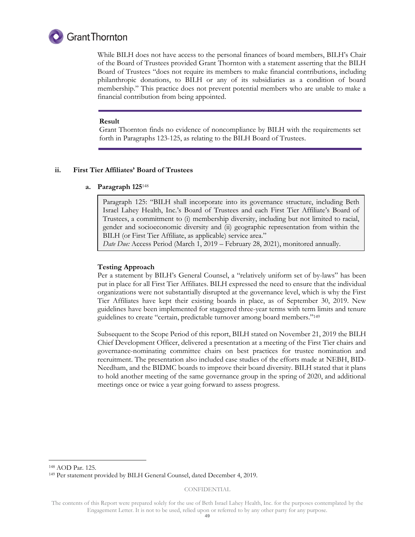

While BILH does not have access to the personal finances of board members, BILH's Chair of the Board of Trustees provided Grant Thornton with a statement asserting that the BILH Board of Trustees "does not require its members to make financial contributions, including philanthropic donations, to BILH or any of its subsidiaries as a condition of board membership." This practice does not prevent potential members who are unable to make a financial contribution from being appointed.

#### **Result**

Grant Thornton finds no evidence of noncompliance by BILH with the requirements set forth in Paragraphs 123-125, as relating to the BILH Board of Trustees.

# **ii. First Tier Affiliates' Board of Trustees**

#### **a. Paragraph 125**<sup>148</sup>

Paragraph 125: "BILH shall incorporate into its governance structure, including Beth Israel Lahey Health, Inc.'s Board of Trustees and each First Tier Affiliate's Board of Trustees, a commitment to (i) membership diversity, including but not limited to racial, gender and socioeconomic diversity and (ii) geographic representation from within the BILH (or First Tier Affiliate, as applicable) service area."

*Date Due:* Access Period (March 1, 2019 – February 28, 2021), monitored annually.

# **Testing Approach**

Per a statement by BILH's General Counsel, a "relatively uniform set of by-laws" has been put in place for all First Tier Affiliates. BILH expressed the need to ensure that the individual organizations were not substantially disrupted at the governance level, which is why the First Tier Affiliates have kept their existing boards in place, as of September 30, 2019. New guidelines have been implemented for staggered three-year terms with term limits and tenure guidelines to create "certain, predictable turnover among board members."<sup>149</sup>

Subsequent to the Scope Period of this report, BILH stated on November 21, 2019 the BILH Chief Development Officer, delivered a presentation at a meeting of the First Tier chairs and governance-nominating committee chairs on best practices for trustee nomination and recruitment. The presentation also included case studies of the efforts made at NEBH, BID-Needham, and the BIDMC boards to improve their board diversity. BILH stated that it plans to hold another meeting of the same governance group in the spring of 2020, and additional meetings once or twice a year going forward to assess progress.

-

<sup>148</sup> AOD Par. 125.

<sup>149</sup> Per statement provided by BILH General Counsel, dated December 4, 2019.

The contents of this Report were prepared solely for the use of Beth Israel Lahey Health, Inc. for the purposes contemplated by the Engagement Letter. It is not to be used, relied upon or referred to by any other party for any purpose.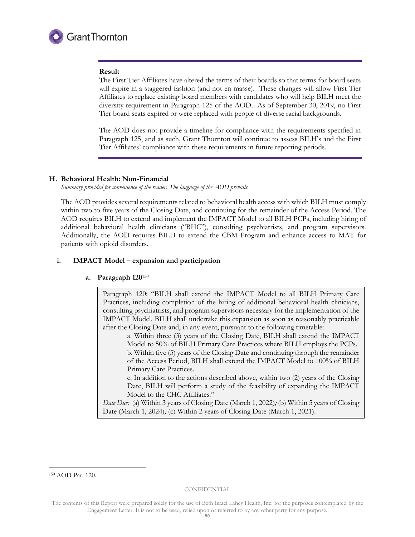

# **Result**

The First Tier Affiliates have altered the terms of their boards so that terms for board seats will expire in a staggered fashion (and not en masse). These changes will allow First Tier Affiliates to replace existing board members with candidates who will help BILH meet the diversity requirement in Paragraph 125 of the AOD. As of September 30, 2019, no First Tier board seats expired or were replaced with people of diverse racial backgrounds.

The AOD does not provide a timeline for compliance with the requirements specified in Paragraph 125, and as such, Grant Thornton will continue to assess BILH's and the First Tier Affiliates' compliance with these requirements in future reporting periods.

# **H. Behavioral Health: Non-Financial**

*Summary provided for convenience of the reader. The language of the AOD prevails.* 

The AOD provides several requirements related to behavioral health access with which BILH must comply within two to five years of the Closing Date, and continuing for the remainder of the Access Period. The AOD requires BILH to extend and implement the IMPACT Model to all BILH PCPs, including hiring of additional behavioral health clinicians ("BHC"), consulting psychiatrists, and program supervisors. Additionally, the AOD requires BILH to extend the CBM Program and enhance access to MAT for patients with opioid disorders.

# **i. IMPACT Model – expansion and participation**

# **a. Paragraph 120**<sup>150</sup>

Paragraph 120: "BILH shall extend the IMPACT Model to all BILH Primary Care Practices, including completion of the hiring of additional behavioral health clinicians, consulting psychiatrists, and program supervisors necessary for the implementation of the IMPACT Model. BILH shall undertake this expansion as soon as reasonably practicable after the Closing Date and, in any event, pursuant to the following timetable:

a. Within three (3) years of the Closing Date, BILH shall extend the IMPACT Model to 50% of BILH Primary Care Practices where BILH employs the PCPs. b. Within five (5) years of the Closing Date and continuing through the remainder of the Access Period, BILH shall extend the IMPACT Model to 100% of BILH Primary Care Practices.

c. In addition to the actions described above, within two (2) years of the Closing Date, BILH will perform a study of the feasibility of expanding the IMPACT Model to the CHC Affiliates."

*Date Due:* (a) Within 3 years of Closing Date (March 1, 2022)*;* (b) Within 5 years of Closing Date (March 1, 2024)*;* (c) Within 2 years of Closing Date (March 1, 2021).

<sup>150</sup> AOD Par. 120.

-

The contents of this Report were prepared solely for the use of Beth Israel Lahey Health, Inc. for the purposes contemplated by the Engagement Letter. It is not to be used, relied upon or referred to by any other party for any purpose.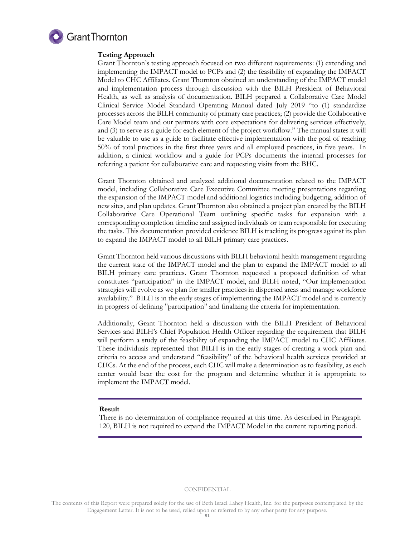

# **Testing Approach**

Grant Thornton's testing approach focused on two different requirements: (1) extending and implementing the IMPACT model to PCPs and (2) the feasibility of expanding the IMPACT Model to CHC Affiliates. Grant Thornton obtained an understanding of the IMPACT model and implementation process through discussion with the BILH President of Behavioral Health, as well as analysis of documentation. BILH prepared a Collaborative Care Model Clinical Service Model Standard Operating Manual dated July 2019 "to (1) standardize processes across the BILH community of primary care practices; (2) provide the Collaborative Care Model team and our partners with core expectations for delivering services effectively; and (3) to serve as a guide for each element of the project workflow." The manual states it will be valuable to use as a guide to facilitate effective implementation with the goal of reaching 50% of total practices in the first three years and all employed practices, in five years. In addition, a clinical workflow and a guide for PCPs documents the internal processes for referring a patient for collaborative care and requesting visits from the BHC.

Grant Thornton obtained and analyzed additional documentation related to the IMPACT model, including Collaborative Care Executive Committee meeting presentations regarding the expansion of the IMPACT model and additional logistics including budgeting, addition of new sites, and plan updates. Grant Thornton also obtained a project plan created by the BILH Collaborative Care Operational Team outlining specific tasks for expansion with a corresponding completion timeline and assigned individuals or team responsible for executing the tasks. This documentation provided evidence BILH is tracking its progress against its plan to expand the IMPACT model to all BILH primary care practices.

Grant Thornton held various discussions with BILH behavioral health management regarding the current state of the IMPACT model and the plan to expand the IMPACT model to all BILH primary care practices. Grant Thornton requested a proposed definition of what constitutes "participation" in the IMPACT model, and BILH noted, "Our implementation strategies will evolve as we plan for smaller practices in dispersed areas and manage workforce availability." BILH is in the early stages of implementing the IMPACT model and is currently in progress of defining "participation" and finalizing the criteria for implementation.

Additionally, Grant Thornton held a discussion with the BILH President of Behavioral Services and BILH's Chief Population Health Officer regarding the requirement that BILH will perform a study of the feasibility of expanding the IMPACT model to CHC Affiliates. These individuals represented that BILH is in the early stages of creating a work plan and criteria to access and understand "feasibility" of the behavioral health services provided at CHCs. At the end of the process, each CHC will make a determination as to feasibility, as each center would bear the cost for the program and determine whether it is appropriate to implement the IMPACT model.

#### **Result**

There is no determination of compliance required at this time. As described in Paragraph 120, BILH is not required to expand the IMPACT Model in the current reporting period.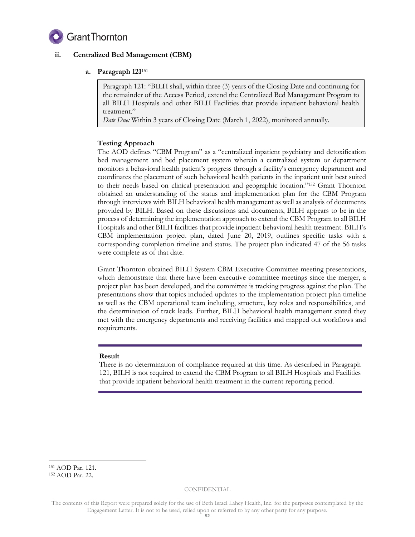

# **ii. Centralized Bed Management (CBM)**

# **a. Paragraph 121**<sup>151</sup>

Paragraph 121: "BILH shall, within three (3) years of the Closing Date and continuing for the remainder of the Access Period, extend the Centralized Bed Management Program to all BILH Hospitals and other BILH Facilities that provide inpatient behavioral health treatment."

*Date Due:* Within 3 years of Closing Date (March 1, 2022), monitored annually.

# **Testing Approach**

The AOD defines "CBM Program" as a "centralized inpatient psychiatry and detoxification bed management and bed placement system wherein a centralized system or department monitors a behavioral health patient's progress through a facility's emergency department and coordinates the placement of such behavioral health patients in the inpatient unit best suited to their needs based on clinical presentation and geographic location."<sup>152</sup> Grant Thornton obtained an understanding of the status and implementation plan for the CBM Program through interviews with BILH behavioral health management as well as analysis of documents provided by BILH. Based on these discussions and documents, BILH appears to be in the process of determining the implementation approach to extend the CBM Program to all BILH Hospitals and other BILH facilities that provide inpatient behavioral health treatment. BILH's CBM implementation project plan, dated June 20, 2019, outlines specific tasks with a corresponding completion timeline and status. The project plan indicated 47 of the 56 tasks were complete as of that date.

Grant Thornton obtained BILH System CBM Executive Committee meeting presentations, which demonstrate that there have been executive committee meetings since the merger, a project plan has been developed, and the committee is tracking progress against the plan. The presentations show that topics included updates to the implementation project plan timeline as well as the CBM operational team including, structure, key roles and responsibilities, and the determination of track leads. Further, BILH behavioral health management stated they met with the emergency departments and receiving facilities and mapped out workflows and requirements.

# **Result**

There is no determination of compliance required at this time. As described in Paragraph 121, BILH is not required to extend the CBM Program to all BILH Hospitals and Facilities that provide inpatient behavioral health treatment in the current reporting period.

-

<sup>151</sup> AOD Par. 121.

<sup>152</sup> AOD Par. 22.

The contents of this Report were prepared solely for the use of Beth Israel Lahey Health, Inc. for the purposes contemplated by the Engagement Letter. It is not to be used, relied upon or referred to by any other party for any purpose.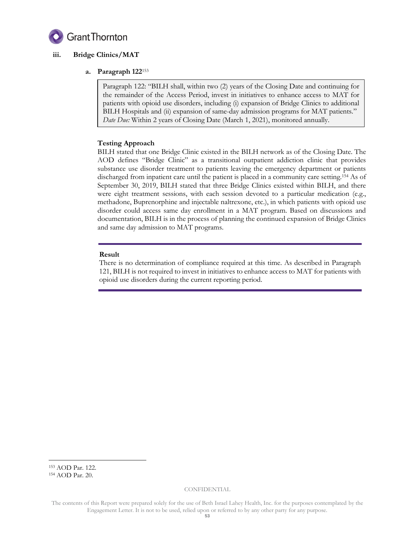

# **iii. Bridge Clinics/MAT**

# **a. Paragraph 122**<sup>153</sup>

Paragraph 122: "BILH shall, within two (2) years of the Closing Date and continuing for the remainder of the Access Period, invest in initiatives to enhance access to MAT for patients with opioid use disorders, including (i) expansion of Bridge Clinics to additional BILH Hospitals and (ii) expansion of same-day admission programs for MAT patients." *Date Due:* Within 2 years of Closing Date (March 1, 2021), monitored annually.

# **Testing Approach**

BILH stated that one Bridge Clinic existed in the BILH network as of the Closing Date. The AOD defines "Bridge Clinic" as a transitional outpatient addiction clinic that provides substance use disorder treatment to patients leaving the emergency department or patients discharged from inpatient care until the patient is placed in a community care setting.<sup>154</sup> As of September 30, 2019, BILH stated that three Bridge Clinics existed within BILH, and there were eight treatment sessions, with each session devoted to a particular medication (e.g., methadone, Buprenorphine and injectable naltrexone, etc.), in which patients with opioid use disorder could access same day enrollment in a MAT program. Based on discussions and documentation, BILH is in the process of planning the continued expansion of Bridge Clinics and same day admission to MAT programs.

# **Result**

There is no determination of compliance required at this time. As described in Paragraph 121, BILH is not required to invest in initiatives to enhance access to MAT for patients with opioid use disorders during the current reporting period.

-

<sup>153</sup> AOD Par. 122. <sup>154</sup> AOD Par. 20.

The contents of this Report were prepared solely for the use of Beth Israel Lahey Health, Inc. for the purposes contemplated by the Engagement Letter. It is not to be used, relied upon or referred to by any other party for any purpose.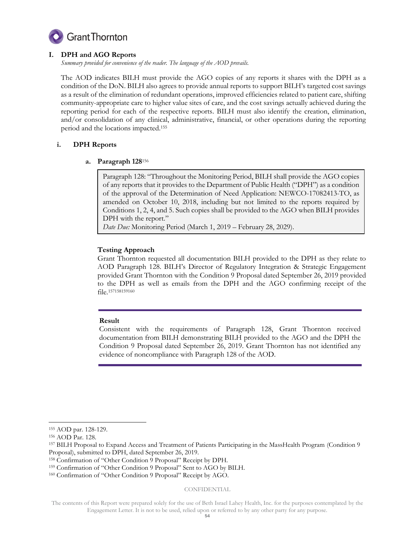

# **I. DPH and AGO Reports**

*Summary provided for convenience of the reader. The language of the AOD prevails.* 

The AOD indicates BILH must provide the AGO copies of any reports it shares with the DPH as a condition of the DoN. BILH also agrees to provide annual reports to support BILH's targeted cost savings as a result of the elimination of redundant operations, improved efficiencies related to patient care, shifting community-appropriate care to higher value sites of care, and the cost savings actually achieved during the reporting period for each of the respective reports. BILH must also identify the creation, elimination, and/or consolidation of any clinical, administrative, financial, or other operations during the reporting period and the locations impacted.<sup>155</sup>

# **i. DPH Reports**

# **a. Paragraph 128**<sup>156</sup>

Paragraph 128: "Throughout the Monitoring Period, BILH shall provide the AGO copies of any reports that it provides to the Department of Public Health ("DPH") as a condition of the approval of the Determination of Need Application: NEWCO-17082413-TO, as amended on October 10, 2018, including but not limited to the reports required by Conditions 1, 2, 4, and 5. Such copies shall be provided to the AGO when BILH provides DPH with the report."

*Date Due:* Monitoring Period (March 1, 2019 – February 28, 2029).

# **Testing Approach**

Grant Thornton requested all documentation BILH provided to the DPH as they relate to AOD Paragraph 128. BILH's Director of Regulatory Integration & Strategic Engagement provided Grant Thornton with the Condition 9 Proposal dated September 26, 2019 provided to the DPH as well as emails from the DPH and the AGO confirming receipt of the file.<sup>157158159160</sup>

# **Result**

Consistent with the requirements of Paragraph 128, Grant Thornton received documentation from BILH demonstrating BILH provided to the AGO and the DPH the Condition 9 Proposal dated September 26, 2019. Grant Thornton has not identified any evidence of noncompliance with Paragraph 128 of the AOD.

-

<sup>160</sup> Confirmation of "Other Condition 9 Proposal" Receipt by AGO.

#### CONFIDENTIAL

<sup>155</sup> AOD par. 128-129.

<sup>156</sup> AOD Par. 128.

<sup>157</sup> BILH Proposal to Expand Access and Treatment of Patients Participating in the MassHealth Program (Condition 9 Proposal), submitted to DPH, dated September 26, 2019.

<sup>158</sup> Confirmation of "Other Condition 9 Proposal" Receipt by DPH.

<sup>159</sup> Confirmation of "Other Condition 9 Proposal" Sent to AGO by BILH.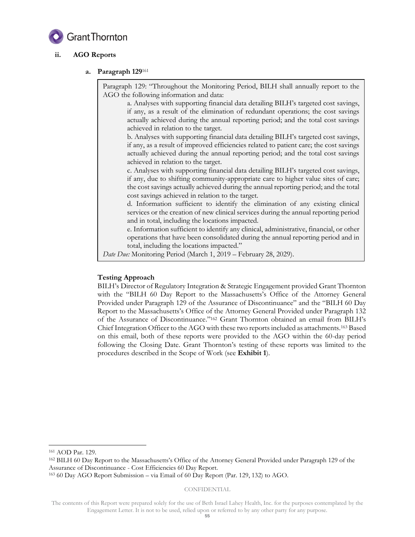

# **ii. AGO Reports**

# **a. Paragraph 129**<sup>161</sup>

Paragraph 129: "Throughout the Monitoring Period, BILH shall annually report to the AGO the following information and data:

a. Analyses with supporting financial data detailing BILH's targeted cost savings, if any, as a result of the elimination of redundant operations; the cost savings actually achieved during the annual reporting period; and the total cost savings achieved in relation to the target.

b. Analyses with supporting financial data detailing BILH's targeted cost savings, if any, as a result of improved efficiencies related to patient care; the cost savings actually achieved during the annual reporting period; and the total cost savings achieved in relation to the target.

c. Analyses with supporting financial data detailing BILH's targeted cost savings, if any, due to shifting community-appropriate care to higher value sites of care; the cost savings actually achieved during the annual reporting period; and the total cost savings achieved in relation to the target.

d. Information sufficient to identify the elimination of any existing clinical services or the creation of new clinical services during the annual reporting period and in total, including the locations impacted.

e. Information sufficient to identify any clinical, administrative, financial, or other operations that have been consolidated during the annual reporting period and in total, including the locations impacted."

*Date Due:* Monitoring Period (March 1, 2019 – February 28, 2029).

# **Testing Approach**

BILH's Director of Regulatory Integration & Strategic Engagement provided Grant Thornton with the "BILH 60 Day Report to the Massachusetts's Office of the Attorney General Provided under Paragraph 129 of the Assurance of Discontinuance" and the "BILH 60 Day Report to the Massachusetts's Office of the Attorney General Provided under Paragraph 132 of the Assurance of Discontinuance." <sup>162</sup> Grant Thornton obtained an email from BILH's Chief Integration Officer to the AGO with these two reports included as attachments.<sup>163</sup> Based on this email, both of these reports were provided to the AGO within the 60-day period following the Closing Date. Grant Thornton's testing of these reports was limited to the procedures described in the Scope of Work (see **Exhibit 1**).

-

#### CONFIDENTIAL

<sup>161</sup> AOD Par. 129.

<sup>162</sup> BILH 60 Day Report to the Massachusetts's Office of the Attorney General Provided under Paragraph 129 of the Assurance of Discontinuance - Cost Efficiencies 60 Day Report.

<sup>163</sup> 60 Day AGO Report Submission – via Email of 60 Day Report (Par. 129, 132) to AGO.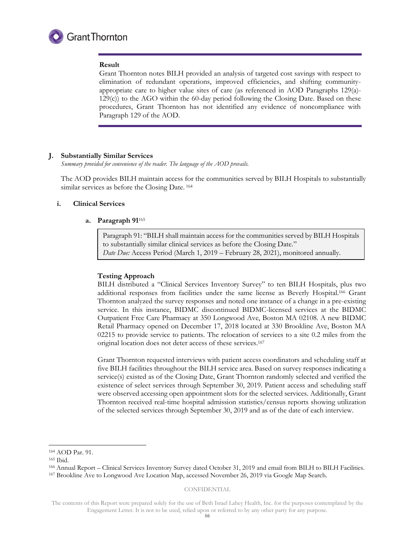

#### **Result**

Grant Thornton notes BILH provided an analysis of targeted cost savings with respect to elimination of redundant operations, improved efficiencies, and shifting communityappropriate care to higher value sites of care (as referenced in AOD Paragraphs 129(a)- 129(c)) to the AGO within the 60-day period following the Closing Date. Based on these procedures, Grant Thornton has not identified any evidence of noncompliance with Paragraph 129 of the AOD.

# **J. Substantially Similar Services**

*Summary provided for convenience of the reader. The language of the AOD prevails.* 

The AOD provides BILH maintain access for the communities served by BILH Hospitals to substantially similar services as before the Closing Date. <sup>164</sup>

# **i. Clinical Services**

#### **a. Paragraph 91**<sup>165</sup>

Paragraph 91: "BILH shall maintain access for the communities served by BILH Hospitals to substantially similar clinical services as before the Closing Date." *Date Due:* Access Period (March 1, 2019 – February 28, 2021), monitored annually.

# **Testing Approach**

BILH distributed a "Clinical Services Inventory Survey" to ten BILH Hospitals, plus two additional responses from facilities under the same license as Beverly Hospital.<sup>166</sup> Grant Thornton analyzed the survey responses and noted one instance of a change in a pre-existing service. In this instance, BIDMC discontinued BIDMC-licensed services at the BIDMC Outpatient Free Care Pharmacy at 350 Longwood Ave, Boston MA 02108. A new BIDMC Retail Pharmacy opened on December 17, 2018 located at 330 Brookline Ave, Boston MA 02215 to provide service to patients. The relocation of services to a site 0.2 miles from the original location does not deter access of these services. 167

Grant Thornton requested interviews with patient access coordinators and scheduling staff at five BILH facilities throughout the BILH service area. Based on survey responses indicating a service(s) existed as of the Closing Date, Grant Thornton randomly selected and verified the existence of select services through September 30, 2019. Patient access and scheduling staff were observed accessing open appointment slots for the selected services. Additionally, Grant Thornton received real-time hospital admission statistics/census reports showing utilization of the selected services through September 30, 2019 and as of the date of each interview.

-

#### CONFIDENTIAL

<sup>164</sup> AOD Par. 91.

<sup>165</sup> Ibid.

<sup>166</sup> Annual Report – Clinical Services Inventory Survey dated October 31, 2019 and email from BILH to BILH Facilities. <sup>167</sup> Brookline Ave to Longwood Ave Location Map, accessed November 26, 2019 via Google Map Search.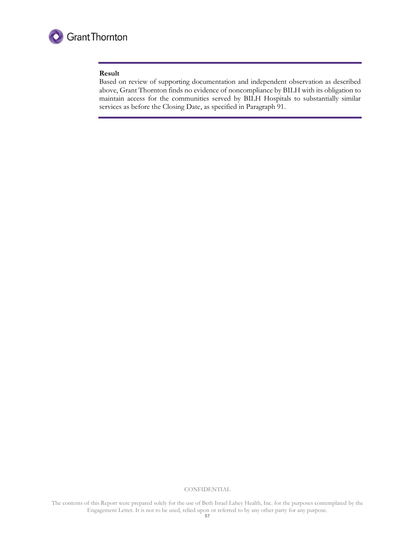

#### **Result**

Based on review of supporting documentation and independent observation as described above, Grant Thornton finds no evidence of noncompliance by BILH with its obligation to maintain access for the communities served by BILH Hospitals to substantially similar services as before the Closing Date, as specified in Paragraph 91.

**CONFIDENTIAL**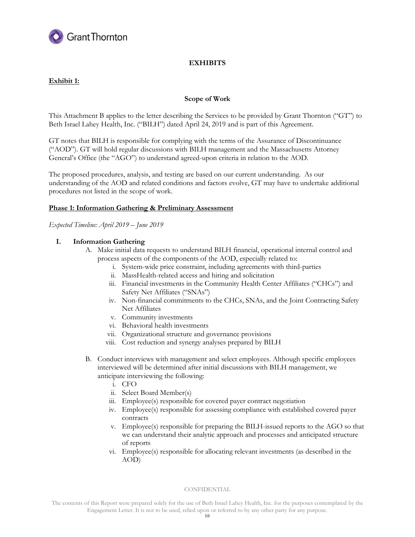

# **EXHIBITS**

# **Exhibit 1:**

# **Scope of Work**

This Attachment B applies to the letter describing the Services to be provided by Grant Thornton ("GT") to Beth Israel Lahey Health, Inc. ("BILH") dated April 24, 2019 and is part of this Agreement.

GT notes that BILH is responsible for complying with the terms of the Assurance of Discontinuance ("AOD"). GT will hold regular discussions with BILH management and the Massachusetts Attorney General's Office (the "AGO") to understand agreed-upon criteria in relation to the AOD.

The proposed procedures, analysis, and testing are based on our current understanding. As our understanding of the AOD and related conditions and factors evolve, GT may have to undertake additional procedures not listed in the scope of work.

# **Phase 1: Information Gathering & Preliminary Assessment**

*Expected Timeline: April 2019 – June 2019*

# **I. Information Gathering**

- A. Make initial data requests to understand BILH financial, operational internal control and process aspects of the components of the AOD, especially related to:
	- i. System-wide price constraint, including agreements with third-parties
	- ii. MassHealth-related access and hiring and solicitation
	- iii. Financial investments in the Community Health Center Affiliates ("CHCs") and Safety Net Affiliates ("SNAs")
	- iv. Non-financial commitments to the CHCs, SNAs, and the Joint Contracting Safety Net Affiliates
	- v. Community investments
	- vi. Behavioral health investments
	- vii. Organizational structure and governance provisions
	- viii. Cost reduction and synergy analyses prepared by BILH
- B. Conduct interviews with management and select employees. Although specific employees interviewed will be determined after initial discussions with BILH management, we anticipate interviewing the following:
	- i. CFO
	- ii. Select Board Member(s)
	- iii. Employee(s) responsible for covered payer contract negotiation
	- iv. Employee(s) responsible for assessing compliance with established covered payer contracts
	- v. Employee(s) responsible for preparing the BILH-issued reports to the AGO so that we can understand their analytic approach and processes and anticipated structure of reports
	- vi. Employee(s) responsible for allocating relevant investments (as described in the AOD)

#### **CONFIDENTIAL**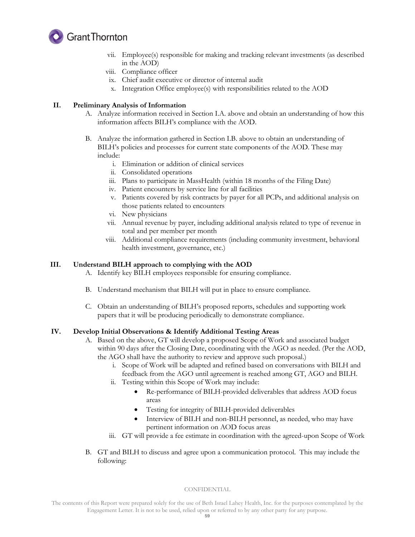

- vii. Employee(s) responsible for making and tracking relevant investments (as described in the AOD)
- viii. Compliance officer
- ix. Chief audit executive or director of internal audit
- x. Integration Office employee(s) with responsibilities related to the AOD

# **II. Preliminary Analysis of Information**

- A. Analyze information received in Section I.A. above and obtain an understanding of how this information affects BILH's compliance with the AOD.
- B. Analyze the information gathered in Section I.B. above to obtain an understanding of BILH's policies and processes for current state components of the AOD. These may include:
	- i. Elimination or addition of clinical services
	- ii. Consolidated operations
	- iii. Plans to participate in MassHealth (within 18 months of the Filing Date)
	- iv. Patient encounters by service line for all facilities
	- v. Patients covered by risk contracts by payer for all PCPs, and additional analysis on those patients related to encounters
	- vi. New physicians
	- vii. Annual revenue by payer, including additional analysis related to type of revenue in total and per member per month
	- viii. Additional compliance requirements (including community investment, behavioral health investment, governance, etc.)

# **III. Understand BILH approach to complying with the AOD**

- A. Identify key BILH employees responsible for ensuring compliance.
- B. Understand mechanism that BILH will put in place to ensure compliance.
- C. Obtain an understanding of BILH's proposed reports, schedules and supporting work papers that it will be producing periodically to demonstrate compliance.

# **IV. Develop Initial Observations & Identify Additional Testing Areas**

- A. Based on the above, GT will develop a proposed Scope of Work and associated budget within 90 days after the Closing Date, coordinating with the AGO as needed. (Per the AOD, the AGO shall have the authority to review and approve such proposal.)
	- i. Scope of Work will be adapted and refined based on conversations with BILH and feedback from the AGO until agreement is reached among GT, AGO and BILH.
	- ii. Testing within this Scope of Work may include:
		- Re-performance of BILH-provided deliverables that address AOD focus areas
		- Testing for integrity of BILH-provided deliverables
		- Interview of BILH and non-BILH personnel, as needed, who may have pertinent information on AOD focus areas
	- iii. GT will provide a fee estimate in coordination with the agreed-upon Scope of Work
- B. GT and BILH to discuss and agree upon a communication protocol. This may include the following:

# **CONFIDENTIAL**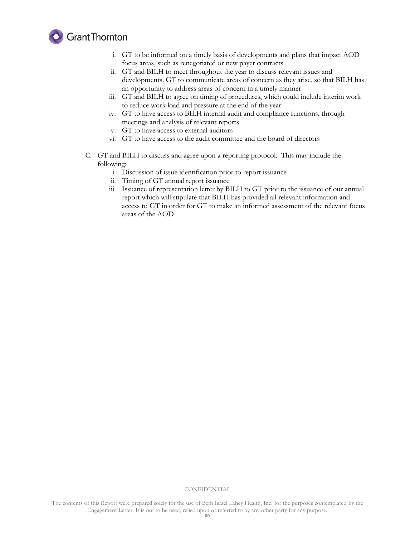

- i. GT to be informed on a timely basis of developments and plans that impact AOD focus areas, such as renegotiated or new payer contracts
- ii. GT and BILH to meet throughout the year to discuss relevant issues and developments. GT to communicate areas of concern as they arise, so that BILH has an opportunity to address areas of concern in a timely manner
- iii. GT and BILH to agree on timing of procedures, which could include interim work to reduce work load and pressure at the end of the year
- iv. GT to have access to BILH internal audit and compliance functions, through meetings and analysis of relevant reports
- v. GT to have access to external auditors
- vi. GT to have access to the audit committee and the board of directors
- C. GT and BILH to discuss and agree upon a reporting protocol. This may include the following:
	- i. Discussion of issue identification prior to report issuance
	- ii. Timing of GT annual report issuance
	- iii. Issuance of representation letter by BILH to GT prior to the issuance of our annual report which will stipulate that BILH has provided all relevant information and access to GT in order for GT to make an informed assessment of the relevant focus areas of the AOD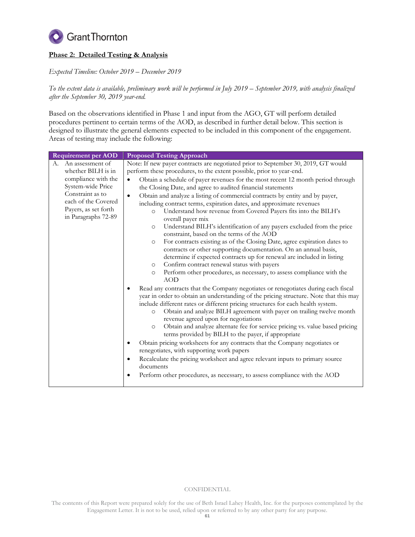

# **Phase 2: Detailed Testing & Analysis**

*Expected Timeline: October 2019 – December 2019*

*To the extent data is available, preliminary work will be performed in July 2019 – September 2019, with analysis finalized after the September 30, 2019 year-end.*

Based on the observations identified in Phase 1 and input from the AGO, GT will perform detailed procedures pertinent to certain terms of the AOD, as described in further detail below. This section is designed to illustrate the general elements expected to be included in this component of the engagement. Areas of testing may include the following:

| <b>Requirement per AOD</b>                                                                                                                                                         | <b>Proposed Testing Approach</b>                                                                                                                                                                                                                                                                                                                                                                                                                                                                                                                                                                                                                                                                                                                                                                                                                                                                                                                                                                                                                                                                                                                                                                                                                                                                                                                                                                                                                                                                                                                                                                                                                                                                                                                                                                                                                                                                                                                                                              |
|------------------------------------------------------------------------------------------------------------------------------------------------------------------------------------|-----------------------------------------------------------------------------------------------------------------------------------------------------------------------------------------------------------------------------------------------------------------------------------------------------------------------------------------------------------------------------------------------------------------------------------------------------------------------------------------------------------------------------------------------------------------------------------------------------------------------------------------------------------------------------------------------------------------------------------------------------------------------------------------------------------------------------------------------------------------------------------------------------------------------------------------------------------------------------------------------------------------------------------------------------------------------------------------------------------------------------------------------------------------------------------------------------------------------------------------------------------------------------------------------------------------------------------------------------------------------------------------------------------------------------------------------------------------------------------------------------------------------------------------------------------------------------------------------------------------------------------------------------------------------------------------------------------------------------------------------------------------------------------------------------------------------------------------------------------------------------------------------------------------------------------------------------------------------------------------------|
| An assessment of<br>А.<br>whether BILH is in<br>compliance with the<br>System-wide Price<br>Constraint as to<br>each of the Covered<br>Payers, as set forth<br>in Paragraphs 72-89 | Note: If new payer contracts are negotiated prior to September 30, 2019, GT would<br>perform these procedures, to the extent possible, prior to year-end.<br>Obtain a schedule of payer revenues for the most recent 12 month period through<br>the Closing Date, and agree to audited financial statements<br>Obtain and analyze a listing of commercial contracts by entity and by payer,<br>$\bullet$<br>including contract terms, expiration dates, and approximate revenues<br>Understand how revenue from Covered Payers fits into the BILH's<br>$\circ$<br>overall payer mix<br>Understand BILH's identification of any payers excluded from the price<br>$\circ$<br>constraint, based on the terms of the AOD<br>For contracts existing as of the Closing Date, agree expiration dates to<br>$\circ$<br>contracts or other supporting documentation. On an annual basis,<br>determine if expected contracts up for renewal are included in listing<br>Confirm contract renewal status with payers<br>$\circ$<br>Perform other procedures, as necessary, to assess compliance with the<br>$\circ$<br><b>AOD</b><br>Read any contracts that the Company negotiates or renegotiates during each fiscal<br>year in order to obtain an understanding of the pricing structure. Note that this may<br>include different rates or different pricing structures for each health system.<br>Obtain and analyze BILH agreement with payer on trailing twelve month<br>$\circ$<br>revenue agreed upon for negotiations<br>Obtain and analyze alternate fee for service pricing vs. value based pricing<br>$\circ$<br>terms provided by BILH to the payer, if appropriate<br>Obtain pricing worksheets for any contracts that the Company negotiates or<br>$\bullet$<br>renegotiates, with supporting work papers<br>Recalculate the pricing worksheet and agree relevant inputs to primary source<br>documents<br>Perform other procedures, as necessary, to assess compliance with the AOD<br>٠ |

#### **CONFIDENTIAL**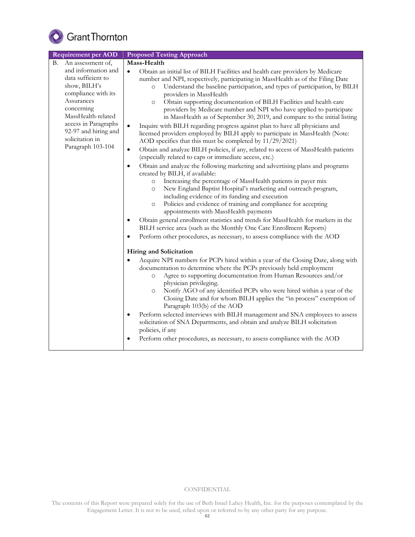

| <b>Requirement per AOD</b>                                                                                                                                                                                                 | <b>Proposed Testing Approach</b>                                                                                                                                                                                                                                                                                                                                                                                                                                                                                                                                                                                                                                                                                                                                                                                                                                                                                                                                                                                                                                                                                                                                                                                                                                                                                                                                                                                                                                                                                                                                                                                                                                          |  |  |  |
|----------------------------------------------------------------------------------------------------------------------------------------------------------------------------------------------------------------------------|---------------------------------------------------------------------------------------------------------------------------------------------------------------------------------------------------------------------------------------------------------------------------------------------------------------------------------------------------------------------------------------------------------------------------------------------------------------------------------------------------------------------------------------------------------------------------------------------------------------------------------------------------------------------------------------------------------------------------------------------------------------------------------------------------------------------------------------------------------------------------------------------------------------------------------------------------------------------------------------------------------------------------------------------------------------------------------------------------------------------------------------------------------------------------------------------------------------------------------------------------------------------------------------------------------------------------------------------------------------------------------------------------------------------------------------------------------------------------------------------------------------------------------------------------------------------------------------------------------------------------------------------------------------------------|--|--|--|
| An assessment of,<br>В.                                                                                                                                                                                                    | Mass-Health                                                                                                                                                                                                                                                                                                                                                                                                                                                                                                                                                                                                                                                                                                                                                                                                                                                                                                                                                                                                                                                                                                                                                                                                                                                                                                                                                                                                                                                                                                                                                                                                                                                               |  |  |  |
| and information and<br>data sufficient to<br>show, BILH's<br>compliance with its<br>Assurances<br>concerning<br>MassHealth-related<br>access in Paragraphs<br>92-97 and hiring and<br>solicitation in<br>Paragraph 103-104 | Obtain an initial list of BILH Facilities and health care providers by Medicare<br>$\bullet$<br>number and NPI, respectively, participating in MassHealth as of the Filing Date<br>Understand the baseline participation, and types of participation, by BILH<br>$\circ$<br>providers in MassHealth<br>Obtain supporting documentation of BILH Facilities and health care<br>$\circ$<br>providers by Medicare number and NPI who have applied to participate<br>in MassHealth as of September 30, 2019, and compare to the initial listing<br>Inquire with BILH regarding progress against plan to have all physicians and<br>$\bullet$<br>licensed providers employed by BILH apply to participate in MassHealth (Note:<br>AOD specifies that this must be completed by 11/29/2021)<br>Obtain and analyze BILH policies, if any, related to access of MassHealth patients<br>$\bullet$<br>(especially related to caps or immediate access, etc.)<br>Obtain and analyze the following marketing and advertising plans and programs<br>$\bullet$<br>created by BILH, if available:<br>Increasing the percentage of MassHealth patients in payer mix<br>$\circ$<br>New England Baptist Hospital's marketing and outreach program,<br>$\circ$<br>including evidence of its funding and execution<br>Policies and evidence of training and compliance for accepting<br>$\circ$<br>appointments with MassHealth payments<br>Obtain general enrollment statistics and trends for MassHealth for markets in the<br>BILH service area (such as the Monthly One Care Enrollment Reports)<br>Perform other procedures, as necessary, to assess compliance with the AOD<br>$\bullet$ |  |  |  |
|                                                                                                                                                                                                                            | Hiring and Solicitation                                                                                                                                                                                                                                                                                                                                                                                                                                                                                                                                                                                                                                                                                                                                                                                                                                                                                                                                                                                                                                                                                                                                                                                                                                                                                                                                                                                                                                                                                                                                                                                                                                                   |  |  |  |
|                                                                                                                                                                                                                            | Acquire NPI numbers for PCPs hired within a year of the Closing Date, along with<br>documentation to determine where the PCPs previously held employment<br>Agree to supporting documentation from Human Resources and/or<br>$\circ$<br>physician privileging.<br>Notify AGO of any identified PCPs who were hired within a year of the<br>$\circ$<br>Closing Date and for whom BILH applies the "in process" exemption of<br>Paragraph 103(b) of the AOD<br>Perform selected interviews with BILH management and SNA employees to assess<br>$\bullet$<br>solicitation of SNA Departments, and obtain and analyze BILH solicitation<br>policies, if any<br>Perform other procedures, as necessary, to assess compliance with the AOD                                                                                                                                                                                                                                                                                                                                                                                                                                                                                                                                                                                                                                                                                                                                                                                                                                                                                                                                      |  |  |  |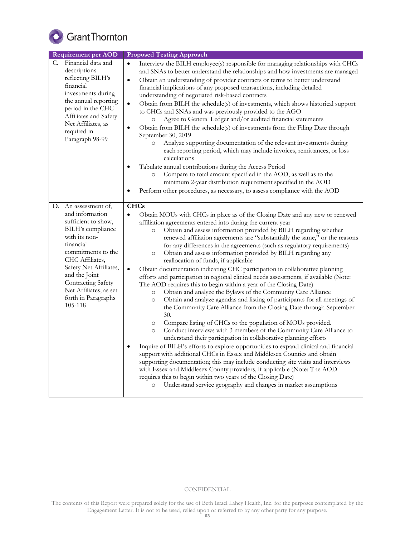

| <b>Requirement per AOD</b>                                                                                                                                                                                                                                                              | <b>Proposed Testing Approach</b>                                                                                                                                                                                                                                                                                                                                                                                                                                                                                                                                                                                                                                                                                                                                                                                                                                                                                                                                                                                                                                                                                                                                                                                                                                                                                                                                                                                                                                                                                                                                                                                                                                                                                                                                   |  |  |
|-----------------------------------------------------------------------------------------------------------------------------------------------------------------------------------------------------------------------------------------------------------------------------------------|--------------------------------------------------------------------------------------------------------------------------------------------------------------------------------------------------------------------------------------------------------------------------------------------------------------------------------------------------------------------------------------------------------------------------------------------------------------------------------------------------------------------------------------------------------------------------------------------------------------------------------------------------------------------------------------------------------------------------------------------------------------------------------------------------------------------------------------------------------------------------------------------------------------------------------------------------------------------------------------------------------------------------------------------------------------------------------------------------------------------------------------------------------------------------------------------------------------------------------------------------------------------------------------------------------------------------------------------------------------------------------------------------------------------------------------------------------------------------------------------------------------------------------------------------------------------------------------------------------------------------------------------------------------------------------------------------------------------------------------------------------------------|--|--|
| Financial data and<br>C.<br>descriptions<br>reflecting BILH's<br>financial<br>investments during<br>the annual reporting<br>period in the CHC<br>Affiliates and Safety<br>Net Affiliates, as<br>required in<br>Paragraph 98-99                                                          | Interview the BILH employee(s) responsible for managing relationships with CHCs<br>$\bullet$<br>and SNAs to better understand the relationships and how investments are managed<br>Obtain an understanding of provider contracts or terms to better understand<br>$\bullet$<br>financial implications of any proposed transactions, including detailed<br>understanding of negotiated risk-based contracts<br>Obtain from BILH the schedule(s) of investments, which shows historical support<br>$\bullet$<br>to CHCs and SNAs and was previously provided to the AGO<br>Agree to General Ledger and/or audited financial statements<br>$\circ$<br>Obtain from BILH the schedule(s) of investments from the Filing Date through<br>$\bullet$<br>September 30, 2019<br>Analyze supporting documentation of the relevant investments during<br>$\circ$<br>each reporting period, which may include invoices, remittances, or loss<br>calculations<br>Tabulate annual contributions during the Access Period<br>Compare to total amount specified in the AOD, as well as to the<br>$\circ$<br>minimum 2-year distribution requirement specified in the AOD<br>Perform other procedures, as necessary, to assess compliance with the AOD                                                                                                                                                                                                                                                                                                                                                                                                                                                                                                                               |  |  |
| D. An assessment of,<br>and information<br>sufficient to show,<br>BILH's compliance<br>with its non-<br>financial<br>commitments to the<br>CHC Affiliates.<br>Safety Net Affiliates,<br>and the Joint<br>Contracting Safety<br>Net Affiliates, as set<br>forth in Paragraphs<br>105-118 | <b>CHCs</b><br>Obtain MOUs with CHCs in place as of the Closing Date and any new or renewed<br>$\bullet$<br>affiliation agreements entered into during the current year<br>Obtain and assess information provided by BILH regarding whether<br>$\circ$<br>renewed affiliation agreements are "substantially the same," or the reasons<br>for any differences in the agreements (such as regulatory requirements)<br>Obtain and assess information provided by BILH regarding any<br>$\circ$<br>reallocation of funds, if applicable<br>$\bullet$<br>Obtain documentation indicating CHC participation in collaborative planning<br>efforts and participation in regional clinical needs assessments, if available (Note:<br>The AOD requires this to begin within a year of the Closing Date)<br>Obtain and analyze the Bylaws of the Community Care Alliance<br>$\circ$<br>Obtain and analyze agendas and listing of participants for all meetings of<br>$\circ$<br>the Community Care Alliance from the Closing Date through September<br>30.<br>Compare listing of CHCs to the population of MOUs provided.<br>$\circ$<br>Conduct interviews with 3 members of the Community Care Alliance to<br>$\circ$<br>understand their participation in collaborative planning efforts<br>Inquire of BILH's efforts to explore opportunities to expand clinical and financial<br>٠<br>support with additional CHCs in Essex and Middlesex Counties and obtain<br>supporting documentation; this may include conducting site visits and interviews<br>with Essex and Middlesex County providers, if applicable (Note: The AOD<br>requires this to begin within two years of the Closing Date)<br>Understand service geography and changes in market assumptions<br>$\circ$ |  |  |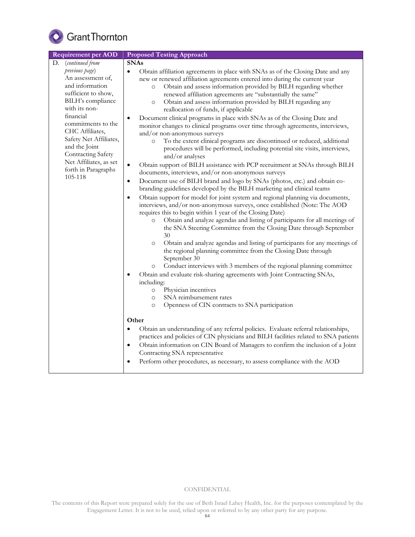

| <b>Requirement per AOD</b>                                                                                                                                                                                                                                                                             | <b>Proposed Testing Approach</b>                                                                                                                                                                                                                                                                                                                                                                                                                                                                                                                                                                                                                                                                                                                                                                                                                                                                                                                                                                                                                                                                                                                                                                                                                                                                                                                                                                                                                                                                                                                                                                                                                                                                                                                                                                                                                                                                                                                                                                                                                                                                                                                                                                                                                                                                                                                                                                                                                                                                        |  |  |
|--------------------------------------------------------------------------------------------------------------------------------------------------------------------------------------------------------------------------------------------------------------------------------------------------------|---------------------------------------------------------------------------------------------------------------------------------------------------------------------------------------------------------------------------------------------------------------------------------------------------------------------------------------------------------------------------------------------------------------------------------------------------------------------------------------------------------------------------------------------------------------------------------------------------------------------------------------------------------------------------------------------------------------------------------------------------------------------------------------------------------------------------------------------------------------------------------------------------------------------------------------------------------------------------------------------------------------------------------------------------------------------------------------------------------------------------------------------------------------------------------------------------------------------------------------------------------------------------------------------------------------------------------------------------------------------------------------------------------------------------------------------------------------------------------------------------------------------------------------------------------------------------------------------------------------------------------------------------------------------------------------------------------------------------------------------------------------------------------------------------------------------------------------------------------------------------------------------------------------------------------------------------------------------------------------------------------------------------------------------------------------------------------------------------------------------------------------------------------------------------------------------------------------------------------------------------------------------------------------------------------------------------------------------------------------------------------------------------------------------------------------------------------------------------------------------------------|--|--|
| (continued from<br>D.                                                                                                                                                                                                                                                                                  | <b>SNAs</b>                                                                                                                                                                                                                                                                                                                                                                                                                                                                                                                                                                                                                                                                                                                                                                                                                                                                                                                                                                                                                                                                                                                                                                                                                                                                                                                                                                                                                                                                                                                                                                                                                                                                                                                                                                                                                                                                                                                                                                                                                                                                                                                                                                                                                                                                                                                                                                                                                                                                                             |  |  |
| previous page)<br>An assessment of,<br>and information<br>sufficient to show,<br>BILH's compliance<br>with its non-<br>financial<br>commitments to the<br>CHC Affiliates,<br>Safety Net Affiliates,<br>and the Joint<br>Contracting Safety<br>Net Affiliates, as set<br>forth in Paragraphs<br>105-118 | Obtain affiliation agreements in place with SNAs as of the Closing Date and any<br>$\bullet$<br>new or renewed affiliation agreements entered into during the current year<br>Obtain and assess information provided by BILH regarding whether<br>$\circ$<br>renewed affiliation agreements are "substantially the same"<br>Obtain and assess information provided by BILH regarding any<br>$\circ$<br>reallocation of funds, if applicable<br>Document clinical programs in place with SNAs as of the Closing Date and<br>٠<br>monitor changes to clinical programs over time through agreements, interviews,<br>and/or non-anonymous surveys<br>To the extent clinical programs are discontinued or reduced, additional<br>$\circ$<br>procedures will be performed, including potential site visits, interviews,<br>and/or analyses<br>Obtain support of BILH assistance with PCP recruitment at SNAs through BILH<br>$\bullet$<br>documents, interviews, and/or non-anonymous surveys<br>Document use of BILH brand and logo by SNAs (photos, etc.) and obtain co-<br>$\bullet$<br>branding guidelines developed by the BILH marketing and clinical teams<br>Obtain support for model for joint system and regional planning via documents,<br>$\bullet$<br>interviews, and/or non-anonymous surveys, once established (Note: The AOD<br>requires this to begin within 1 year of the Closing Date)<br>Obtain and analyze agendas and listing of participants for all meetings of<br>$\circ$<br>the SNA Steering Committee from the Closing Date through September<br>30<br>Obtain and analyze agendas and listing of participants for any meetings of<br>$\circ$<br>the regional planning committee from the Closing Date through<br>September 30<br>Conduct interviews with 3 members of the regional planning committee<br>$\circ$<br>Obtain and evaluate risk-sharing agreements with Joint Contracting SNAs,<br>$\bullet$<br>including:<br>Physician incentives<br>$\circ$<br>SNA reimbursement rates<br>$\circ$<br>Openness of CIN contracts to SNA participation<br>$\circ$<br>Other<br>Obtain an understanding of any referral policies. Evaluate referral relationships,<br>$\bullet$<br>practices and policies of CIN physicians and BILH facilities related to SNA patients<br>Obtain information on CIN Board of Managers to confirm the inclusion of a Joint<br>$\bullet$<br>Contracting SNA representative<br>Perform other procedures, as necessary, to assess compliance with the AOD |  |  |
|                                                                                                                                                                                                                                                                                                        |                                                                                                                                                                                                                                                                                                                                                                                                                                                                                                                                                                                                                                                                                                                                                                                                                                                                                                                                                                                                                                                                                                                                                                                                                                                                                                                                                                                                                                                                                                                                                                                                                                                                                                                                                                                                                                                                                                                                                                                                                                                                                                                                                                                                                                                                                                                                                                                                                                                                                                         |  |  |
|                                                                                                                                                                                                                                                                                                        |                                                                                                                                                                                                                                                                                                                                                                                                                                                                                                                                                                                                                                                                                                                                                                                                                                                                                                                                                                                                                                                                                                                                                                                                                                                                                                                                                                                                                                                                                                                                                                                                                                                                                                                                                                                                                                                                                                                                                                                                                                                                                                                                                                                                                                                                                                                                                                                                                                                                                                         |  |  |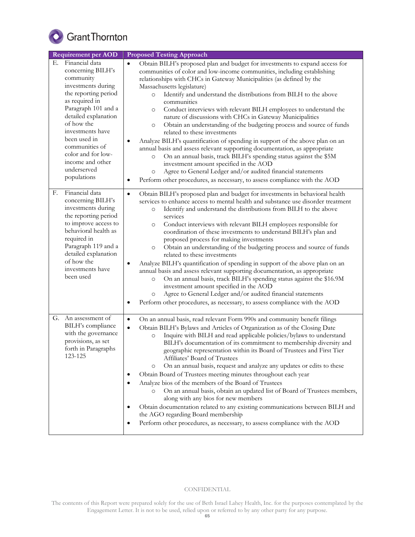

| <b>Requirement per AOD</b>                                                                                                                                                                                                                                                                                        | <b>Proposed Testing Approach</b>                                                                                                                                                                                                                                                                                                                                                                                                                                                                                                                                                                                                                                                                                                                                                                                                                                                                                                                                                                                                                                                                |
|-------------------------------------------------------------------------------------------------------------------------------------------------------------------------------------------------------------------------------------------------------------------------------------------------------------------|-------------------------------------------------------------------------------------------------------------------------------------------------------------------------------------------------------------------------------------------------------------------------------------------------------------------------------------------------------------------------------------------------------------------------------------------------------------------------------------------------------------------------------------------------------------------------------------------------------------------------------------------------------------------------------------------------------------------------------------------------------------------------------------------------------------------------------------------------------------------------------------------------------------------------------------------------------------------------------------------------------------------------------------------------------------------------------------------------|
| Financial data<br>Е.<br>concerning BILH's<br>community<br>investments during<br>the reporting period<br>as required in<br>Paragraph 101 and a<br>detailed explanation<br>of how the<br>investments have<br>been used in<br>communities of<br>color and for low-<br>income and other<br>underserved<br>populations | Obtain BILH's proposed plan and budget for investments to expand access for<br>$\bullet$<br>communities of color and low-income communities, including establishing<br>relationships with CHCs in Gateway Municipalities (as defined by the<br>Massachusetts legislature)<br>Identify and understand the distributions from BILH to the above<br>$\circ$<br>communities<br>Conduct interviews with relevant BILH employees to understand the<br>$\circ$<br>nature of discussions with CHCs in Gateway Municipalities<br>Obtain an understanding of the budgeting process and source of funds<br>$\circ$<br>related to these investments<br>Analyze BILH's quantification of spending in support of the above plan on an<br>٠<br>annual basis and assess relevant supporting documentation, as appropriate<br>On an annual basis, track BILH's spending status against the \$5M<br>$\circ$<br>investment amount specified in the AOD<br>Agree to General Ledger and/or audited financial statements<br>$\circ$<br>Perform other procedures, as necessary, to assess compliance with the AOD<br>٠ |
| Financial data<br>F.<br>concerning BILH's<br>investments during<br>the reporting period<br>to improve access to<br>behavioral health as<br>required in<br>Paragraph 119 and a<br>detailed explanation<br>of how the<br>investments have<br>been used                                                              | Obtain BILH's proposed plan and budget for investments in behavioral health<br>$\bullet$<br>services to enhance access to mental health and substance use disorder treatment<br>Identify and understand the distributions from BILH to the above<br>$\circ$<br>services<br>Conduct interviews with relevant BILH employees responsible for<br>$\circ$<br>coordination of these investments to understand BILH's plan and<br>proposed process for making investments<br>Obtain an understanding of the budgeting process and source of funds<br>$\circ$<br>related to these investments<br>Analyze BILH's quantification of spending in support of the above plan on an<br>٠<br>annual basis and assess relevant supporting documentation, as appropriate<br>On an annual basis, track BILH's spending status against the \$16.9M<br>$\circ$<br>investment amount specified in the AOD<br>Agree to General Ledger and/or audited financial statements<br>$\circ$<br>Perform other procedures, as necessary, to assess compliance with the AOD<br>$\bullet$                                       |
| G.<br>An assessment of<br>BILH's compliance<br>with the governance<br>provisions, as set<br>forth in Paragraphs<br>123-125                                                                                                                                                                                        | On an annual basis, read relevant Form 990s and community benefit filings<br>$\bullet$<br>Obtain BILH's Bylaws and Articles of Organization as of the Closing Date<br>$\bullet$<br>Inquire with BILH and read applicable policies/bylaws to understand<br>$\circ$<br>BILH's documentation of its commitment to membership diversity and<br>geographic representation within its Board of Trustees and First Tier<br>Affiliates' Board of Trustees<br>On an annual basis, request and analyze any updates or edits to these<br>$\circ$<br>Obtain Board of Trustees meeting minutes throughout each year<br>Analyze bios of the members of the Board of Trustees<br>On an annual basis, obtain an updated list of Board of Trustees members,<br>$\circ$<br>along with any bios for new members<br>Obtain documentation related to any existing communications between BILH and<br>the AGO regarding Board membership<br>Perform other procedures, as necessary, to assess compliance with the AOD<br>٠                                                                                            |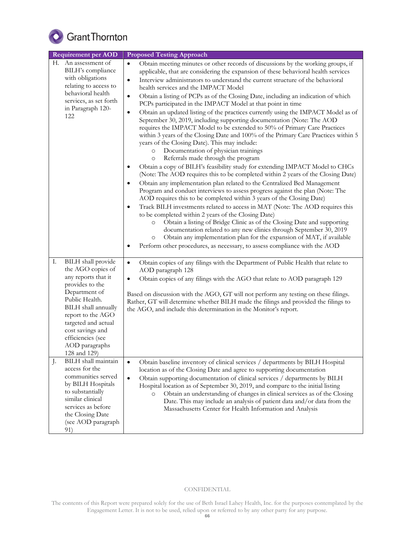

| <b>Requirement per AOD</b>                                                                                                                                                                                                                                               | <b>Proposed Testing Approach</b>                                                                                                                                                                                                                                                                                                                                                                                                                                                                                                                                                                                                                                                                                                                                                                                                                                                                                                                                                                                                                                                                                                                                                                                                                                                                                                                                                                                                                                                                                                                                                                                                                                                                                                                                                                                                                                                               |
|--------------------------------------------------------------------------------------------------------------------------------------------------------------------------------------------------------------------------------------------------------------------------|------------------------------------------------------------------------------------------------------------------------------------------------------------------------------------------------------------------------------------------------------------------------------------------------------------------------------------------------------------------------------------------------------------------------------------------------------------------------------------------------------------------------------------------------------------------------------------------------------------------------------------------------------------------------------------------------------------------------------------------------------------------------------------------------------------------------------------------------------------------------------------------------------------------------------------------------------------------------------------------------------------------------------------------------------------------------------------------------------------------------------------------------------------------------------------------------------------------------------------------------------------------------------------------------------------------------------------------------------------------------------------------------------------------------------------------------------------------------------------------------------------------------------------------------------------------------------------------------------------------------------------------------------------------------------------------------------------------------------------------------------------------------------------------------------------------------------------------------------------------------------------------------|
| H. An assessment of<br>BILH's compliance<br>with obligations<br>relating to access to<br>behavioral health<br>services, as set forth<br>in Paragraph 120-<br>122                                                                                                         | Obtain meeting minutes or other records of discussions by the working groups, if<br>$\bullet$<br>applicable, that are considering the expansion of these behavioral health services<br>Interview administrators to understand the current structure of the behavioral<br>$\bullet$<br>health services and the IMPACT Model<br>Obtain a listing of PCPs as of the Closing Date, including an indication of which<br>$\bullet$<br>PCPs participated in the IMPACT Model at that point in time<br>Obtain an updated listing of the practices currently using the IMPACT Model as of<br>٠<br>September 30, 2019, including supporting documentation (Note: The AOD<br>requires the IMPACT Model to be extended to 50% of Primary Care Practices<br>within 3 years of the Closing Date and 100% of the Primary Care Practices within 5<br>years of the Closing Date). This may include:<br>Documentation of physician trainings<br>$\circ$<br>Referrals made through the program<br>$\circ$<br>Obtain a copy of BILH's feasibility study for extending IMPACT Model to CHCs<br>$\bullet$<br>(Note: The AOD requires this to be completed within 2 years of the Closing Date)<br>Obtain any implementation plan related to the Centralized Bed Management<br>$\bullet$<br>Program and conduct interviews to assess progress against the plan (Note: The<br>AOD requires this to be completed within 3 years of the Closing Date)<br>Track BILH investments related to access in MAT (Note: The AOD requires this<br>to be completed within 2 years of the Closing Date)<br>Obtain a listing of Bridge Clinic as of the Closing Date and supporting<br>O<br>documentation related to any new clinics through September 30, 2019<br>Obtain any implementation plan for the expansion of MAT, if available<br>$\circ$<br>Perform other procedures, as necessary, to assess compliance with the AOD<br>٠ |
| I.<br>BILH shall provide<br>the AGO copies of<br>any reports that it<br>provides to the<br>Department of<br>Public Health.<br>BILH shall annually<br>report to the AGO<br>targeted and actual<br>cost savings and<br>efficiencies (see<br>AOD paragraphs<br>128 and 129) | Obtain copies of any filings with the Department of Public Health that relate to<br>$\bullet$<br>AOD paragraph 128<br>Obtain copies of any filings with the AGO that relate to AOD paragraph 129<br>$\bullet$<br>Based on discussion with the AGO, GT will not perform any testing on these filings.<br>Rather, GT will determine whether BILH made the filings and provided the filings to<br>the AGO, and include this determination in the Monitor's report.                                                                                                                                                                                                                                                                                                                                                                                                                                                                                                                                                                                                                                                                                                                                                                                                                                                                                                                                                                                                                                                                                                                                                                                                                                                                                                                                                                                                                                |
| BILH shall maintain<br>J.<br>access for the<br>communities served<br>by BILH Hospitals<br>to substantially<br>similar clinical<br>services as before<br>the Closing Date<br>(see AOD paragraph<br>91)                                                                    | Obtain baseline inventory of clinical services / departments by BILH Hospital<br>$\bullet$<br>location as of the Closing Date and agree to supporting documentation<br>Obtain supporting documentation of clinical services / departments by BILH<br>$\bullet$<br>Hospital location as of September 30, 2019, and compare to the initial listing<br>Obtain an understanding of changes in clinical services as of the Closing<br>$\circ$<br>Date. This may include an analysis of patient data and/or data from the<br>Massachusetts Center for Health Information and Analysis                                                                                                                                                                                                                                                                                                                                                                                                                                                                                                                                                                                                                                                                                                                                                                                                                                                                                                                                                                                                                                                                                                                                                                                                                                                                                                                |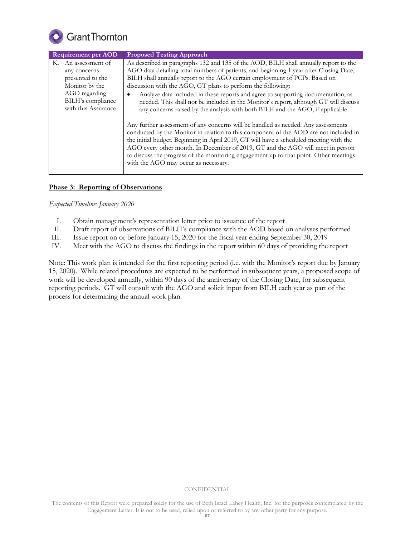

| <b>Requirement per AOD</b> | <b>Proposed Testing Approach</b>                                                                                                                                                                                                                                                                                                                                                                                                                                                        |
|----------------------------|-----------------------------------------------------------------------------------------------------------------------------------------------------------------------------------------------------------------------------------------------------------------------------------------------------------------------------------------------------------------------------------------------------------------------------------------------------------------------------------------|
| K. An assessment of        | As described in paragraphs 132 and 135 of the AOD, BILH shall annually report to the                                                                                                                                                                                                                                                                                                                                                                                                    |
| any concerns               | AGO data detailing total numbers of patients, and beginning 1 year after Closing Date,                                                                                                                                                                                                                                                                                                                                                                                                  |
| presented to the           | BILH shall annually report to the AGO certain employment of PCPs. Based on                                                                                                                                                                                                                                                                                                                                                                                                              |
| Monitor by the             | discussion with the AGO, GT plans to perform the following:                                                                                                                                                                                                                                                                                                                                                                                                                             |
| AGO regarding              | Analyze data included in these reports and agree to supporting documentation, as                                                                                                                                                                                                                                                                                                                                                                                                        |
| BILH's compliance          | needed. This shall not be included in the Monitor's report, although GT will discuss                                                                                                                                                                                                                                                                                                                                                                                                    |
| with this Assurance        | any concerns raised by the analysis with both BILH and the AGO, if applicable.                                                                                                                                                                                                                                                                                                                                                                                                          |
|                            | Any further assessment of any concerns will be handled as needed. Any assessments<br>conducted by the Monitor in relation to this component of the AOD are not included in<br>the initial budget. Beginning in April 2019, GT will have a scheduled meeting with the<br>AGO every other month. In December of 2019, GT and the AGO will meet in person<br>to discuss the progress of the monitoring engagement up to that point. Other meetings<br>with the AGO may occur as necessary. |

# **Phase 3: Reporting of Observations**

*Expected Timeline: January 2020*

- I. Obtain management's representation letter prior to issuance of the report
- II. Draft report of observations of BILH's compliance with the AOD based on analyses performed
- III. Issue report on or before January 15, 2020 for the fiscal year ending September 30, 2019
- IV. Meet with the AGO to discuss the findings in the report within 60 days of providing the report

Note: This work plan is intended for the first reporting period (i.e. with the Monitor's report due by January 15, 2020). While related procedures are expected to be performed in subsequent years, a proposed scope of work will be developed annually, within 90 days of the anniversary of the Closing Date, for subsequent reporting periods. GT will consult with the AGO and solicit input from BILH each year as part of the process for determining the annual work plan.

The contents of this Report were prepared solely for the use of Beth Israel Lahey Health, Inc. for the purposes contemplated by the Engagement Letter. It is not to be used, relied upon or referred to by any other party for any purpose.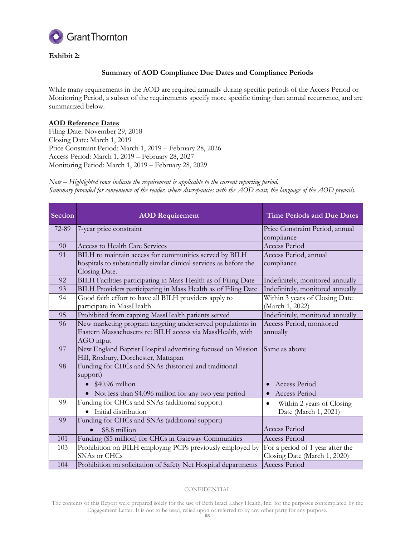

# **Exhibit 2:**

# **Summary of AOD Compliance Due Dates and Compliance Periods**

While many requirements in the AOD are required annually during specific periods of the Access Period or Monitoring Period, a subset of the requirements specify more specific timing than annual recurrence, and are summarized below.

# **AOD Reference Dates**

Filing Date: November 29, 2018 Closing Date: March 1, 2019 Price Constraint Period: March 1, 2019 – February 28, 2026 Access Period: March 1, 2019 – February 28, 2027 Monitoring Period: March 1, 2019 – February 28, 2029

*Note – Highlighted rows indicate the requirement is applicable to the current reporting period. Summary provided for convenience of the reader, where discrepancies with the AOD exist, the language of the AOD prevails.*

| Section | <b>AOD</b> Requirement                                             | <b>Time Periods and Due Dates</b>      |
|---------|--------------------------------------------------------------------|----------------------------------------|
| 72-89   | 7-year price constraint                                            | Price Constraint Period, annual        |
|         |                                                                    | compliance                             |
| 90      | <b>Access to Health Care Services</b>                              | <b>Access Period</b>                   |
| 91      | BILH to maintain access for communities served by BILH             | Access Period, annual                  |
|         | hospitals to substantially similar clinical services as before the | compliance                             |
|         | Closing Date.                                                      |                                        |
| 92      | BILH Facilities participating in Mass Health as of Filing Date     | Indefinitely, monitored annually       |
| 93      | BILH Providers participating in Mass Health as of Filing Date      | Indefinitely, monitored annually       |
| 94      | Good faith effort to have all BILH providers apply to              | Within 3 years of Closing Date         |
|         | participate in MassHealth                                          | (March 1, 2022)                        |
| 95      | Prohibited from capping MassHealth patients served                 | Indefinitely, monitored annually       |
| 96      | New marketing program targeting underserved populations in         | Access Period, monitored               |
|         | Eastern Massachusetts re: BILH access via MassHealth, with         | annually                               |
|         | AGO input                                                          |                                        |
| 97      | New England Baptist Hospital advertising focused on Mission        | Same as above                          |
|         | Hill, Roxbury, Dorchester, Mattapan                                |                                        |
| 98      | Funding for CHCs and SNAs (historical and traditional              |                                        |
|         | support)                                                           |                                        |
|         | $\bullet$ \$40.96 million                                          | Access Period                          |
|         | • Not less than \$4.096 million for any two year period            | Access Period<br>$\bullet$             |
| 99      | Funding for CHCs and SNAs (additional support)                     | Within 2 years of Closing<br>$\bullet$ |
|         | · Initial distribution                                             | Date (March 1, 2021)                   |
| 99      | Funding for CHCs and SNAs (additional support)                     |                                        |
|         | \$8.8 million                                                      | <b>Access Period</b>                   |
| 101     | Funding (\$5 million) for CHCs in Gateway Communities              | <b>Access Period</b>                   |
| 103     | Prohibition on BILH employing PCPs previously employed by          | For a period of 1 year after the       |
|         | SNAs or CHCs                                                       | Closing Date (March 1, 2020)           |
| 104     | Prohibition on solicitation of Safety Net Hospital departments     | <b>Access Period</b>                   |

#### CONFIDENTIAL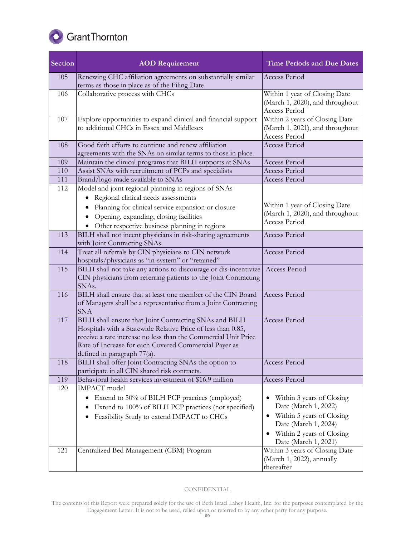

| Section | <b>AOD Requirement</b>                                                                                                                                                                                                                                                           | <b>Time Periods and Due Dates</b>                                                  |
|---------|----------------------------------------------------------------------------------------------------------------------------------------------------------------------------------------------------------------------------------------------------------------------------------|------------------------------------------------------------------------------------|
| 105     | Renewing CHC affiliation agreements on substantially similar<br>terms as those in place as of the Filing Date                                                                                                                                                                    | Access Period                                                                      |
| 106     | Collaborative process with CHCs                                                                                                                                                                                                                                                  | Within 1 year of Closing Date<br>(March 1, 2020), and throughout<br>Access Period  |
| 107     | Explore opportunities to expand clinical and financial support<br>to additional CHCs in Essex and Middlesex                                                                                                                                                                      | Within 2 years of Closing Date<br>(March 1, 2021), and throughout<br>Access Period |
| 108     | Good faith efforts to continue and renew affiliation<br>agreements with the SNAs on similar terms to those in place.                                                                                                                                                             | <b>Access Period</b>                                                               |
| 109     | Maintain the clinical programs that BILH supports at SNAs                                                                                                                                                                                                                        | <b>Access Period</b>                                                               |
| 110     | Assist SNAs with recruitment of PCPs and specialists                                                                                                                                                                                                                             | <b>Access Period</b>                                                               |
| 111     | Brand/logo made available to SNAs                                                                                                                                                                                                                                                | <b>Access Period</b>                                                               |
| 112     | Model and joint regional planning in regions of SNAs                                                                                                                                                                                                                             |                                                                                    |
|         | Regional clinical needs assessments<br>$\bullet$                                                                                                                                                                                                                                 |                                                                                    |
|         | Planning for clinical service expansion or closure<br>$\bullet$                                                                                                                                                                                                                  | Within 1 year of Closing Date                                                      |
|         | Opening, expanding, closing facilities                                                                                                                                                                                                                                           | (March 1, 2020), and throughout<br>Access Period                                   |
|         | Other respective business planning in regions                                                                                                                                                                                                                                    |                                                                                    |
| 113     | BILH shall not incent physicians in risk-sharing agreements<br>with Joint Contracting SNAs.                                                                                                                                                                                      | <b>Access Period</b>                                                               |
| 114     | Treat all referrals by CIN physicians to CIN network<br>hospitals/physicians as "in-system" or "retained"                                                                                                                                                                        | <b>Access Period</b>                                                               |
| 115     | BILH shall not take any actions to discourage or dis-incentivize<br>CIN physicians from referring patients to the Joint Contracting<br>SNA <sub>s</sub> .                                                                                                                        | Access Period                                                                      |
| 116     | BILH shall ensure that at least one member of the CIN Board<br>of Managers shall be a representative from a Joint Contracting<br><b>SNA</b>                                                                                                                                      | Access Period                                                                      |
| 117     | BILH shall ensure that Joint Contracting SNAs and BILH<br>Hospitals with a Statewide Relative Price of less than 0.85,<br>receive a rate increase no less than the Commercial Unit Price<br>Rate of Increase for each Covered Commercial Payer as<br>defined in paragraph 77(a). | <b>Access Period</b>                                                               |
| 118     | BILH shall offer Joint Contracting SNAs the option to<br>participate in all CIN shared risk contracts.                                                                                                                                                                           | Access Period                                                                      |
| 119     | Behavioral health services investment of \$16.9 million                                                                                                                                                                                                                          | Access Period                                                                      |
| 120     | <b>IMPACT</b> model                                                                                                                                                                                                                                                              |                                                                                    |
|         | Extend to 50% of BILH PCP practices (employed)<br>$\bullet$                                                                                                                                                                                                                      | Within 3 years of Closing                                                          |
|         | Extend to 100% of BILH PCP practices (not specified)                                                                                                                                                                                                                             | Date (March 1, 2022)                                                               |
|         | Feasibility Study to extend IMPACT to CHCs<br>٠                                                                                                                                                                                                                                  | • Within 5 years of Closing                                                        |
|         |                                                                                                                                                                                                                                                                                  | Date (March 1, 2024)                                                               |
|         |                                                                                                                                                                                                                                                                                  | • Within 2 years of Closing<br>Date (March 1, 2021)                                |
| 121     | Centralized Bed Management (CBM) Program                                                                                                                                                                                                                                         | Within 3 years of Closing Date<br>(March 1, 2022), annually<br>thereafter          |